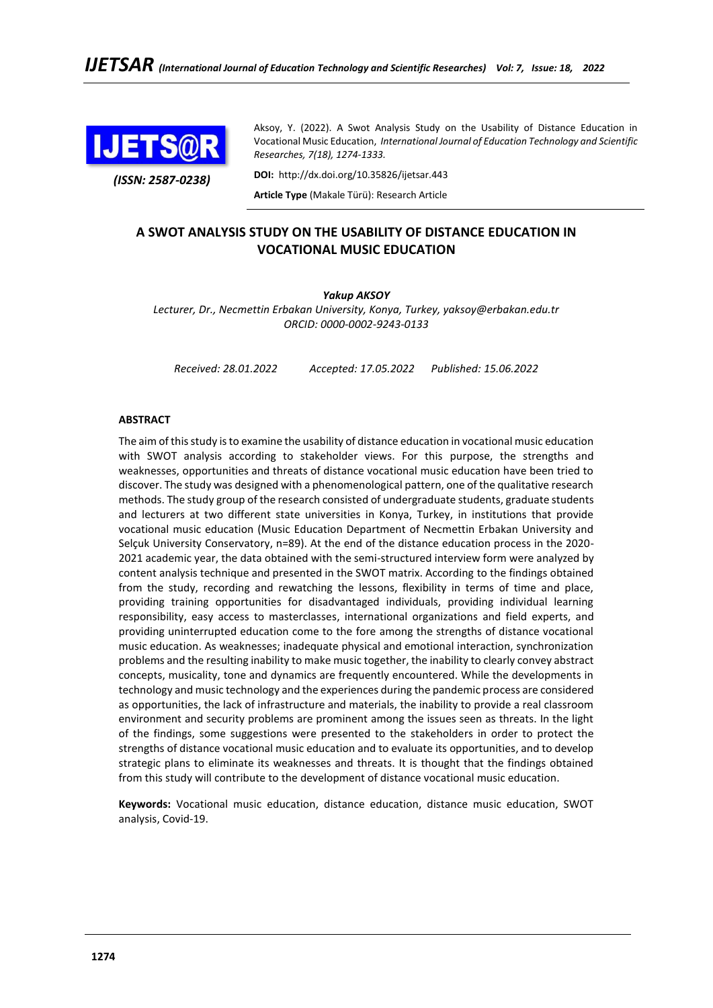

*(ISSN: 2587-0238)*

Aksoy, Y. (2022). A Swot Analysis Study on the Usability of Distance Education in Vocational Music Education, *International Journal of Education Technology and Scientific Researches, 7(18), 1274-1333.*

**DOI:** http://dx.doi.org/10.35826/ijetsar.443

**Article Type** (Makale Türü): Research Article

# **A SWOT ANALYSIS STUDY ON THE USABILITY OF DISTANCE EDUCATION IN VOCATIONAL MUSIC EDUCATION**

# *Yakup AKSOY*

*Lecturer, Dr., Necmettin Erbakan University, Konya, Turkey, yaksoy@erbakan.edu.tr ORCID: 0000-0002-9243-0133*

*Received: 28.01.2022 Accepted: 17.05.2022 Published: 15.06.2022*

# **ABSTRACT**

The aim of this study is to examine the usability of distance education in vocational music education with SWOT analysis according to stakeholder views. For this purpose, the strengths and weaknesses, opportunities and threats of distance vocational music education have been tried to discover. The study was designed with a phenomenological pattern, one of the qualitative research methods. The study group of the research consisted of undergraduate students, graduate students and lecturers at two different state universities in Konya, Turkey, in institutions that provide vocational music education (Music Education Department of Necmettin Erbakan University and Selçuk University Conservatory, n=89). At the end of the distance education process in the 2020- 2021 academic year, the data obtained with the semi-structured interview form were analyzed by content analysis technique and presented in the SWOT matrix. According to the findings obtained from the study, recording and rewatching the lessons, flexibility in terms of time and place, providing training opportunities for disadvantaged individuals, providing individual learning responsibility, easy access to masterclasses, international organizations and field experts, and providing uninterrupted education come to the fore among the strengths of distance vocational music education. As weaknesses; inadequate physical and emotional interaction, synchronization problems and the resulting inability to make music together, the inability to clearly convey abstract concepts, musicality, tone and dynamics are frequently encountered. While the developments in technology and music technology and the experiences during the pandemic process are considered as opportunities, the lack of infrastructure and materials, the inability to provide a real classroom environment and security problems are prominent among the issues seen as threats. In the light of the findings, some suggestions were presented to the stakeholders in order to protect the strengths of distance vocational music education and to evaluate its opportunities, and to develop strategic plans to eliminate its weaknesses and threats. It is thought that the findings obtained from this study will contribute to the development of distance vocational music education.

**Keywords:** Vocational music education, distance education, distance music education, SWOT analysis, Covid-19.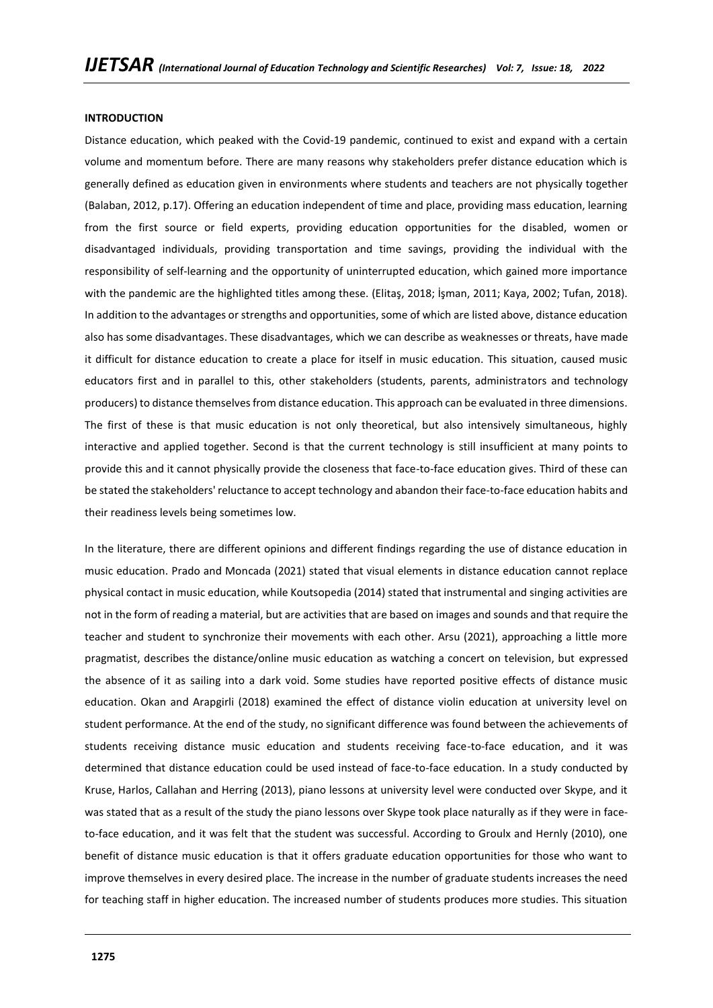#### **INTRODUCTION**

Distance education, which peaked with the Covid-19 pandemic, continued to exist and expand with a certain volume and momentum before. There are many reasons why stakeholders prefer distance education which is generally defined as education given in environments where students and teachers are not physically together (Balaban, 2012, p.17). Offering an education independent of time and place, providing mass education, learning from the first source or field experts, providing education opportunities for the disabled, women or disadvantaged individuals, providing transportation and time savings, providing the individual with the responsibility of self-learning and the opportunity of uninterrupted education, which gained more importance with the pandemic are the highlighted titles among these. (Elitaş, 2018; İşman, 2011; Kaya, 2002; Tufan, 2018). In addition to the advantages or strengths and opportunities, some of which are listed above, distance education also has some disadvantages. These disadvantages, which we can describe as weaknesses or threats, have made it difficult for distance education to create a place for itself in music education. This situation, caused music educators first and in parallel to this, other stakeholders (students, parents, administrators and technology producers) to distance themselves from distance education. This approach can be evaluated in three dimensions. The first of these is that music education is not only theoretical, but also intensively simultaneous, highly interactive and applied together. Second is that the current technology is still insufficient at many points to provide this and it cannot physically provide the closeness that face-to-face education gives. Third of these can be stated the stakeholders' reluctance to accept technology and abandon their face-to-face education habits and their readiness levels being sometimes low.

In the literature, there are different opinions and different findings regarding the use of distance education in music education. Prado and Moncada (2021) stated that visual elements in distance education cannot replace physical contact in music education, while Koutsopedia (2014) stated that instrumental and singing activities are not in the form of reading a material, but are activities that are based on images and sounds and that require the teacher and student to synchronize their movements with each other. Arsu (2021), approaching a little more pragmatist, describes the distance/online music education as watching a concert on television, but expressed the absence of it as sailing into a dark void. Some studies have reported positive effects of distance music education. Okan and Arapgirli (2018) examined the effect of distance violin education at university level on student performance. At the end of the study, no significant difference was found between the achievements of students receiving distance music education and students receiving face-to-face education, and it was determined that distance education could be used instead of face-to-face education. In a study conducted by Kruse, Harlos, Callahan and Herring (2013), piano lessons at university level were conducted over Skype, and it was stated that as a result of the study the piano lessons over Skype took place naturally as if they were in faceto-face education, and it was felt that the student was successful. According to Groulx and Hernly (2010), one benefit of distance music education is that it offers graduate education opportunities for those who want to improve themselves in every desired place. The increase in the number of graduate students increases the need for teaching staff in higher education. The increased number of students produces more studies. This situation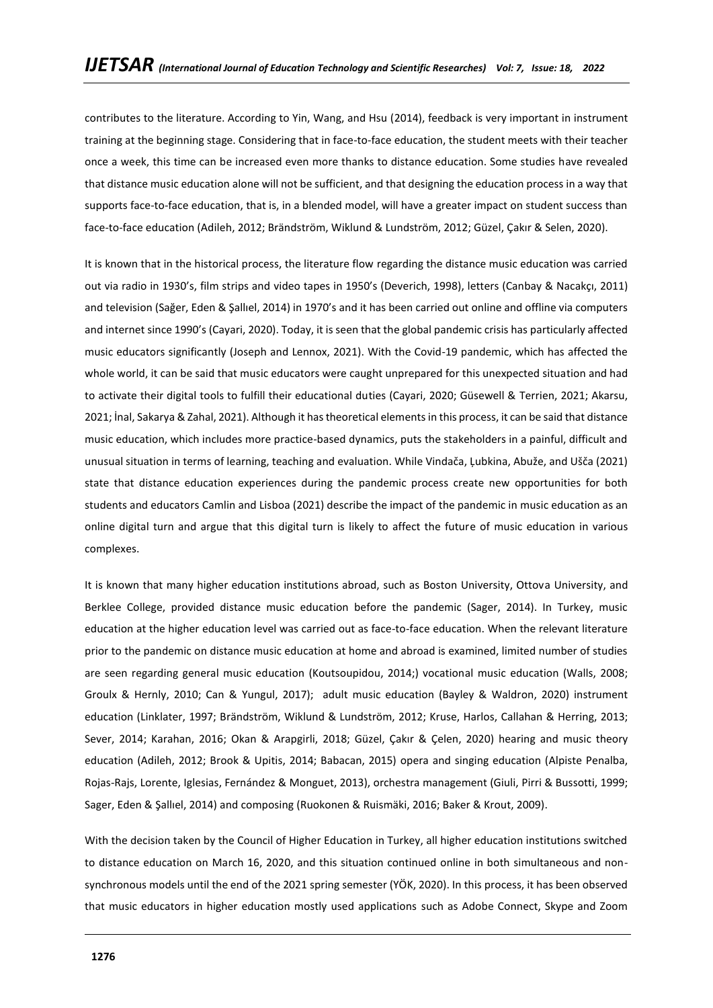contributes to the literature. According to Yin, Wang, and Hsu (2014), feedback is very important in instrument training at the beginning stage. Considering that in face-to-face education, the student meets with their teacher once a week, this time can be increased even more thanks to distance education. Some studies have revealed that distance music education alone will not be sufficient, and that designing the education process in a way that supports face-to-face education, that is, in a blended model, will have a greater impact on student success than face-to-face education (Adileh, 2012; Brändström, Wiklund & Lundström, 2012; Güzel, Çakır & Selen, 2020).

It is known that in the historical process, the literature flow regarding the distance music education was carried out via radio in 1930's, film strips and video tapes in 1950's (Deverich, 1998), letters (Canbay & Nacakçı, 2011) and television (Sağer, Eden & Şallıel, 2014) in 1970's and it has been carried out online and offline via computers and internet since 1990's (Cayari, 2020). Today, it is seen that the global pandemic crisis has particularly affected music educators significantly (Joseph and Lennox, 2021). With the Covid-19 pandemic, which has affected the whole world, it can be said that music educators were caught unprepared for this unexpected situation and had to activate their digital tools to fulfill their educational duties (Cayari, 2020; Güsewell & Terrien, 2021; Akarsu, 2021; İnal, Sakarya & Zahal, 2021). Although it has theoretical elements in this process, it can be said that distance music education, which includes more practice-based dynamics, puts the stakeholders in a painful, difficult and unusual situation in terms of learning, teaching and evaluation. While Vindača, Ļubkina, Abuže, and Ušča (2021) state that distance education experiences during the pandemic process create new opportunities for both students and educators Camlin and Lisboa (2021) describe the impact of the pandemic in music education as an online digital turn and argue that this digital turn is likely to affect the future of music education in various complexes.

It is known that many higher education institutions abroad, such as Boston University, Ottova University, and Berklee College, provided distance music education before the pandemic (Sager, 2014). In Turkey, music education at the higher education level was carried out as face-to-face education. When the relevant literature prior to the pandemic on distance music education at home and abroad is examined, limited number of studies are seen regarding general music education (Koutsoupidou, 2014;) vocational music education (Walls, 2008; Groulx & Hernly, 2010; Can & Yungul, 2017); adult music education (Bayley & Waldron, 2020) instrument education (Linklater, 1997; Brändström, Wiklund & Lundström, 2012; Kruse, Harlos, Callahan & Herring, 2013; Sever, 2014; Karahan, 2016; Okan & Arapgirli, 2018; Güzel, Çakır & Çelen, 2020) hearing and music theory education (Adileh, 2012; Brook & Upitis, 2014; Babacan, 2015) opera and singing education (Alpiste Penalba, Rojas-Rajs, Lorente, Iglesias, Fernández & Monguet, 2013), orchestra management (Giuli, Pirri & Bussotti, 1999; Sager, Eden & Şallıel, 2014) and composing (Ruokonen & Ruismäki, 2016; Baker & Krout, 2009).

With the decision taken by the Council of Higher Education in Turkey, all higher education institutions switched to distance education on March 16, 2020, and this situation continued online in both simultaneous and nonsynchronous models until the end of the 2021 spring semester (YÖK, 2020). In this process, it has been observed that music educators in higher education mostly used applications such as Adobe Connect, Skype and Zoom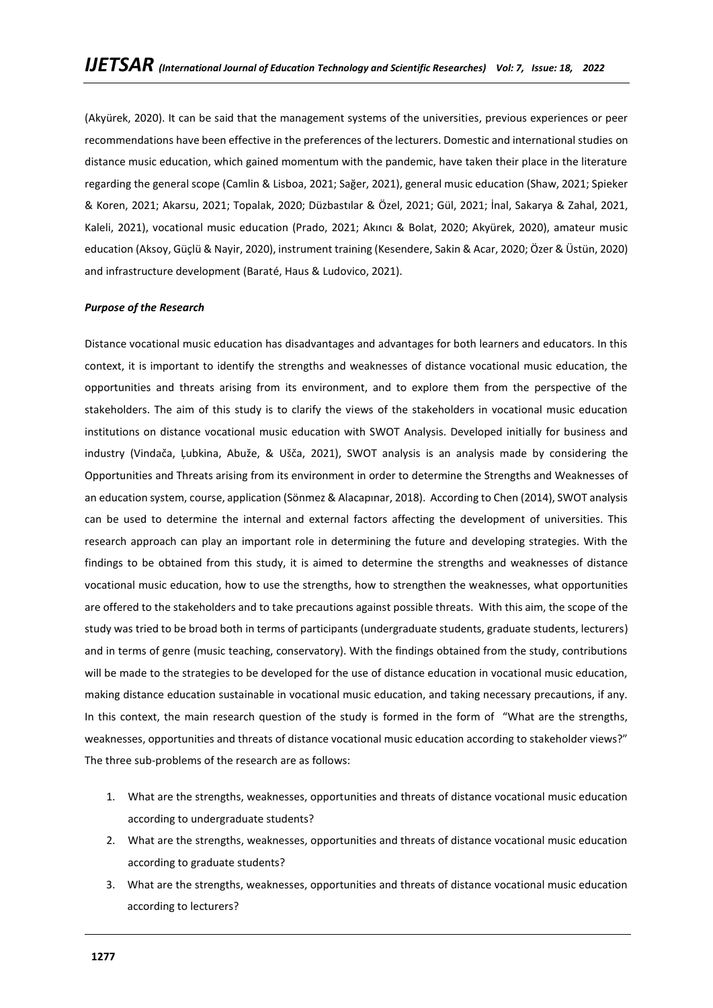(Akyürek, 2020). It can be said that the management systems of the universities, previous experiences or peer recommendations have been effective in the preferences of the lecturers. Domestic and international studies on distance music education, which gained momentum with the pandemic, have taken their place in the literature regarding the general scope (Camlin & Lisboa, 2021; Sağer, 2021), general music education (Shaw, 2021; Spieker & Koren, 2021; Akarsu, 2021; Topalak, 2020; Düzbastılar & Özel, 2021; Gül, 2021; İnal, Sakarya & Zahal, 2021, Kaleli, 2021), vocational music education (Prado, 2021; Akıncı & Bolat, 2020; Akyürek, 2020), amateur music education (Aksoy, Güçlü & Nayir, 2020), instrument training (Kesendere, Sakin & Acar, 2020; Özer & Üstün, 2020) and infrastructure development (Baraté, Haus & Ludovico, 2021).

### *Purpose of the Research*

Distance vocational music education has disadvantages and advantages for both learners and educators. In this context, it is important to identify the strengths and weaknesses of distance vocational music education, the opportunities and threats arising from its environment, and to explore them from the perspective of the stakeholders. The aim of this study is to clarify the views of the stakeholders in vocational music education institutions on distance vocational music education with SWOT Analysis. Developed initially for business and industry (Vindača, Ļubkina, Abuže, & Ušča, 2021), SWOT analysis is an analysis made by considering the Opportunities and Threats arising from its environment in order to determine the Strengths and Weaknesses of an education system, course, application (Sönmez & Alacapınar, 2018). According to Chen (2014), SWOT analysis can be used to determine the internal and external factors affecting the development of universities. This research approach can play an important role in determining the future and developing strategies. With the findings to be obtained from this study, it is aimed to determine the strengths and weaknesses of distance vocational music education, how to use the strengths, how to strengthen the weaknesses, what opportunities are offered to the stakeholders and to take precautions against possible threats. With this aim, the scope of the study was tried to be broad both in terms of participants (undergraduate students, graduate students, lecturers) and in terms of genre (music teaching, conservatory). With the findings obtained from the study, contributions will be made to the strategies to be developed for the use of distance education in vocational music education, making distance education sustainable in vocational music education, and taking necessary precautions, if any. In this context, the main research question of the study is formed in the form of "What are the strengths, weaknesses, opportunities and threats of distance vocational music education according to stakeholder views?" The three sub-problems of the research are as follows:

- 1. What are the strengths, weaknesses, opportunities and threats of distance vocational music education according to undergraduate students?
- 2. What are the strengths, weaknesses, opportunities and threats of distance vocational music education according to graduate students?
- 3. What are the strengths, weaknesses, opportunities and threats of distance vocational music education according to lecturers?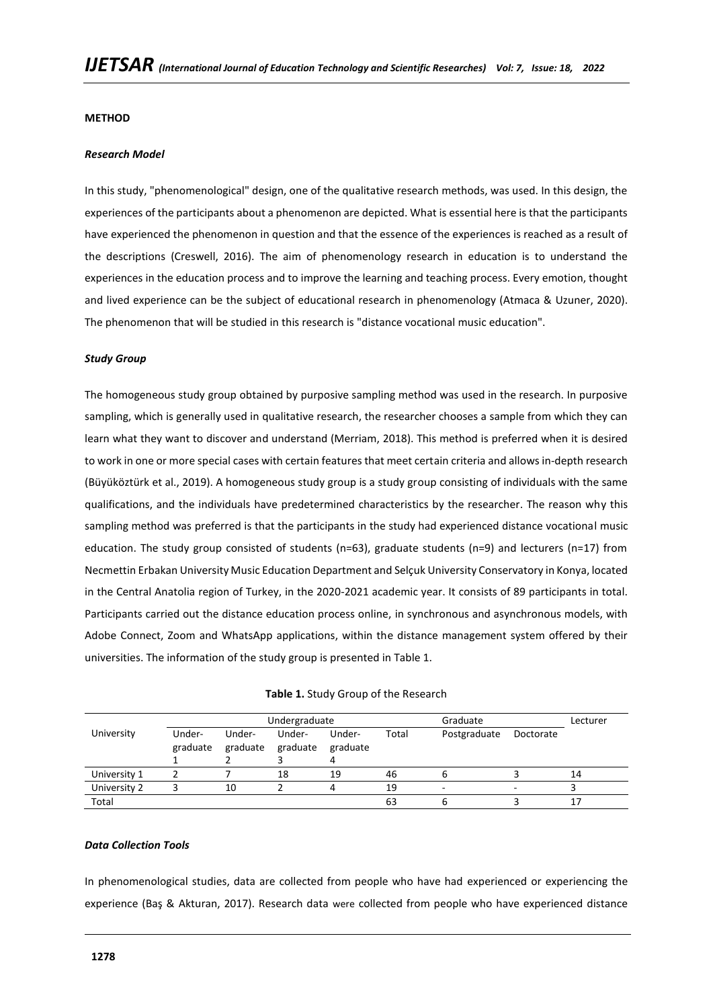### **METHOD**

#### *Research Model*

In this study, "phenomenological" design, one of the qualitative research methods, was used. In this design, the experiences of the participants about a phenomenon are depicted. What is essential here is that the participants have experienced the phenomenon in question and that the essence of the experiences is reached as a result of the descriptions (Creswell, 2016). The aim of phenomenology research in education is to understand the experiences in the education process and to improve the learning and teaching process. Every emotion, thought and lived experience can be the subject of educational research in phenomenology (Atmaca & Uzuner, 2020). The phenomenon that will be studied in this research is "distance vocational music education".

### *Study Group*

The homogeneous study group obtained by purposive sampling method was used in the research. In purposive sampling, which is generally used in qualitative research, the researcher chooses a sample from which they can learn what they want to discover and understand (Merriam, 2018). This method is preferred when it is desired to work in one or more special cases with certain features that meet certain criteria and allows in-depth research (Büyüköztürk et al., 2019). A homogeneous study group is a study group consisting of individuals with the same qualifications, and the individuals have predetermined characteristics by the researcher. The reason why this sampling method was preferred is that the participants in the study had experienced distance vocational music education. The study group consisted of students (n=63), graduate students (n=9) and lecturers (n=17) from Necmettin Erbakan University Music Education Department and Selçuk University Conservatory in Konya, located in the Central Anatolia region of Turkey, in the 2020-2021 academic year. It consists of 89 participants in total. Participants carried out the distance education process online, in synchronous and asynchronous models, with Adobe Connect, Zoom and WhatsApp applications, within the distance management system offered by their universities. The information of the study group is presented in Table 1.

|              |                    |                    | Undergraduate      |                    |       | Lecturer     |           |    |
|--------------|--------------------|--------------------|--------------------|--------------------|-------|--------------|-----------|----|
| University   | Under-<br>graduate | Under-<br>graduate | Under-<br>graduate | Under-<br>graduate | Total | Postgraduate | Doctorate |    |
| University 1 |                    |                    | 18                 | 19                 | 46    |              |           | 14 |
| University 2 |                    | 10                 |                    |                    | 19    | -            |           |    |
| Total        |                    |                    |                    |                    | 63    |              |           |    |

|  |  |  |  | Table 1. Study Group of the Research |
|--|--|--|--|--------------------------------------|
|--|--|--|--|--------------------------------------|

### *Data Collection Tools*

In phenomenological studies, data are collected from people who have had experienced or experiencing the experience (Baş & Akturan, 2017). Research data were collected from people who have experienced distance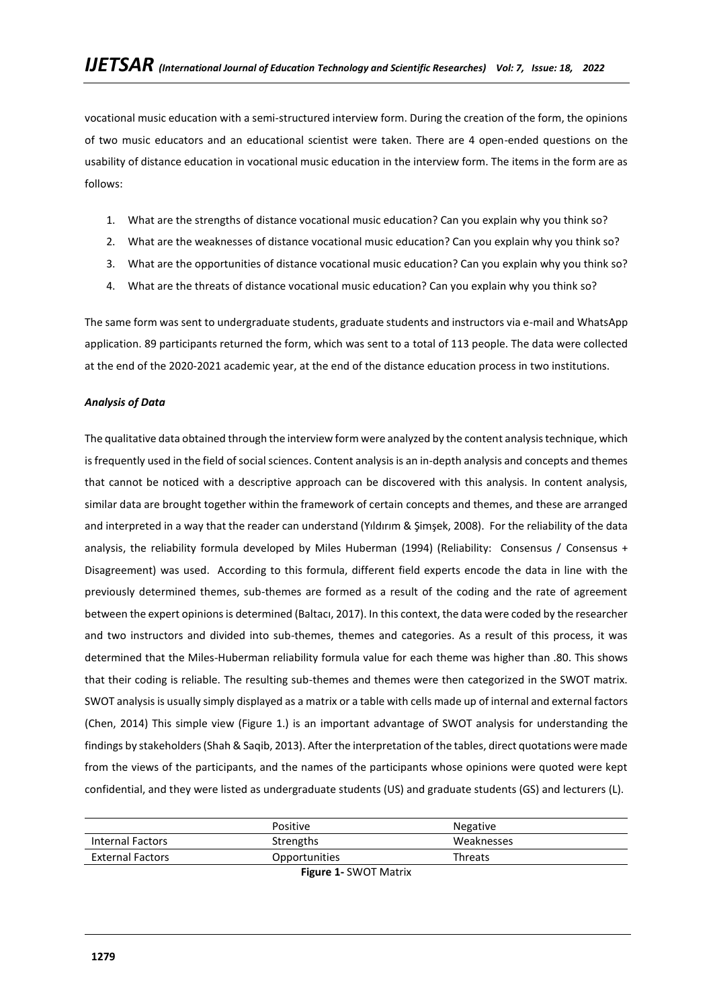vocational music education with a semi-structured interview form. During the creation of the form, the opinions of two music educators and an educational scientist were taken. There are 4 open-ended questions on the usability of distance education in vocational music education in the interview form. The items in the form are as follows:

- 1. What are the strengths of distance vocational music education? Can you explain why you think so?
- 2. What are the weaknesses of distance vocational music education? Can you explain why you think so?
- 3. What are the opportunities of distance vocational music education? Can you explain why you think so?
- 4. What are the threats of distance vocational music education? Can you explain why you think so?

The same form was sent to undergraduate students, graduate students and instructors via e-mail and WhatsApp application. 89 participants returned the form, which was sent to a total of 113 people. The data were collected at the end of the 2020-2021 academic year, at the end of the distance education process in two institutions.

### *Analysis of Data*

The qualitative data obtained through the interview form were analyzed by the content analysis technique, which is frequently used in the field of social sciences. Content analysis is an in-depth analysis and concepts and themes that cannot be noticed with a descriptive approach can be discovered with this analysis. In content analysis, similar data are brought together within the framework of certain concepts and themes, and these are arranged and interpreted in a way that the reader can understand (Yıldırım & Şimşek, 2008). For the reliability of the data analysis, the reliability formula developed by Miles Huberman (1994) (Reliability: Consensus / Consensus + Disagreement) was used. According to this formula, different field experts encode the data in line with the previously determined themes, sub-themes are formed as a result of the coding and the rate of agreement between the expert opinions is determined (Baltacı, 2017). In this context, the data were coded by the researcher and two instructors and divided into sub-themes, themes and categories. As a result of this process, it was determined that the Miles-Huberman reliability formula value for each theme was higher than .80. This shows that their coding is reliable. The resulting sub-themes and themes were then categorized in the SWOT matrix. SWOT analysis is usually simply displayed as a matrix or a table with cells made up of internal and external factors (Chen, 2014) This simple view (Figure 1.) is an important advantage of SWOT analysis for understanding the findings by stakeholders (Shah & Saqib, 2013). After the interpretation of the tables, direct quotations were made from the views of the participants, and the names of the participants whose opinions were quoted were kept confidential, and they were listed as undergraduate students (US) and graduate students (GS) and lecturers (L).

|                         | <b>Positive</b> | Negative   |
|-------------------------|-----------------|------------|
| Internal Factors        | Strengths       | Weaknesses |
| <b>External Factors</b> | Opportunities   | Threats    |
|                         | $\blacksquare$  |            |

**Figure 1-** SWOT Matrix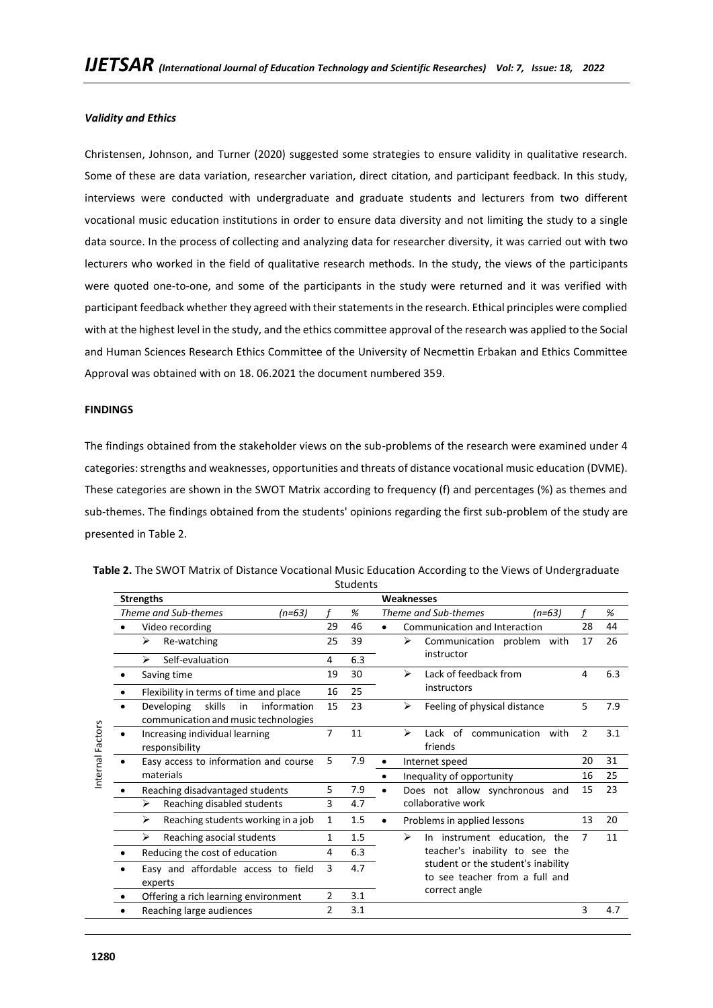### *Validity and Ethics*

Christensen, Johnson, and Turner (2020) suggested some strategies to ensure validity in qualitative research. Some of these are data variation, researcher variation, direct citation, and participant feedback. In this study, interviews were conducted with undergraduate and graduate students and lecturers from two different vocational music education institutions in order to ensure data diversity and not limiting the study to a single data source. In the process of collecting and analyzing data for researcher diversity, it was carried out with two lecturers who worked in the field of qualitative research methods. In the study, the views of the participants were quoted one-to-one, and some of the participants in the study were returned and it was verified with participant feedback whether they agreed with their statements in the research. Ethical principles were complied with at the highest level in the study, and the ethics committee approval of the research was applied to the Social and Human Sciences Research Ethics Committee of the University of Necmettin Erbakan and Ethics Committee Approval was obtained with on 18. 06.2021 the document numbered 359.

#### **FINDINGS**

The findings obtained from the stakeholder views on the sub-problems of the research were examined under 4 categories: strengths and weaknesses, opportunities and threats of distance vocational music education (DVME). These categories are shown in the SWOT Matrix according to frequency (f) and percentages (%) as themes and sub-themes. The findings obtained from the students' opinions regarding the first sub-problem of the study are presented in Table 2.

|                  |           | <b>Strengths</b>                                                                  |                |     | Weaknesses                                                           |                |     |
|------------------|-----------|-----------------------------------------------------------------------------------|----------------|-----|----------------------------------------------------------------------|----------------|-----|
|                  |           | Theme and Sub-themes<br>(n=63)                                                    |                | %   | Theme and Sub-themes<br>$(n=63)$                                     |                | %   |
|                  |           | Video recording                                                                   | 29             | 46  | Communication and Interaction<br>$\bullet$                           | 28             | 44  |
|                  |           | Re-watching<br>⋗                                                                  | 25             | 39  | ↘<br>Communication problem with                                      | 17             | 26  |
|                  |           | Self-evaluation<br>⋗                                                              | 4              | 6.3 | instructor                                                           |                |     |
|                  |           | Saving time                                                                       | 19             | 30  | ⋗<br>Lack of feedback from                                           | 4              | 6.3 |
|                  |           | Flexibility in terms of time and place                                            | 16             | 25  | instructors                                                          |                |     |
|                  |           | skills<br>information<br>Developing<br>in<br>communication and music technologies | 15             | 23  | Feeling of physical distance<br>⋗                                    | 5              | 7.9 |
| Internal Factors |           | Increasing individual learning<br>responsibility                                  | $\overline{7}$ | 11  | Lack of communication with<br>↘<br>friends                           | $\overline{2}$ | 3.1 |
|                  | $\bullet$ | Easy access to information and course                                             | 5              | 7.9 | Internet speed                                                       | 20             | 31  |
|                  |           | materials                                                                         |                |     | Inequality of opportunity                                            | 16             | 25  |
|                  |           | Reaching disadvantaged students                                                   | 5              | 7.9 | Does not allow synchronous and                                       | 15             | 23  |
|                  |           | Reaching disabled students<br>⋗                                                   | 3              | 4.7 | collaborative work                                                   |                |     |
|                  |           | Reaching students working in a job<br>≻                                           | 1              | 1.5 | Problems in applied lessons<br>$\bullet$                             | 13             | 20  |
|                  |           | Reaching asocial students<br>↘                                                    | 1              | 1.5 | ↘<br>In instrument education, the                                    | 7              | 11  |
|                  |           | Reducing the cost of education                                                    | 4              | 6.3 | teacher's inability to see the                                       |                |     |
|                  |           | Easy and affordable access to field<br>experts                                    | 3              | 4.7 | student or the student's inability<br>to see teacher from a full and |                |     |
|                  |           | Offering a rich learning environment                                              | $\overline{2}$ | 3.1 | correct angle                                                        |                |     |
|                  |           | Reaching large audiences                                                          | $\overline{2}$ | 3.1 |                                                                      | 3              | 4.7 |

**Table 2.** The SWOT Matrix of Distance Vocational Music Education According to the Views of Undergraduate Students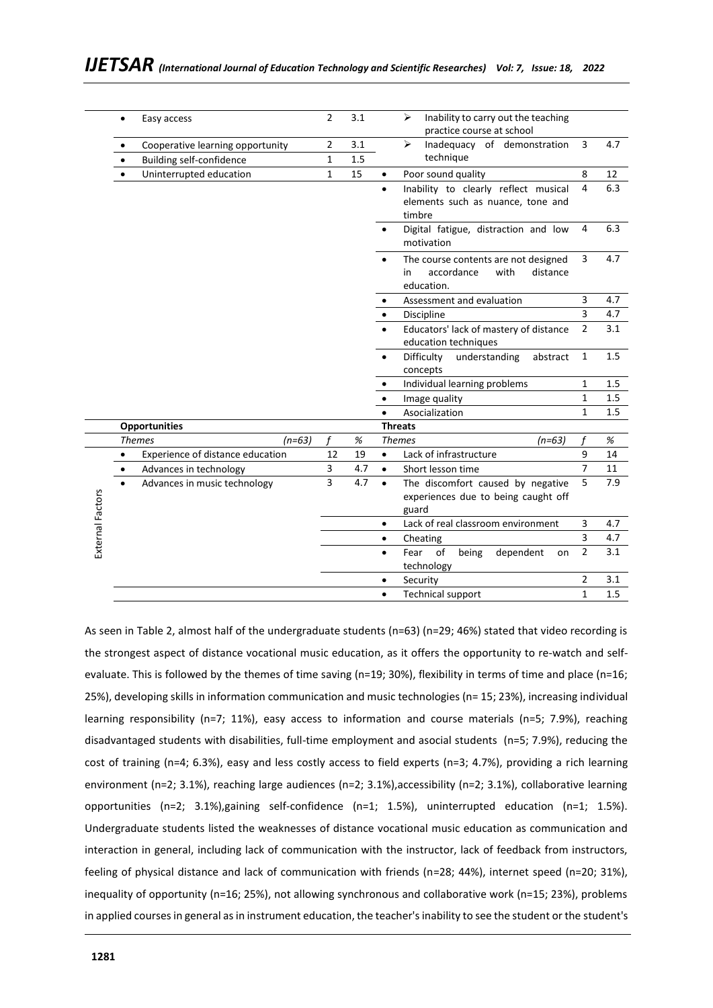|                               | Easy access<br>$\bullet$                      |          | 2              | 3.1  |           | Inability to carry out the teaching<br>➤<br>practice course at school                      |                |      |
|-------------------------------|-----------------------------------------------|----------|----------------|------|-----------|--------------------------------------------------------------------------------------------|----------------|------|
|                               | Cooperative learning opportunity              |          | $\overline{2}$ | 3.1  |           | ➤<br>Inadequacy of demonstration                                                           | 3              | 4.7  |
|                               | <b>Building self-confidence</b>               |          | 1              | 1.5  |           | technique                                                                                  |                |      |
|                               | Uninterrupted education<br>$\bullet$          |          | $\mathbf{1}$   | 15   |           | Poor sound quality                                                                         | 8              | 12   |
|                               |                                               |          |                |      | $\bullet$ | Inability to clearly reflect musical<br>elements such as nuance, tone and<br>timbre        | 4              | 6.3  |
|                               |                                               |          |                |      |           | Digital fatigue, distraction and low<br>motivation                                         | 4              | 6.3  |
|                               |                                               |          |                |      |           | The course contents are not designed<br>accordance<br>with<br>distance<br>in<br>education. | 3              | 4.7  |
|                               |                                               |          |                |      |           | Assessment and evaluation                                                                  | 3              | 4.7  |
|                               |                                               |          |                |      |           | Discipline                                                                                 | 3              | 4.7  |
|                               |                                               |          |                |      |           | Educators' lack of mastery of distance<br>education techniques                             | $\overline{2}$ | 3.1  |
|                               |                                               |          |                |      |           | Difficulty<br>understanding<br>abstract<br>concepts                                        | $\mathbf{1}$   | 1.5  |
|                               |                                               |          |                |      |           | Individual learning problems                                                               | $\mathbf{1}$   | 1.5  |
|                               |                                               |          |                |      |           | Image quality                                                                              | $\mathbf{1}$   | 1.5  |
|                               |                                               |          |                |      |           | Asocialization                                                                             | 1              | 1.5  |
|                               | <b>Opportunities</b>                          |          |                |      |           | <b>Threats</b>                                                                             |                |      |
|                               | <b>Themes</b>                                 | $(n=63)$ |                | $\%$ |           | <b>Themes</b><br>(n=63)                                                                    | f              | $\%$ |
|                               | Experience of distance education<br>$\bullet$ |          | 12             | 19   | $\bullet$ | Lack of infrastructure                                                                     | 9              | 14   |
|                               | Advances in technology                        |          | 3              | 4.7  | $\bullet$ | Short lesson time                                                                          | $\overline{7}$ | 11   |
| $\bullet$<br>External Factors | Advances in music technology                  |          | 3              | 4.7  |           | The discomfort caused by negative<br>experiences due to being caught off<br>guard          | 5              | 7.9  |
|                               |                                               |          |                |      | ٠         | Lack of real classroom environment                                                         | 3              | 4.7  |
|                               |                                               |          |                |      | $\bullet$ | Cheating                                                                                   | 3              | 4.7  |
|                               |                                               |          |                |      | $\bullet$ | of<br>Fear<br>being<br>dependent<br>on<br>technology                                       | $\overline{2}$ | 3.1  |
|                               |                                               |          |                |      |           | Security                                                                                   | $\overline{2}$ | 3.1  |
|                               |                                               |          |                |      | $\bullet$ | <b>Technical support</b>                                                                   | $\mathbf{1}$   | 1.5  |

As seen in Table 2, almost half of the undergraduate students (n=63) (n=29; 46%) stated that video recording is the strongest aspect of distance vocational music education, as it offers the opportunity to re-watch and selfevaluate. This is followed by the themes of time saving (n=19; 30%), flexibility in terms of time and place (n=16; 25%), developing skills in information communication and music technologies (n= 15; 23%), increasing individual learning responsibility (n=7; 11%), easy access to information and course materials (n=5; 7.9%), reaching disadvantaged students with disabilities, full-time employment and asocial students (n=5; 7.9%), reducing the cost of training (n=4; 6.3%), easy and less costly access to field experts (n=3; 4.7%), providing a rich learning environment (n=2; 3.1%), reaching large audiences (n=2; 3.1%), accessibility (n=2; 3.1%), collaborative learning opportunities (n=2; 3.1%),gaining self-confidence (n=1; 1.5%), uninterrupted education (n=1; 1.5%). Undergraduate students listed the weaknesses of distance vocational music education as communication and interaction in general, including lack of communication with the instructor, lack of feedback from instructors, feeling of physical distance and lack of communication with friends (n=28; 44%), internet speed (n=20; 31%), inequality of opportunity (n=16; 25%), not allowing synchronous and collaborative work (n=15; 23%), problems in applied courses in general as in instrument education, the teacher's inability to see the student or the student's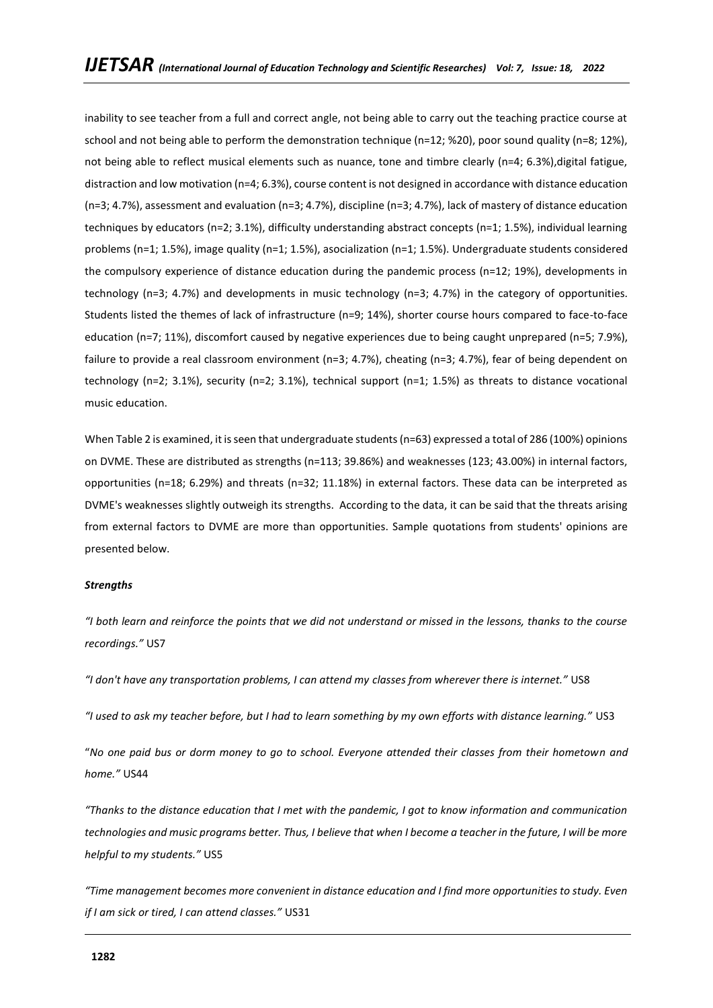inability to see teacher from a full and correct angle, not being able to carry out the teaching practice course at school and not being able to perform the demonstration technique (n=12; %20), poor sound quality (n=8; 12%), not being able to reflect musical elements such as nuance, tone and timbre clearly (n=4; 6.3%),digital fatigue, distraction and low motivation (n=4; 6.3%), course content is not designed in accordance with distance education (n=3; 4.7%), assessment and evaluation (n=3; 4.7%), discipline (n=3; 4.7%), lack of mastery of distance education techniques by educators (n=2; 3.1%), difficulty understanding abstract concepts (n=1; 1.5%), individual learning problems (n=1; 1.5%), image quality (n=1; 1.5%), asocialization (n=1; 1.5%). Undergraduate students considered the compulsory experience of distance education during the pandemic process (n=12; 19%), developments in technology (n=3; 4.7%) and developments in music technology (n=3; 4.7%) in the category of opportunities. Students listed the themes of lack of infrastructure (n=9; 14%), shorter course hours compared to face-to-face education (n=7; 11%), discomfort caused by negative experiences due to being caught unprepared (n=5; 7.9%), failure to provide a real classroom environment (n=3; 4.7%), cheating (n=3; 4.7%), fear of being dependent on technology (n=2; 3.1%), security (n=2; 3.1%), technical support (n=1; 1.5%) as threats to distance vocational music education.

When Table 2 is examined, it is seen that undergraduate students (n=63) expressed a total of 286 (100%) opinions on DVME. These are distributed as strengths (n=113; 39.86%) and weaknesses (123; 43.00%) in internal factors, opportunities (n=18; 6.29%) and threats (n=32; 11.18%) in external factors. These data can be interpreted as DVME's weaknesses slightly outweigh its strengths. According to the data, it can be said that the threats arising from external factors to DVME are more than opportunities. Sample quotations from students' opinions are presented below.

### *Strengths*

*"I both learn and reinforce the points that we did not understand or missed in the lessons, thanks to the course recordings."* US7

*"I don't have any transportation problems, I can attend my classes from wherever there is internet."* US8

*"I used to ask my teacher before, but I had to learn something by my own efforts with distance learning."* US3

"*No one paid bus or dorm money to go to school. Everyone attended their classes from their hometown and home."* US44

*"Thanks to the distance education that I met with the pandemic, I got to know information and communication technologies and music programs better. Thus, I believe that when I become a teacher in the future, I will be more helpful to my students."* US5

*"Time management becomes more convenient in distance education and I find more opportunities to study. Even if I am sick or tired, I can attend classes."* US31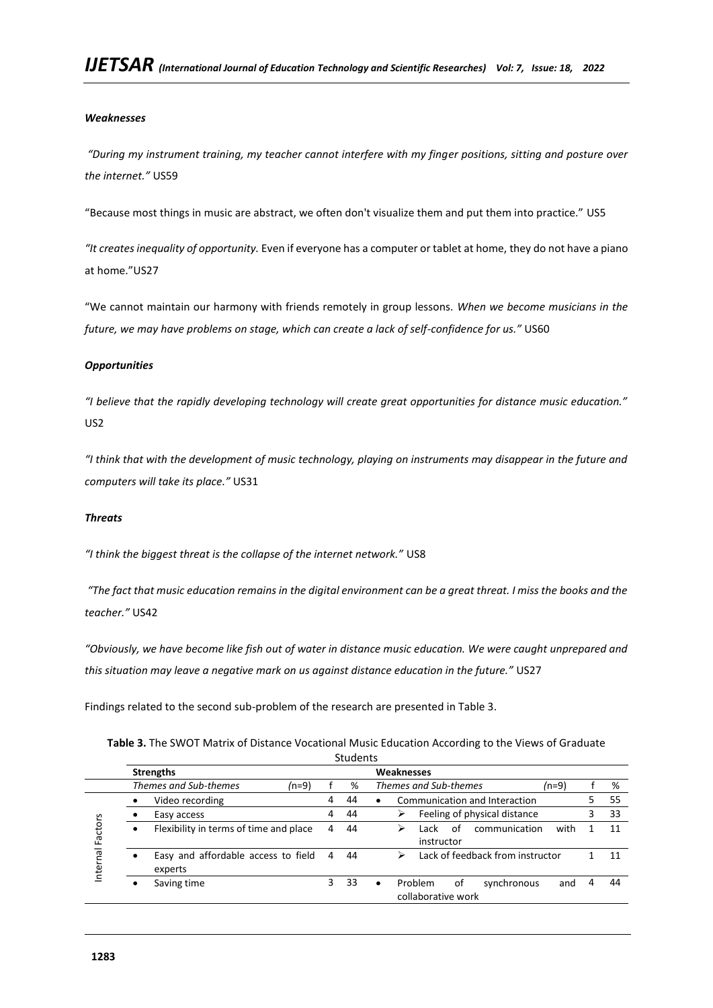### *Weaknesses*

*"During my instrument training, my teacher cannot interfere with my finger positions, sitting and posture over the internet."* US59

"Because most things in music are abstract, we often don't visualize them and put them into practice." US5

*"It creates inequality of opportunity.* Even if everyone has a computer or tablet at home, they do not have a piano at home."US27

"We cannot maintain our harmony with friends remotely in group lessons. *When we become musicians in the future, we may have problems on stage, which can create a lack of self-confidence for us."* US60

# *Opportunities*

*"I believe that the rapidly developing technology will create great opportunities for distance music education."*  US2

*"I think that with the development of music technology, playing on instruments may disappear in the future and computers will take its place."* US31

### *Threats*

*"I think the biggest threat is the collapse of the internet network."* US8

*"The fact that music education remains in the digital environment can be a great threat. I miss the books and the teacher."* US42

*"Obviously, we have become like fish out of water in distance music education. We were caught unprepared and this situation may leave a negative mark on us against distance education in the future."* US27

Findings related to the second sub-problem of the research are presented in Table 3.

| Table 3. The SWOT Matrix of Distance Vocational Music Education According to the Views of Graduate |
|----------------------------------------------------------------------------------------------------|
| $C+1$                                                                                              |

|          |           |                                                |   | stuuents |                                                                                   |
|----------|-----------|------------------------------------------------|---|----------|-----------------------------------------------------------------------------------|
|          |           | <b>Strengths</b>                               |   |          | Weaknesses                                                                        |
|          |           | Themes and Sub-themes<br>$(n=9)$               |   | %        | Themes and Sub-themes<br>$(n=9)$<br>%                                             |
|          |           | Video recording                                | 4 | 44       | Communication and Interaction<br>55<br>$\bullet$                                  |
|          |           | Easy access                                    | 4 | 44       | Feeling of physical distance<br>33<br>⋗                                           |
| Factors  | ٠         | Flexibility in terms of time and place         | 4 | 44       | with<br>of<br>communication<br>11<br>⋗<br>Lack<br>instructor                      |
| Internal | $\bullet$ | Easy and affordable access to field<br>experts | 4 | 44       | Lack of feedback from instructor<br>11<br>⋗                                       |
|          | $\bullet$ | Saving time                                    | 3 | 33       | Problem<br>οf<br>synchronous<br>44<br>4<br>and<br>$\bullet$<br>collaborative work |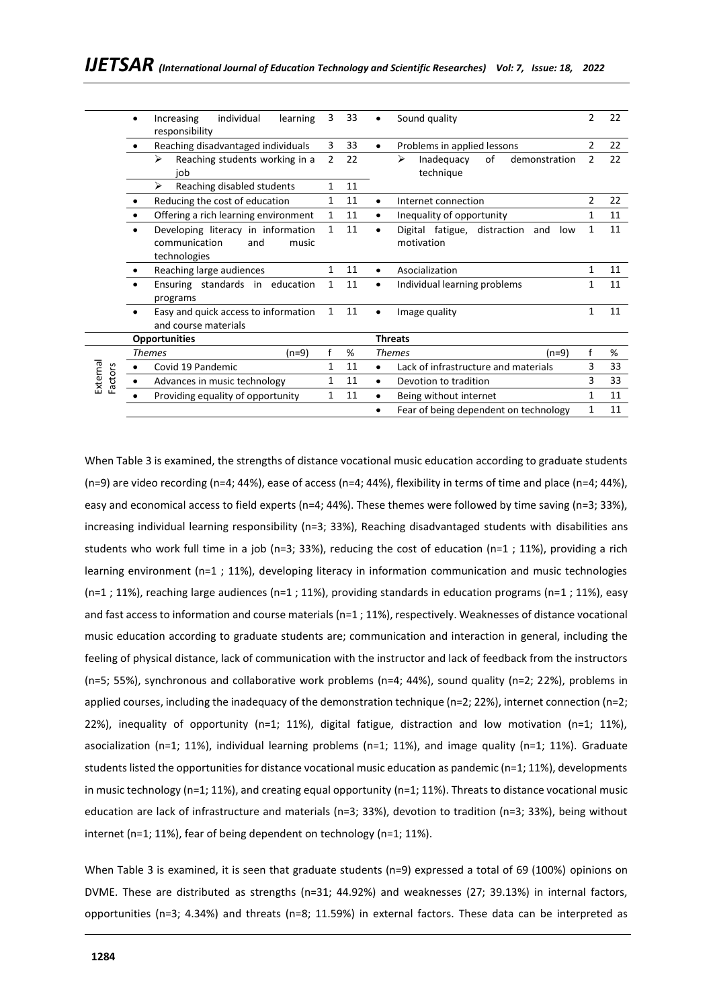|                     | individual<br>learning<br>Increasing<br>$\bullet$<br>responsibility                 | 3              | 33 | Sound quality                                            | 2              | 22 |
|---------------------|-------------------------------------------------------------------------------------|----------------|----|----------------------------------------------------------|----------------|----|
|                     | Reaching disadvantaged individuals                                                  | 3              | 33 | Problems in applied lessons<br>$\bullet$                 | $\overline{2}$ | 22 |
|                     | Reaching students working in a<br>↘<br>job                                          | $\overline{2}$ | 22 | ↘<br>of<br>Inadequacy<br>demonstration<br>technique      | 2              | 22 |
|                     | Reaching disabled students<br>⋗                                                     | 1              | 11 |                                                          |                |    |
|                     | Reducing the cost of education                                                      | $\mathbf{1}$   | 11 | Internet connection<br>$\bullet$                         | $\mathcal{P}$  | 22 |
|                     | Offering a rich learning environment                                                | $\mathbf{1}$   | 11 | Inequality of opportunity<br>٠                           | 1              | 11 |
|                     | Developing literacy in information<br>communication<br>and<br>music<br>technologies | 1              | 11 | Digital fatigue, distraction<br>and<br>low<br>motivation | 1              | 11 |
|                     | Reaching large audiences                                                            | $\mathbf{1}$   | 11 | Asocialization<br>$\bullet$                              | 1              | 11 |
|                     | Ensuring standards in education<br>programs                                         | 1              | 11 | Individual learning problems<br>$\bullet$                | 1              | 11 |
|                     | Easy and quick access to information<br>and course materials                        | $\mathbf{1}$   | 11 | Image quality                                            | 1              | 11 |
|                     | <b>Opportunities</b>                                                                |                |    | <b>Threats</b>                                           |                |    |
|                     | <b>Themes</b><br>(n=9)                                                              |                | %  | <b>Themes</b><br>(n=9)                                   |                | %  |
|                     | Covid 19 Pandemic                                                                   | 1              | 11 | Lack of infrastructure and materials<br>$\bullet$        | 3              | 33 |
| External<br>Factors | Advances in music technology                                                        | 1              | 11 | Devotion to tradition<br>$\bullet$                       | 3              | 33 |
|                     | Providing equality of opportunity                                                   | 1              | 11 | Being without internet<br>$\bullet$                      | 1              | 11 |
|                     |                                                                                     |                |    | Fear of being dependent on technology                    | $\mathbf{1}$   | 11 |

When Table 3 is examined, the strengths of distance vocational music education according to graduate students (n=9) are video recording (n=4; 44%), ease of access (n=4; 44%), flexibility in terms of time and place (n=4; 44%), easy and economical access to field experts (n=4; 44%). These themes were followed by time saving (n=3; 33%), increasing individual learning responsibility (n=3; 33%), Reaching disadvantaged students with disabilities ans students who work full time in a job (n=3; 33%), reducing the cost of education (n=1 ; 11%), providing a rich learning environment (n=1 ; 11%), developing literacy in information communication and music technologies  $(n=1; 11%)$ , reaching large audiences  $(n=1; 11%)$ , providing standards in education programs  $(n=1; 11%)$ , easy and fast access to information and course materials (n=1 ; 11%), respectively. Weaknesses of distance vocational music education according to graduate students are; communication and interaction in general, including the feeling of physical distance, lack of communication with the instructor and lack of feedback from the instructors (n=5; 55%), synchronous and collaborative work problems (n=4; 44%), sound quality (n=2; 22%), problems in applied courses, including the inadequacy of the demonstration technique (n=2; 22%), internet connection (n=2; 22%), inequality of opportunity (n=1; 11%), digital fatigue, distraction and low motivation (n=1; 11%), asocialization (n=1; 11%), individual learning problems (n=1; 11%), and image quality (n=1; 11%). Graduate students listed the opportunities for distance vocational music education as pandemic (n=1; 11%), developments in music technology ( $n=1$ ; 11%), and creating equal opportunity ( $n=1$ ; 11%). Threats to distance vocational music education are lack of infrastructure and materials (n=3; 33%), devotion to tradition (n=3; 33%), being without internet (n=1; 11%), fear of being dependent on technology (n=1; 11%).

When Table 3 is examined, it is seen that graduate students (n=9) expressed a total of 69 (100%) opinions on DVME. These are distributed as strengths (n=31; 44.92%) and weaknesses (27; 39.13%) in internal factors, opportunities (n=3; 4.34%) and threats (n=8; 11.59%) in external factors. These data can be interpreted as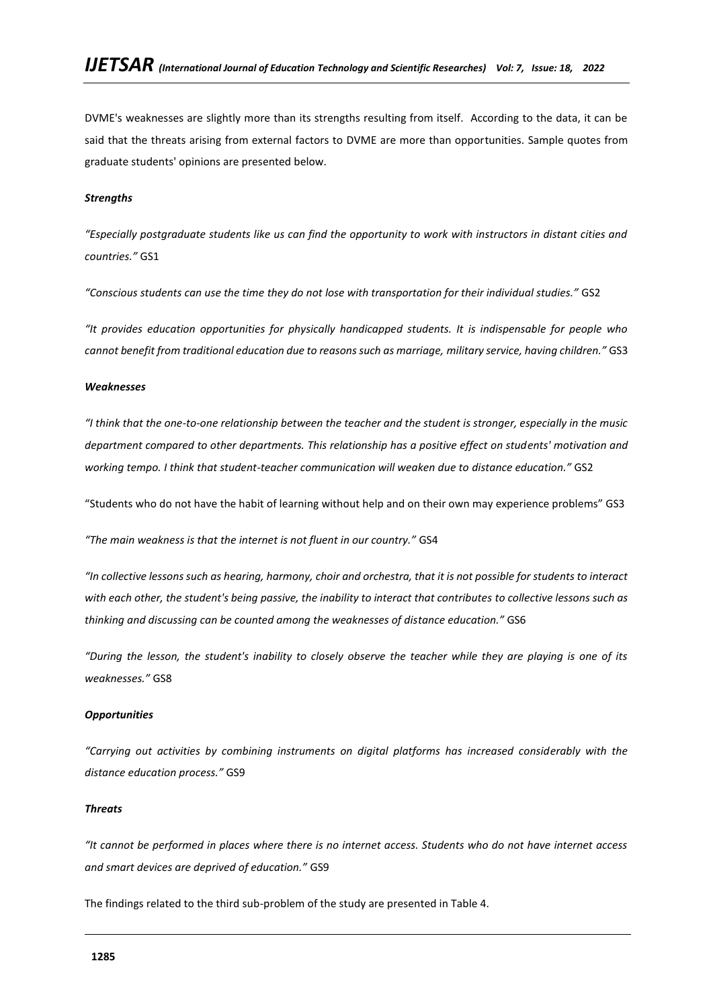DVME's weaknesses are slightly more than its strengths resulting from itself. According to the data, it can be said that the threats arising from external factors to DVME are more than opportunities. Sample quotes from graduate students' opinions are presented below.

### *Strengths*

*"Especially postgraduate students like us can find the opportunity to work with instructors in distant cities and countries."* GS1

*"Conscious students can use the time they do not lose with transportation for their individual studies."* GS2

*"It provides education opportunities for physically handicapped students. It is indispensable for people who cannot benefit from traditional education due to reasons such as marriage, military service, having children."* GS3

### *Weaknesses*

*"I think that the one-to-one relationship between the teacher and the student is stronger, especially in the music department compared to other departments. This relationship has a positive effect on students' motivation and working tempo. I think that student-teacher communication will weaken due to distance education."* GS2

"Students who do not have the habit of learning without help and on their own may experience problems" GS3

*"The main weakness is that the internet is not fluent in our country."* GS4

*"In collective lessons such as hearing, harmony, choir and orchestra, that it is not possible for students to interact with each other, the student's being passive, the inability to interact that contributes to collective lessons such as thinking and discussing can be counted among the weaknesses of distance education."* GS6

*"During the lesson, the student's inability to closely observe the teacher while they are playing is one of its weaknesses."* GS8

#### *Opportunities*

*"Carrying out activities by combining instruments on digital platforms has increased considerably with the distance education process."* GS9

#### *Threats*

*"It cannot be performed in places where there is no internet access. Students who do not have internet access and smart devices are deprived of education."* GS9

The findings related to the third sub-problem of the study are presented in Table 4.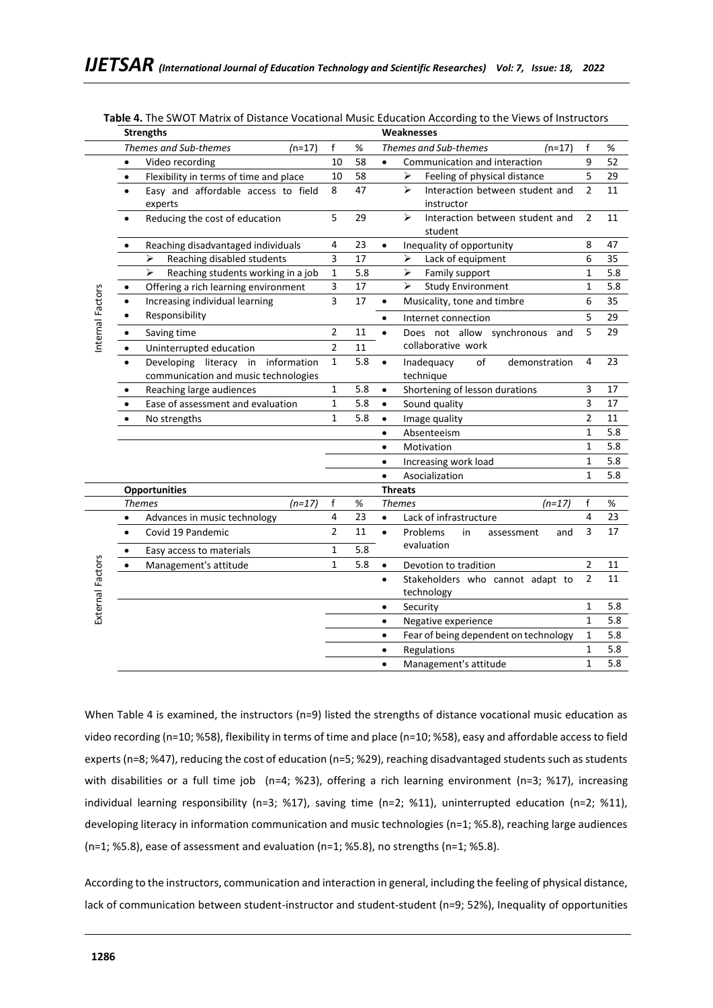|                  | <b>Strengths</b>                                      |                |     | Weaknesses                                       |                |     |
|------------------|-------------------------------------------------------|----------------|-----|--------------------------------------------------|----------------|-----|
|                  | Themes and Sub-themes<br>$(n=17)$                     | $\mathsf{f}$   | %   | Themes and Sub-themes<br>$(n=17)$                | $\mathsf{f}$   | %   |
|                  | $\bullet$<br>Video recording                          | 10             | 58  | Communication and interaction<br>$\bullet$       | 9              | 52  |
|                  | Flexibility in terms of time and place<br>$\bullet$   | 10             | 58  | Feeling of physical distance<br>➤                | 5              | 29  |
|                  | Easy and affordable access to field<br>$\bullet$      | 8              | 47  | ➤<br>Interaction between student and             | $\overline{2}$ | 11  |
|                  | experts                                               |                |     | instructor                                       |                |     |
|                  | Reducing the cost of education<br>٠                   | 5              | 29  | Interaction between student and<br>≻             | 2              | 11  |
|                  |                                                       |                |     | student                                          |                |     |
|                  | Reaching disadvantaged individuals                    | 4              | 23  | Inequality of opportunity<br>$\bullet$           | 8              | 47  |
|                  | ⋗<br>Reaching disabled students                       | 3              | 17  | Lack of equipment<br>⋗                           | 6              | 35  |
|                  | ⋗<br>Reaching students working in a job               | $\mathbf{1}$   | 5.8 | ⋗<br>Family support                              | $\mathbf{1}$   | 5.8 |
|                  | Offering a rich learning environment                  | 3              | 17  | ⋗<br><b>Study Environment</b>                    | 1              | 5.8 |
|                  | Increasing individual learning<br>$\bullet$           | $\overline{3}$ | 17  | Musicality, tone and timbre<br>$\bullet$         | 6              | 35  |
|                  | Responsibility<br>$\bullet$                           |                |     | Internet connection<br>$\bullet$                 | 5              | 29  |
| nternal Factors  | Saving time<br>$\bullet$                              | $\overline{2}$ | 11  | Does not allow synchronous<br>and<br>$\bullet$   | 5              | 29  |
|                  | Uninterrupted education<br>$\bullet$                  | $\overline{2}$ | 11  | collaborative work                               |                |     |
|                  | literacy in<br>information<br>Developing<br>$\bullet$ | $\mathbf{1}$   | 5.8 | of<br>Inadequacy<br>demonstration<br>$\bullet$   | 4              | 23  |
|                  | communication and music technologies                  |                |     | technique                                        |                |     |
|                  | Reaching large audiences<br>٠                         | $\mathbf{1}$   | 5.8 | Shortening of lesson durations<br>$\bullet$      | 3              | 17  |
|                  | Ease of assessment and evaluation<br>$\bullet$        | $\mathbf{1}$   | 5.8 | Sound quality<br>$\bullet$                       | 3              | 17  |
|                  | No strengths                                          | $\mathbf{1}$   | 5.8 | Image quality<br>$\bullet$                       | $\overline{2}$ | 11  |
|                  |                                                       |                |     | Absenteeism                                      | $\mathbf{1}$   | 5.8 |
|                  |                                                       |                |     | Motivation<br>$\bullet$                          | $\mathbf{1}$   | 5.8 |
|                  |                                                       |                |     | Increasing work load<br>$\bullet$                | 1              | 5.8 |
|                  |                                                       |                |     | Asocialization                                   | $\mathbf{1}$   | 5.8 |
|                  | <b>Opportunities</b>                                  |                |     | <b>Threats</b>                                   |                |     |
|                  | $(n=17)$<br><b>Themes</b>                             | f              | %   | <b>Themes</b><br>$(n=17)$                        | f              | %   |
|                  | Advances in music technology<br>$\bullet$             | 4              | 23  | $\bullet$<br>Lack of infrastructure              | 4              | 23  |
|                  | Covid 19 Pandemic<br>$\bullet$                        | $\overline{2}$ | 11  | $\bullet$<br>Problems<br>in<br>assessment<br>and | 3              | 17  |
|                  | Easy access to materials<br>$\bullet$                 | $\mathbf 1$    | 5.8 | evaluation                                       |                |     |
| External Factors | Management's attitude<br>$\bullet$                    | $\mathbf{1}$   | 5.8 | Devotion to tradition<br>$\bullet$               | 2              | 11  |
|                  |                                                       |                |     | Stakeholders who cannot adapt to<br>$\bullet$    | $\overline{2}$ | 11  |
|                  |                                                       |                |     | technology                                       |                |     |
|                  |                                                       |                |     | Security<br>$\bullet$                            | $\mathbf{1}$   | 5.8 |
|                  |                                                       |                |     | Negative experience                              | 1              | 5.8 |
|                  |                                                       |                |     | Fear of being dependent on technology            | 1              | 5.8 |
|                  |                                                       |                |     | Regulations                                      | 1              | 5.8 |
|                  |                                                       |                |     | Management's attitude<br>$\bullet$               | $\mathbf{1}$   | 5.8 |

**Table 4.** The SWOT Matrix of Distance Vocational Music Education According to the Views of Instructors

When Table 4 is examined, the instructors (n=9) listed the strengths of distance vocational music education as video recording (n=10; %58), flexibility in terms of time and place (n=10; %58), easy and affordable access to field experts (n=8; %47), reducing the cost of education (n=5; %29), reaching disadvantaged students such as students with disabilities or a full time job (n=4; %23), offering a rich learning environment (n=3; %17), increasing individual learning responsibility (n=3; %17), saving time (n=2; %11), uninterrupted education (n=2; %11), developing literacy in information communication and music technologies (n=1; %5.8), reaching large audiences (n=1; %5.8), ease of assessment and evaluation (n=1; %5.8), no strengths (n=1; %5.8).

According to the instructors, communication and interaction in general, including the feeling of physical distance, lack of communication between student-instructor and student-student (n=9; 52%), Inequality of opportunities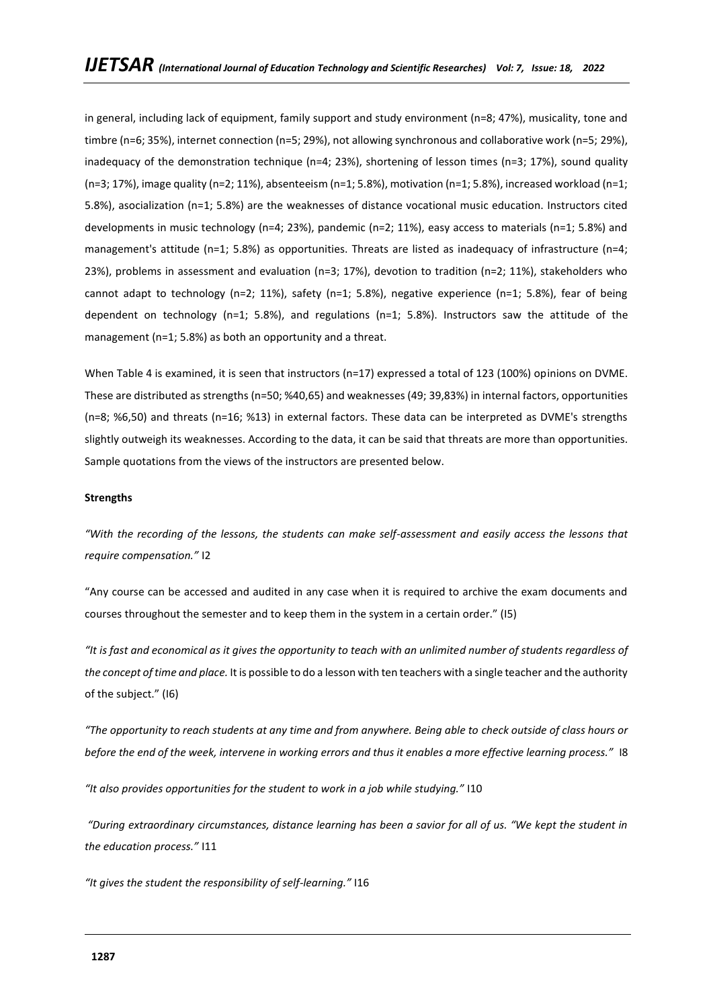in general, including lack of equipment, family support and study environment (n=8; 47%), musicality, tone and timbre (n=6; 35%), internet connection (n=5; 29%), not allowing synchronous and collaborative work (n=5; 29%), inadequacy of the demonstration technique (n=4; 23%), shortening of lesson times (n=3; 17%), sound quality (n=3; 17%), image quality (n=2; 11%), absenteeism (n=1; 5.8%), motivation (n=1; 5.8%), increased workload (n=1; 5.8%), asocialization (n=1; 5.8%) are the weaknesses of distance vocational music education. Instructors cited developments in music technology (n=4; 23%), pandemic (n=2; 11%), easy access to materials (n=1; 5.8%) and management's attitude (n=1; 5.8%) as opportunities. Threats are listed as inadequacy of infrastructure (n=4; 23%), problems in assessment and evaluation (n=3; 17%), devotion to tradition (n=2; 11%), stakeholders who cannot adapt to technology (n=2; 11%), safety (n=1; 5.8%), negative experience (n=1; 5.8%), fear of being dependent on technology (n=1; 5.8%), and regulations (n=1; 5.8%). Instructors saw the attitude of the management (n=1; 5.8%) as both an opportunity and a threat.

When Table 4 is examined, it is seen that instructors (n=17) expressed a total of 123 (100%) opinions on DVME. These are distributed as strengths (n=50; %40,65) and weaknesses (49; 39,83%) in internal factors, opportunities (n=8; %6,50) and threats (n=16; %13) in external factors. These data can be interpreted as DVME's strengths slightly outweigh its weaknesses. According to the data, it can be said that threats are more than opportunities. Sample quotations from the views of the instructors are presented below.

#### **Strengths**

*"With the recording of the lessons, the students can make self-assessment and easily access the lessons that require compensation."* I2

"Any course can be accessed and audited in any case when it is required to archive the exam documents and courses throughout the semester and to keep them in the system in a certain order." (I5)

*"It is fast and economical as it gives the opportunity to teach with an unlimited number of students regardless of the concept of time and place.* It is possible to do a lesson with ten teachers with a single teacher and the authority of the subject." (I6)

*"The opportunity to reach students at any time and from anywhere. Being able to check outside of class hours or before the end of the week, intervene in working errors and thus it enables a more effective learning process."* I8

*"It also provides opportunities for the student to work in a job while studying."* I10

*"During extraordinary circumstances, distance learning has been a savior for all of us. "We kept the student in the education process."* I11

*"It gives the student the responsibility of self-learning."* I16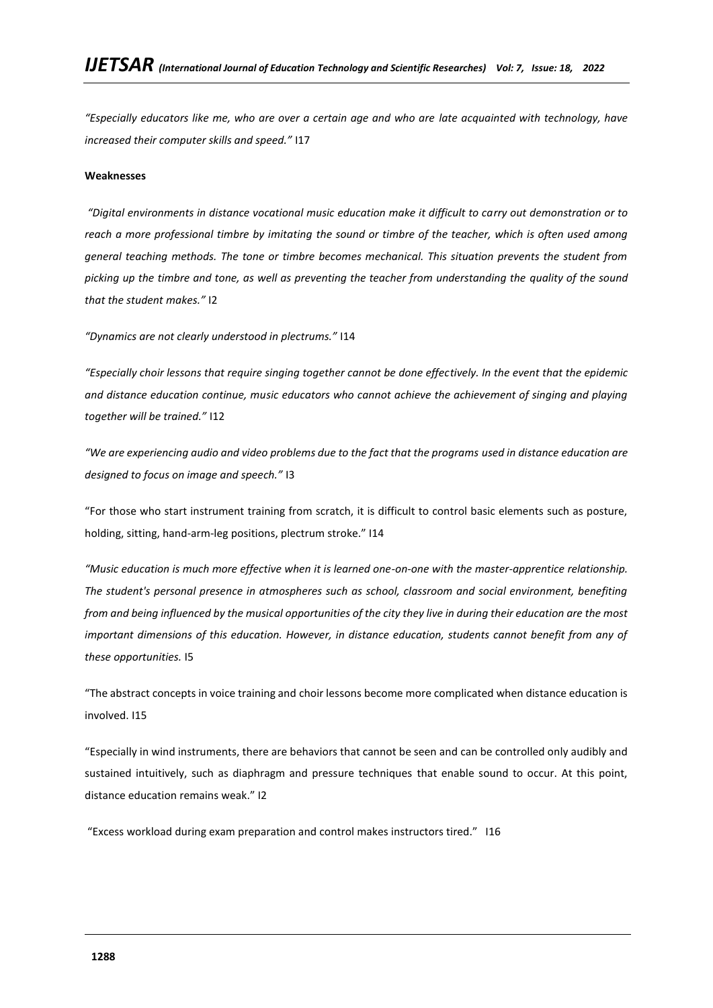*"Especially educators like me, who are over a certain age and who are late acquainted with technology, have increased their computer skills and speed."* I17

### **Weaknesses**

*"Digital environments in distance vocational music education make it difficult to carry out demonstration or to reach a more professional timbre by imitating the sound or timbre of the teacher, which is often used among general teaching methods. The tone or timbre becomes mechanical. This situation prevents the student from picking up the timbre and tone, as well as preventing the teacher from understanding the quality of the sound that the student makes."* I2

*"Dynamics are not clearly understood in plectrums."* I14

*"Especially choir lessons that require singing together cannot be done effectively. In the event that the epidemic and distance education continue, music educators who cannot achieve the achievement of singing and playing together will be trained."* I12

*"We are experiencing audio and video problems due to the fact that the programs used in distance education are designed to focus on image and speech."* I3

"For those who start instrument training from scratch, it is difficult to control basic elements such as posture, holding, sitting, hand-arm-leg positions, plectrum stroke." I14

*"Music education is much more effective when it is learned one-on-one with the master-apprentice relationship. The student's personal presence in atmospheres such as school, classroom and social environment, benefiting from and being influenced by the musical opportunities of the city they live in during their education are the most important dimensions of this education. However, in distance education, students cannot benefit from any of these opportunities.* I5

"The abstract concepts in voice training and choir lessons become more complicated when distance education is involved. I15

"Especially in wind instruments, there are behaviors that cannot be seen and can be controlled only audibly and sustained intuitively, such as diaphragm and pressure techniques that enable sound to occur. At this point, distance education remains weak." I2

"Excess workload during exam preparation and control makes instructors tired." I16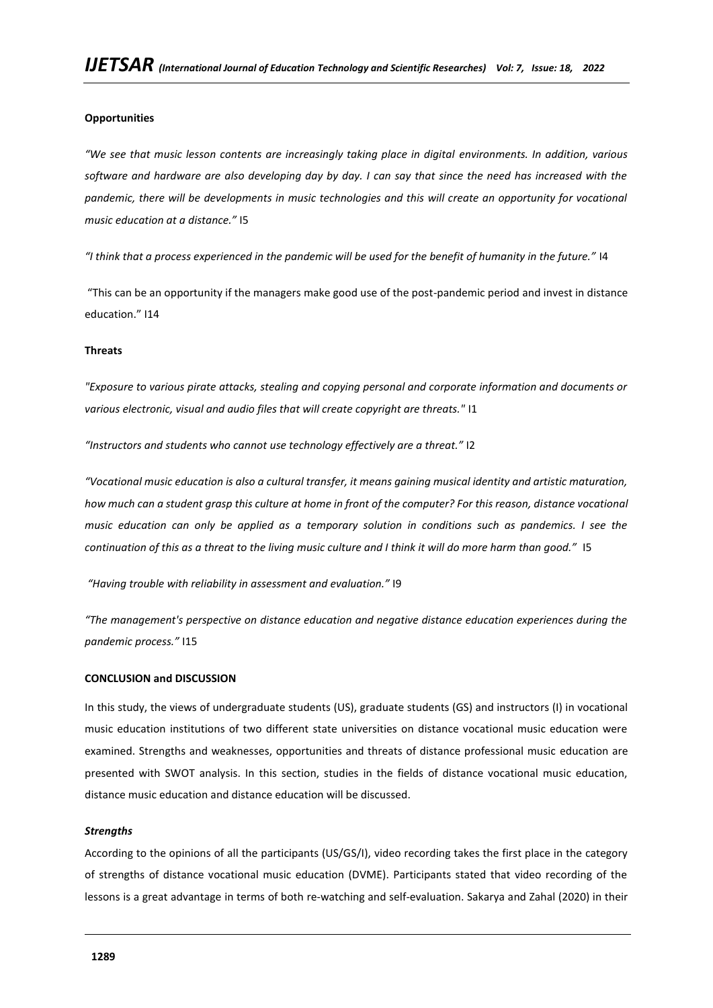### **Opportunities**

*"We see that music lesson contents are increasingly taking place in digital environments. In addition, various software and hardware are also developing day by day. I can say that since the need has increased with the pandemic, there will be developments in music technologies and this will create an opportunity for vocational music education at a distance."* I5

*"I think that a process experienced in the pandemic will be used for the benefit of humanity in the future."* I4

"This can be an opportunity if the managers make good use of the post-pandemic period and invest in distance education." I14

### **Threats**

*"Exposure to various pirate attacks, stealing and copying personal and corporate information and documents or various electronic, visual and audio files that will create copyright are threats."* I1

*"Instructors and students who cannot use technology effectively are a threat."* I2

*"Vocational music education is also a cultural transfer, it means gaining musical identity and artistic maturation, how much can a student grasp this culture at home in front of the computer? For this reason, distance vocational music education can only be applied as a temporary solution in conditions such as pandemics. I see the continuation of this as a threat to the living music culture and I think it will do more harm than good."* I5

*"Having trouble with reliability in assessment and evaluation."* I9

*"The management's perspective on distance education and negative distance education experiences during the pandemic process."* I15

#### **CONCLUSION and DISCUSSION**

In this study, the views of undergraduate students (US), graduate students (GS) and instructors (I) in vocational music education institutions of two different state universities on distance vocational music education were examined. Strengths and weaknesses, opportunities and threats of distance professional music education are presented with SWOT analysis. In this section, studies in the fields of distance vocational music education, distance music education and distance education will be discussed.

#### *Strengths*

According to the opinions of all the participants (US/GS/I), video recording takes the first place in the category of strengths of distance vocational music education (DVME). Participants stated that video recording of the lessons is a great advantage in terms of both re-watching and self-evaluation. Sakarya and Zahal (2020) in their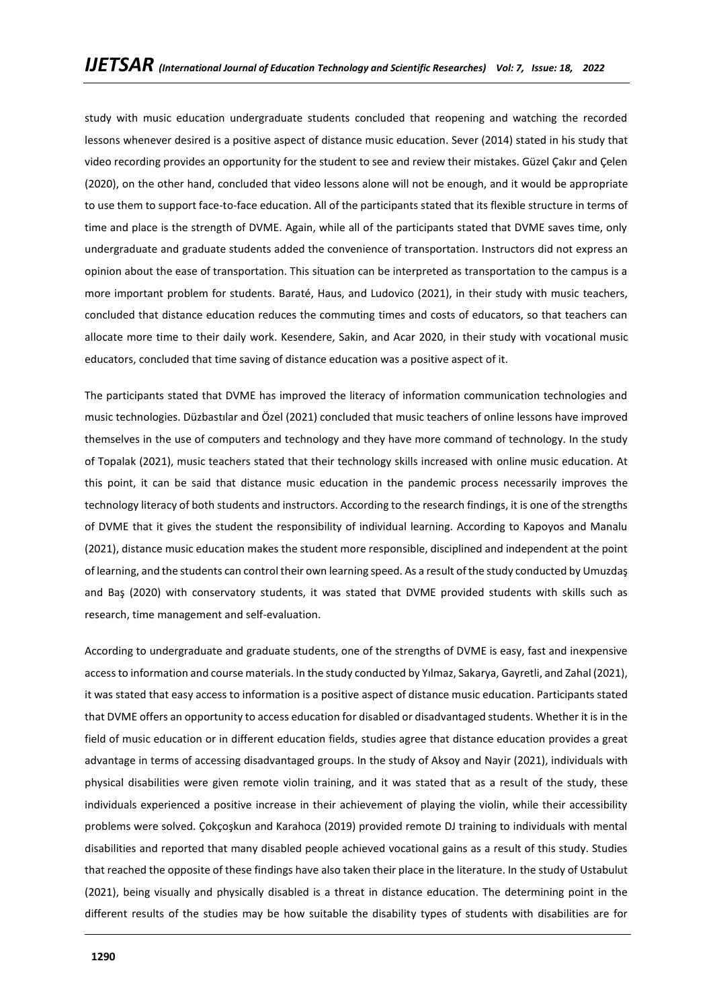study with music education undergraduate students concluded that reopening and watching the recorded lessons whenever desired is a positive aspect of distance music education. Sever (2014) stated in his study that video recording provides an opportunity for the student to see and review their mistakes. Güzel Çakır and Çelen (2020), on the other hand, concluded that video lessons alone will not be enough, and it would be appropriate to use them to support face-to-face education. All of the participants stated that its flexible structure in terms of time and place is the strength of DVME. Again, while all of the participants stated that DVME saves time, only undergraduate and graduate students added the convenience of transportation. Instructors did not express an opinion about the ease of transportation. This situation can be interpreted as transportation to the campus is a more important problem for students. Baraté, Haus, and Ludovico (2021), in their study with music teachers, concluded that distance education reduces the commuting times and costs of educators, so that teachers can allocate more time to their daily work. Kesendere, Sakin, and Acar 2020, in their study with vocational music educators, concluded that time saving of distance education was a positive aspect of it.

The participants stated that DVME has improved the literacy of information communication technologies and music technologies. Düzbastılar and Özel (2021) concluded that music teachers of online lessons have improved themselves in the use of computers and technology and they have more command of technology. In the study of Topalak (2021), music teachers stated that their technology skills increased with online music education. At this point, it can be said that distance music education in the pandemic process necessarily improves the technology literacy of both students and instructors. According to the research findings, it is one of the strengths of DVME that it gives the student the responsibility of individual learning. According to Kapoyos and Manalu (2021), distance music education makes the student more responsible, disciplined and independent at the point of learning, and the students can control their own learning speed. As a result of the study conducted by Umuzdaş and Baş (2020) with conservatory students, it was stated that DVME provided students with skills such as research, time management and self-evaluation.

According to undergraduate and graduate students, one of the strengths of DVME is easy, fast and inexpensive access to information and course materials. In the study conducted by Yılmaz, Sakarya, Gayretli, and Zahal (2021), it was stated that easy access to information is a positive aspect of distance music education. Participants stated that DVME offers an opportunity to access education for disabled or disadvantaged students. Whether it is in the field of music education or in different education fields, studies agree that distance education provides a great advantage in terms of accessing disadvantaged groups. In the study of Aksoy and Nayir (2021), individuals with physical disabilities were given remote violin training, and it was stated that as a result of the study, these individuals experienced a positive increase in their achievement of playing the violin, while their accessibility problems were solved. Çokçoşkun and Karahoca (2019) provided remote DJ training to individuals with mental disabilities and reported that many disabled people achieved vocational gains as a result of this study. Studies that reached the opposite of these findings have also taken their place in the literature. In the study of Ustabulut (2021), being visually and physically disabled is a threat in distance education. The determining point in the different results of the studies may be how suitable the disability types of students with disabilities are for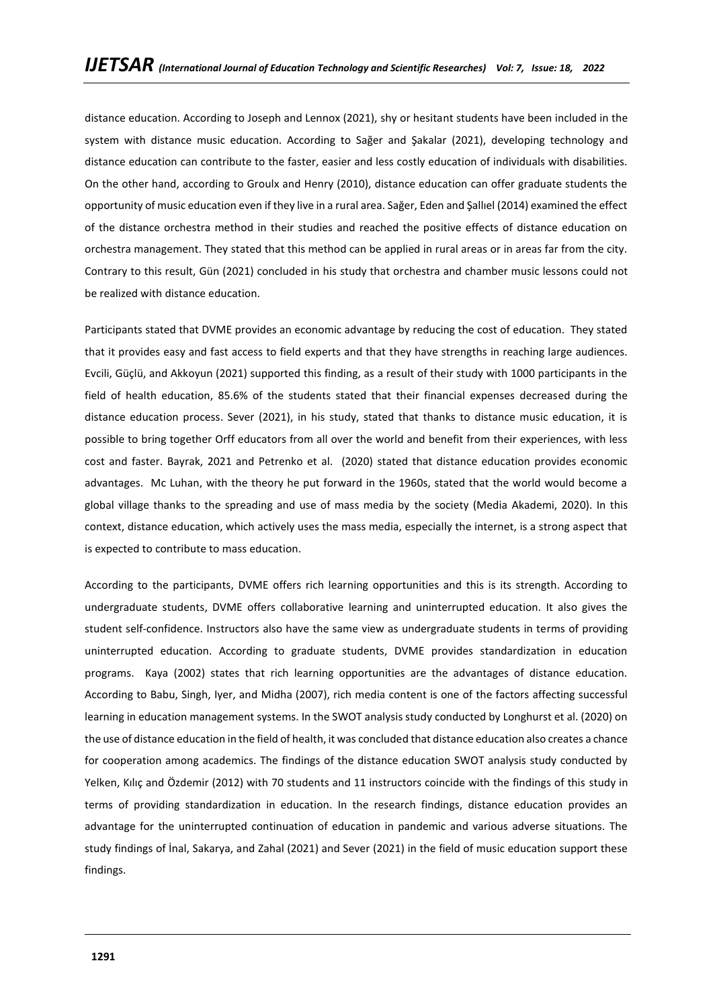distance education. According to Joseph and Lennox (2021), shy or hesitant students have been included in the system with distance music education. According to Sağer and Şakalar (2021), developing technology and distance education can contribute to the faster, easier and less costly education of individuals with disabilities. On the other hand, according to Groulx and Henry (2010), distance education can offer graduate students the opportunity of music education even if they live in a rural area. Sağer, Eden and Şallıel (2014) examined the effect of the distance orchestra method in their studies and reached the positive effects of distance education on orchestra management. They stated that this method can be applied in rural areas or in areas far from the city. Contrary to this result, Gün (2021) concluded in his study that orchestra and chamber music lessons could not be realized with distance education.

Participants stated that DVME provides an economic advantage by reducing the cost of education. They stated that it provides easy and fast access to field experts and that they have strengths in reaching large audiences. Evcili, Güçlü, and Akkoyun (2021) supported this finding, as a result of their study with 1000 participants in the field of health education, 85.6% of the students stated that their financial expenses decreased during the distance education process. Sever (2021), in his study, stated that thanks to distance music education, it is possible to bring together Orff educators from all over the world and benefit from their experiences, with less cost and faster. Bayrak, 2021 and Petrenko et al. (2020) stated that distance education provides economic advantages. Mc Luhan, with the theory he put forward in the 1960s, stated that the world would become a global village thanks to the spreading and use of mass media by the society (Media Akademi, 2020). In this context, distance education, which actively uses the mass media, especially the internet, is a strong aspect that is expected to contribute to mass education.

According to the participants, DVME offers rich learning opportunities and this is its strength. According to undergraduate students, DVME offers collaborative learning and uninterrupted education. It also gives the student self-confidence. Instructors also have the same view as undergraduate students in terms of providing uninterrupted education. According to graduate students, DVME provides standardization in education programs. Kaya (2002) states that rich learning opportunities are the advantages of distance education. According to Babu, Singh, Iyer, and Midha (2007), rich media content is one of the factors affecting successful learning in education management systems. In the SWOT analysis study conducted by Longhurst et al. (2020) on the use of distance education in the field of health, it was concluded that distance education also creates a chance for cooperation among academics. The findings of the distance education SWOT analysis study conducted by Yelken, Kılıç and Özdemir (2012) with 70 students and 11 instructors coincide with the findings of this study in terms of providing standardization in education. In the research findings, distance education provides an advantage for the uninterrupted continuation of education in pandemic and various adverse situations. The study findings of İnal, Sakarya, and Zahal (2021) and Sever (2021) in the field of music education support these findings.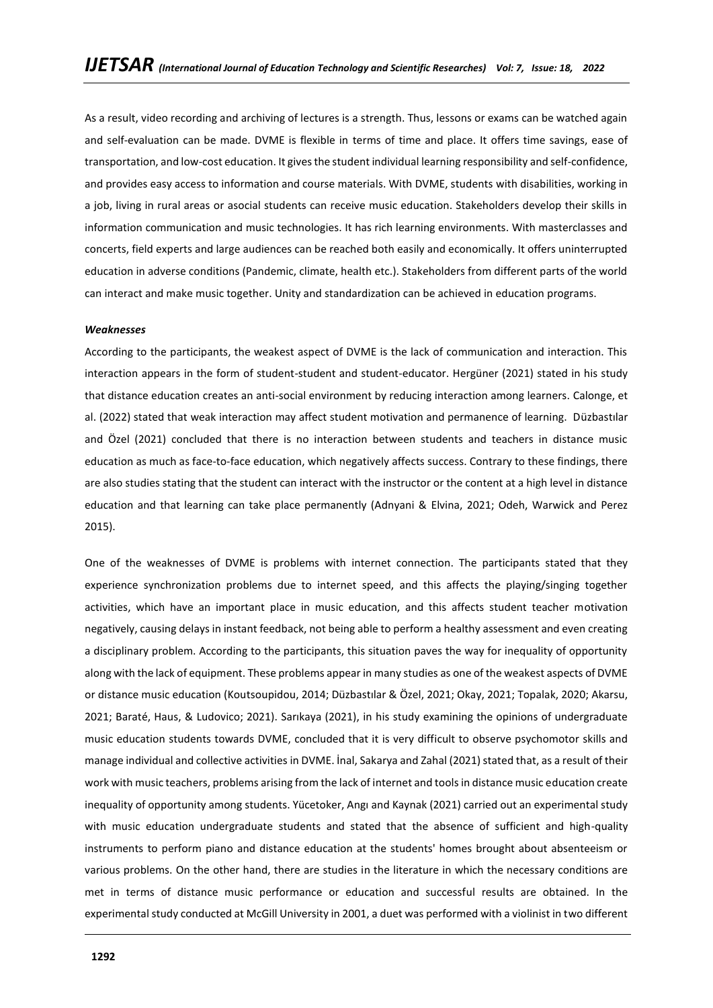As a result, video recording and archiving of lectures is a strength. Thus, lessons or exams can be watched again and self-evaluation can be made. DVME is flexible in terms of time and place. It offers time savings, ease of transportation, and low-cost education. It gives the student individual learning responsibility and self-confidence, and provides easy access to information and course materials. With DVME, students with disabilities, working in a job, living in rural areas or asocial students can receive music education. Stakeholders develop their skills in information communication and music technologies. It has rich learning environments. With masterclasses and concerts, field experts and large audiences can be reached both easily and economically. It offers uninterrupted education in adverse conditions (Pandemic, climate, health etc.). Stakeholders from different parts of the world can interact and make music together. Unity and standardization can be achieved in education programs.

#### *Weaknesses*

According to the participants, the weakest aspect of DVME is the lack of communication and interaction. This interaction appears in the form of student-student and student-educator. Hergüner (2021) stated in his study that distance education creates an anti-social environment by reducing interaction among learners. Calonge, et al. (2022) stated that weak interaction may affect student motivation and permanence of learning. Düzbastılar and Özel (2021) concluded that there is no interaction between students and teachers in distance music education as much as face-to-face education, which negatively affects success. Contrary to these findings, there are also studies stating that the student can interact with the instructor or the content at a high level in distance education and that learning can take place permanently (Adnyani & Elvina, 2021; Odeh, Warwick and Perez 2015).

One of the weaknesses of DVME is problems with internet connection. The participants stated that they experience synchronization problems due to internet speed, and this affects the playing/singing together activities, which have an important place in music education, and this affects student teacher motivation negatively, causing delays in instant feedback, not being able to perform a healthy assessment and even creating a disciplinary problem. According to the participants, this situation paves the way for inequality of opportunity along with the lack of equipment. These problems appear in many studies as one of the weakest aspects of DVME or distance music education (Koutsoupidou, 2014; Düzbastılar & Özel, 2021; Okay, 2021; Topalak, 2020; Akarsu, 2021; Baraté, Haus, & Ludovico; 2021). Sarıkaya (2021), in his study examining the opinions of undergraduate music education students towards DVME, concluded that it is very difficult to observe psychomotor skills and manage individual and collective activities in DVME. İnal, Sakarya and Zahal (2021) stated that, as a result of their work with music teachers, problems arising from the lack of internet and tools in distance music education create inequality of opportunity among students. Yücetoker, Angı and Kaynak (2021) carried out an experimental study with music education undergraduate students and stated that the absence of sufficient and high-quality instruments to perform piano and distance education at the students' homes brought about absenteeism or various problems. On the other hand, there are studies in the literature in which the necessary conditions are met in terms of distance music performance or education and successful results are obtained. In the experimental study conducted at McGill University in 2001, a duet was performed with a violinist in two different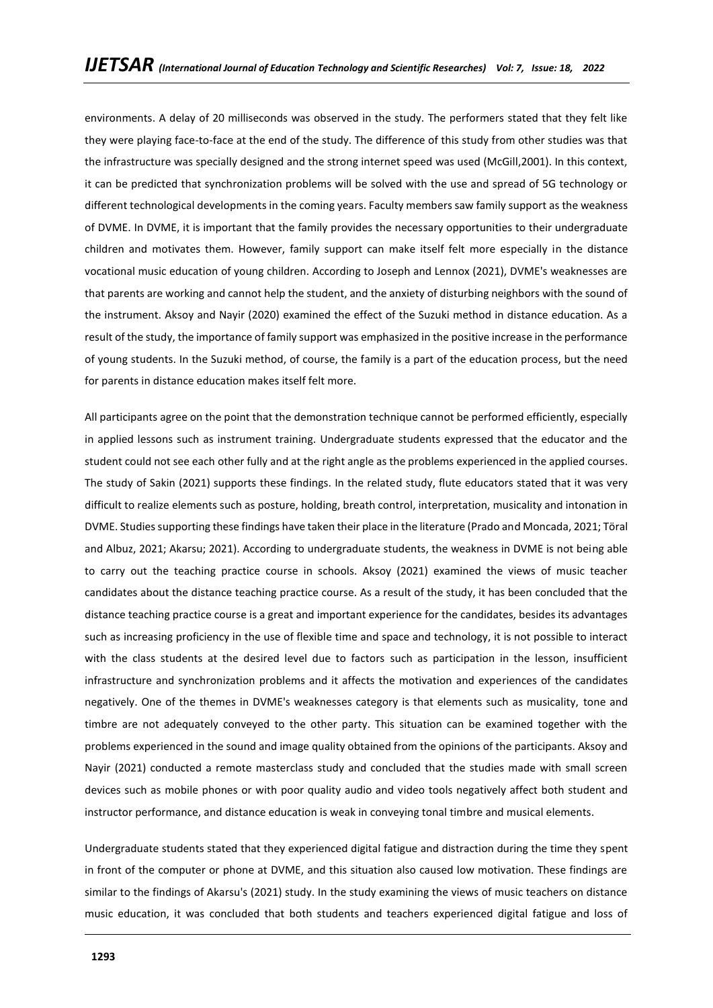environments. A delay of 20 milliseconds was observed in the study. The performers stated that they felt like they were playing face-to-face at the end of the study. The difference of this study from other studies was that the infrastructure was specially designed and the strong internet speed was used (McGill,2001). In this context, it can be predicted that synchronization problems will be solved with the use and spread of 5G technology or different technological developments in the coming years. Faculty members saw family support as the weakness of DVME. In DVME, it is important that the family provides the necessary opportunities to their undergraduate children and motivates them. However, family support can make itself felt more especially in the distance vocational music education of young children. According to Joseph and Lennox (2021), DVME's weaknesses are that parents are working and cannot help the student, and the anxiety of disturbing neighbors with the sound of the instrument. Aksoy and Nayir (2020) examined the effect of the Suzuki method in distance education. As a result of the study, the importance of family support was emphasized in the positive increase in the performance of young students. In the Suzuki method, of course, the family is a part of the education process, but the need for parents in distance education makes itself felt more.

All participants agree on the point that the demonstration technique cannot be performed efficiently, especially in applied lessons such as instrument training. Undergraduate students expressed that the educator and the student could not see each other fully and at the right angle as the problems experienced in the applied courses. The study of Sakin (2021) supports these findings. In the related study, flute educators stated that it was very difficult to realize elements such as posture, holding, breath control, interpretation, musicality and intonation in DVME. Studies supporting these findings have taken their place in the literature (Prado and Moncada, 2021; Töral and Albuz, 2021; Akarsu; 2021). According to undergraduate students, the weakness in DVME is not being able to carry out the teaching practice course in schools. Aksoy (2021) examined the views of music teacher candidates about the distance teaching practice course. As a result of the study, it has been concluded that the distance teaching practice course is a great and important experience for the candidates, besides its advantages such as increasing proficiency in the use of flexible time and space and technology, it is not possible to interact with the class students at the desired level due to factors such as participation in the lesson, insufficient infrastructure and synchronization problems and it affects the motivation and experiences of the candidates negatively. One of the themes in DVME's weaknesses category is that elements such as musicality, tone and timbre are not adequately conveyed to the other party. This situation can be examined together with the problems experienced in the sound and image quality obtained from the opinions of the participants. Aksoy and Nayir (2021) conducted a remote masterclass study and concluded that the studies made with small screen devices such as mobile phones or with poor quality audio and video tools negatively affect both student and instructor performance, and distance education is weak in conveying tonal timbre and musical elements.

Undergraduate students stated that they experienced digital fatigue and distraction during the time they spent in front of the computer or phone at DVME, and this situation also caused low motivation. These findings are similar to the findings of Akarsu's (2021) study. In the study examining the views of music teachers on distance music education, it was concluded that both students and teachers experienced digital fatigue and loss of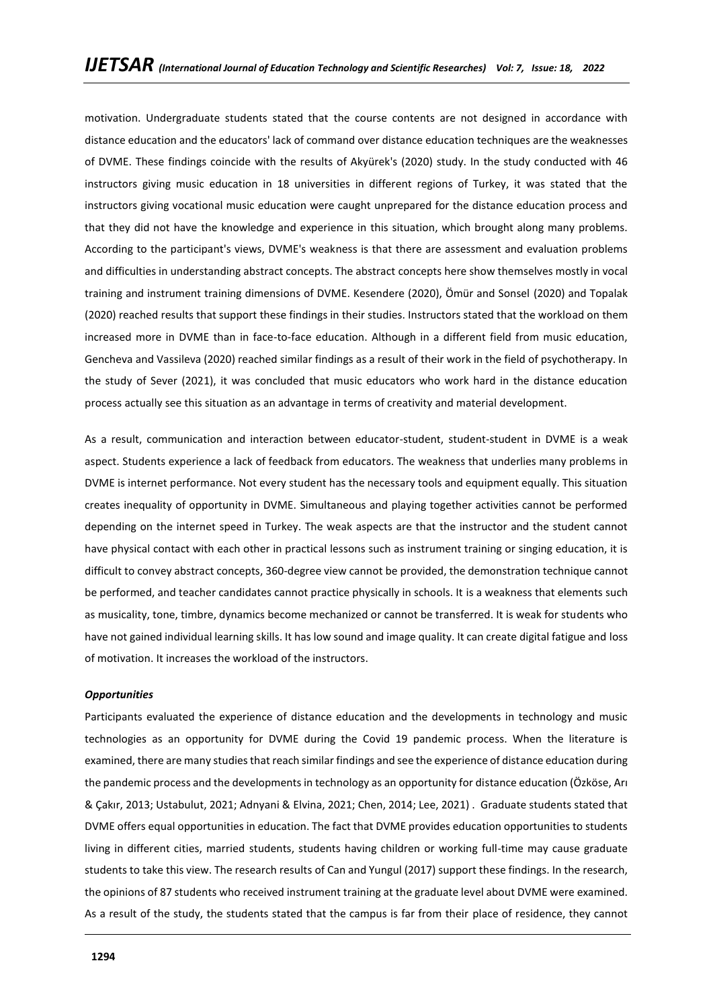motivation. Undergraduate students stated that the course contents are not designed in accordance with distance education and the educators' lack of command over distance education techniques are the weaknesses of DVME. These findings coincide with the results of Akyürek's (2020) study. In the study conducted with 46 instructors giving music education in 18 universities in different regions of Turkey, it was stated that the instructors giving vocational music education were caught unprepared for the distance education process and that they did not have the knowledge and experience in this situation, which brought along many problems. According to the participant's views, DVME's weakness is that there are assessment and evaluation problems and difficulties in understanding abstract concepts. The abstract concepts here show themselves mostly in vocal training and instrument training dimensions of DVME. Kesendere (2020), Ömür and Sonsel (2020) and Topalak (2020) reached results that support these findings in their studies. Instructors stated that the workload on them increased more in DVME than in face-to-face education. Although in a different field from music education, Gencheva and Vassileva (2020) reached similar findings as a result of their work in the field of psychotherapy. In the study of Sever (2021), it was concluded that music educators who work hard in the distance education process actually see this situation as an advantage in terms of creativity and material development.

As a result, communication and interaction between educator-student, student-student in DVME is a weak aspect. Students experience a lack of feedback from educators. The weakness that underlies many problems in DVME is internet performance. Not every student has the necessary tools and equipment equally. This situation creates inequality of opportunity in DVME. Simultaneous and playing together activities cannot be performed depending on the internet speed in Turkey. The weak aspects are that the instructor and the student cannot have physical contact with each other in practical lessons such as instrument training or singing education, it is difficult to convey abstract concepts, 360-degree view cannot be provided, the demonstration technique cannot be performed, and teacher candidates cannot practice physically in schools. It is a weakness that elements such as musicality, tone, timbre, dynamics become mechanized or cannot be transferred. It is weak for students who have not gained individual learning skills. It has low sound and image quality. It can create digital fatigue and loss of motivation. It increases the workload of the instructors.

#### *Opportunities*

Participants evaluated the experience of distance education and the developments in technology and music technologies as an opportunity for DVME during the Covid 19 pandemic process. When the literature is examined, there are many studies that reach similar findings and see the experience of distance education during the pandemic process and the developments in technology as an opportunity for distance education (Özköse, Arı & Çakır, 2013; Ustabulut, 2021; Adnyani & Elvina, 2021; Chen, 2014; Lee, 2021) . Graduate students stated that DVME offers equal opportunities in education. The fact that DVME provides education opportunities to students living in different cities, married students, students having children or working full-time may cause graduate students to take this view. The research results of Can and Yungul (2017) support these findings. In the research, the opinions of 87 students who received instrument training at the graduate level about DVME were examined. As a result of the study, the students stated that the campus is far from their place of residence, they cannot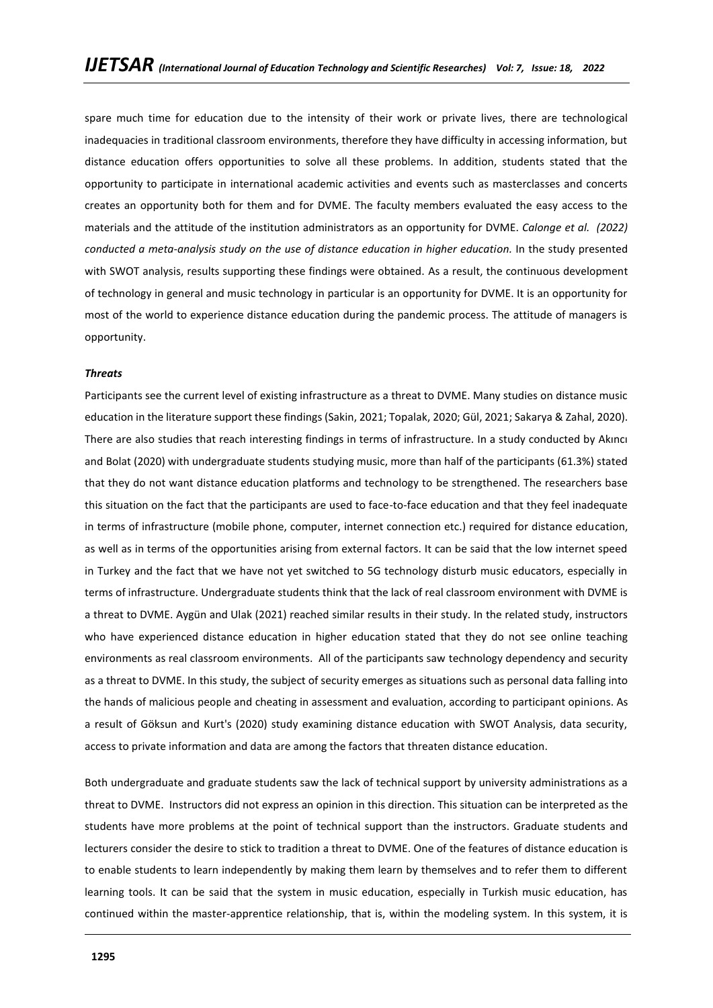spare much time for education due to the intensity of their work or private lives, there are technological inadequacies in traditional classroom environments, therefore they have difficulty in accessing information, but distance education offers opportunities to solve all these problems. In addition, students stated that the opportunity to participate in international academic activities and events such as masterclasses and concerts creates an opportunity both for them and for DVME. The faculty members evaluated the easy access to the materials and the attitude of the institution administrators as an opportunity for DVME. *Calonge et al. (2022) conducted a meta-analysis study on the use of distance education in higher education.* In the study presented with SWOT analysis, results supporting these findings were obtained. As a result, the continuous development of technology in general and music technology in particular is an opportunity for DVME. It is an opportunity for most of the world to experience distance education during the pandemic process. The attitude of managers is opportunity.

#### *Threats*

Participants see the current level of existing infrastructure as a threat to DVME. Many studies on distance music education in the literature support these findings (Sakin, 2021; Topalak, 2020; Gül, 2021; Sakarya & Zahal, 2020). There are also studies that reach interesting findings in terms of infrastructure. In a study conducted by Akıncı and Bolat (2020) with undergraduate students studying music, more than half of the participants (61.3%) stated that they do not want distance education platforms and technology to be strengthened. The researchers base this situation on the fact that the participants are used to face-to-face education and that they feel inadequate in terms of infrastructure (mobile phone, computer, internet connection etc.) required for distance education, as well as in terms of the opportunities arising from external factors. It can be said that the low internet speed in Turkey and the fact that we have not yet switched to 5G technology disturb music educators, especially in terms of infrastructure. Undergraduate students think that the lack of real classroom environment with DVME is a threat to DVME. Aygün and Ulak (2021) reached similar results in their study. In the related study, instructors who have experienced distance education in higher education stated that they do not see online teaching environments as real classroom environments. All of the participants saw technology dependency and security as a threat to DVME. In this study, the subject of security emerges as situations such as personal data falling into the hands of malicious people and cheating in assessment and evaluation, according to participant opinions. As a result of Göksun and Kurt's (2020) study examining distance education with SWOT Analysis, data security, access to private information and data are among the factors that threaten distance education.

Both undergraduate and graduate students saw the lack of technical support by university administrations as a threat to DVME. Instructors did not express an opinion in this direction. This situation can be interpreted as the students have more problems at the point of technical support than the instructors. Graduate students and lecturers consider the desire to stick to tradition a threat to DVME. One of the features of distance education is to enable students to learn independently by making them learn by themselves and to refer them to different learning tools. It can be said that the system in music education, especially in Turkish music education, has continued within the master-apprentice relationship, that is, within the modeling system. In this system, it is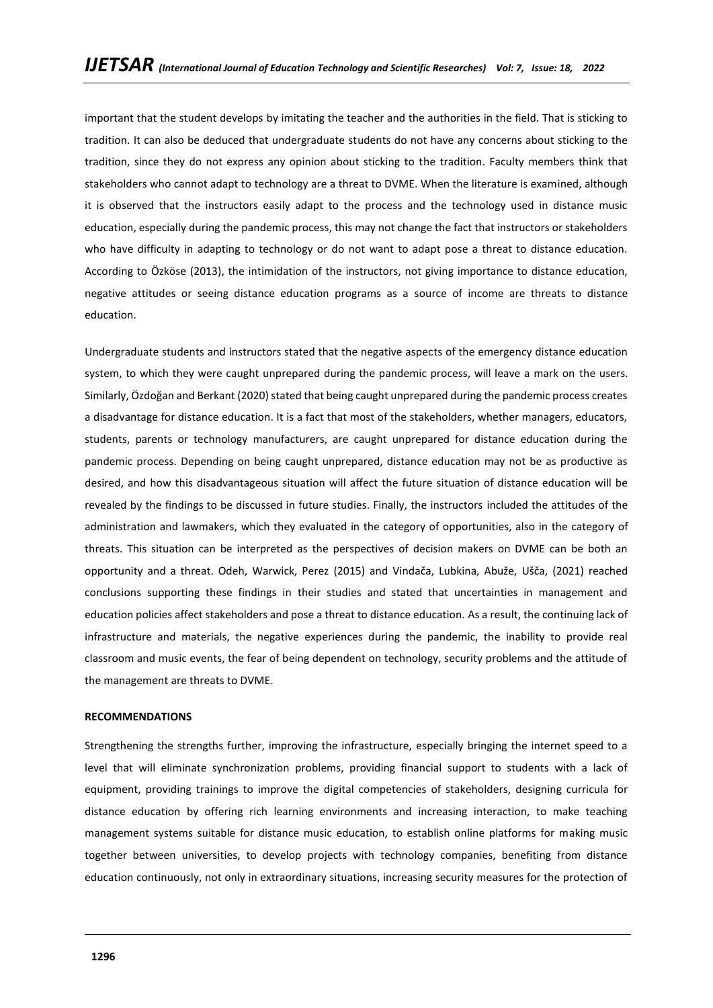important that the student develops by imitating the teacher and the authorities in the field. That is sticking to tradition. It can also be deduced that undergraduate students do not have any concerns about sticking to the tradition, since they do not express any opinion about sticking to the tradition. Faculty members think that stakeholders who cannot adapt to technology are a threat to DVME. When the literature is examined, although it is observed that the instructors easily adapt to the process and the technology used in distance music education, especially during the pandemic process, this may not change the fact that instructors or stakeholders who have difficulty in adapting to technology or do not want to adapt pose a threat to distance education. According to Özköse (2013), the intimidation of the instructors, not giving importance to distance education, negative attitudes or seeing distance education programs as a source of income are threats to distance education.

Undergraduate students and instructors stated that the negative aspects of the emergency distance education system, to which they were caught unprepared during the pandemic process, will leave a mark on the users. Similarly, Özdoğan and Berkant (2020) stated that being caught unprepared during the pandemic process creates a disadvantage for distance education. It is a fact that most of the stakeholders, whether managers, educators, students, parents or technology manufacturers, are caught unprepared for distance education during the pandemic process. Depending on being caught unprepared, distance education may not be as productive as desired, and how this disadvantageous situation will affect the future situation of distance education will be revealed by the findings to be discussed in future studies. Finally, the instructors included the attitudes of the administration and lawmakers, which they evaluated in the category of opportunities, also in the category of threats. This situation can be interpreted as the perspectives of decision makers on DVME can be both an opportunity and a threat. Odeh, Warwick, Perez (2015) and Vindača, Lubkina, Abuže, Ušča, (2021) reached conclusions supporting these findings in their studies and stated that uncertainties in management and education policies affect stakeholders and pose a threat to distance education. As a result, the continuing lack of infrastructure and materials, the negative experiences during the pandemic, the inability to provide real classroom and music events, the fear of being dependent on technology, security problems and the attitude of the management are threats to DVME.

### **RECOMMENDATIONS**

Strengthening the strengths further, improving the infrastructure, especially bringing the internet speed to a level that will eliminate synchronization problems, providing financial support to students with a lack of equipment, providing trainings to improve the digital competencies of stakeholders, designing curricula for distance education by offering rich learning environments and increasing interaction, to make teaching management systems suitable for distance music education, to establish online platforms for making music together between universities, to develop projects with technology companies, benefiting from distance education continuously, not only in extraordinary situations, increasing security measures for the protection of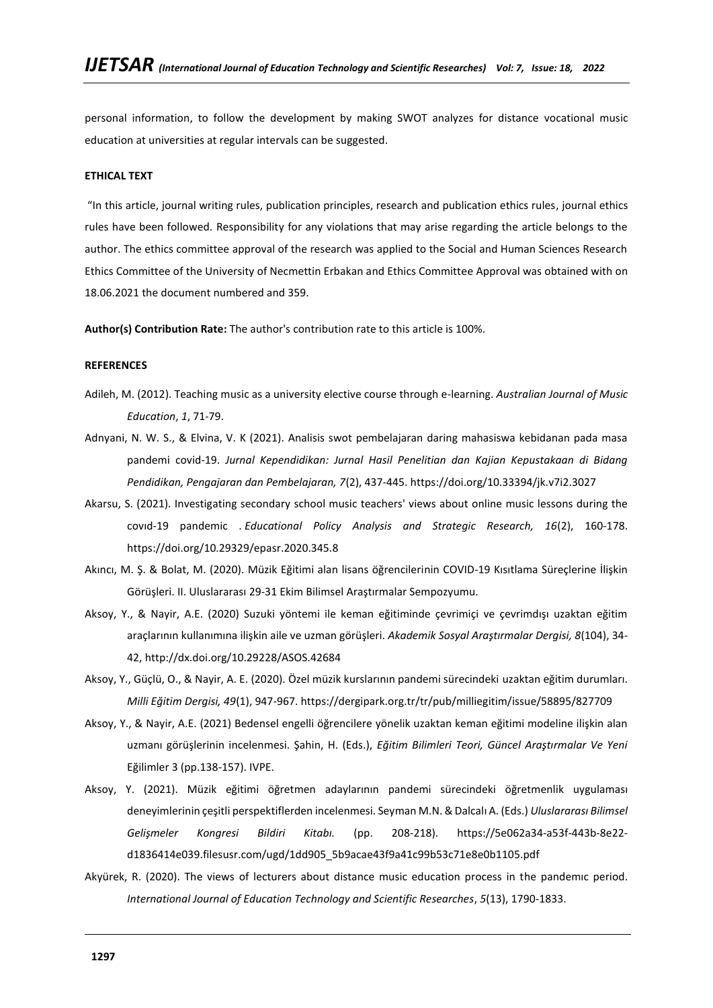personal information, to follow the development by making SWOT analyzes for distance vocational music education at universities at regular intervals can be suggested.

# **ETHICAL TEXT**

"In this article, journal writing rules, publication principles, research and publication ethics rules, journal ethics rules have been followed. Responsibility for any violations that may arise regarding the article belongs to the author. The ethics committee approval of the research was applied to the Social and Human Sciences Research Ethics Committee of the University of Necmettin Erbakan and Ethics Committee Approval was obtained with on 18.06.2021 the document numbered and 359.

**Author(s) Contribution Rate:** The author's contribution rate to this article is 100%.

### **REFERENCES**

- Adileh, M. (2012). Teaching music as a university elective course through e-learning. *Australian Journal of Music Education*, *1*, 71-79.
- Adnyani, N. W. S., & Elvina, V. K (2021). Analisis swot pembelajaran daring mahasiswa kebidanan pada masa pandemi covid-19. *Jurnal Kependidikan: Jurnal Hasil Penelitian dan Kajian Kepustakaan di Bidang Pendidikan, Pengajaran dan Pembelajaran, 7*(2), 437-445.<https://doi.org/10.33394/jk.v7i2.3027>
- Akarsu, S. (2021). Investigating secondary school music teachers' views about online music lessons during the covıd-19 pandemic . *Educational Policy Analysis and Strategic Research, 16*(2), 160-178. <https://doi.org/10.29329/epasr.2020.345.8>
- Akıncı, M. Ş. & Bolat, M. (2020). Müzik Eğitimi alan lisans öğrencilerinin COVID-19 Kısıtlama Süreçlerine İlişkin Görüşleri. II. Uluslararası 29-31 Ekim Bilimsel Araştırmalar Sempozyumu.
- Aksoy, Y., & Nayir, A.E. (2020) Suzuki yöntemi ile keman eğitiminde çevrimiçi ve çevrimdışı uzaktan eğitim araçlarının kullanımına ilişkin aile ve uzman görüşleri. *Akademik Sosyal Araştırmalar Dergisi, 8*(104), 34- 42,<http://dx.doi.org/10.29228/ASOS.42684>
- Aksoy, Y., Güçlü, O., & Nayir, A. E. (2020). Özel müzik kurslarının pandemi sürecindeki uzaktan eğitim durumları. *Milli Eğitim Dergisi, 49*(1), 947-967.<https://dergipark.org.tr/tr/pub/milliegitim/issue/58895/827709>
- Aksoy, Y., & Nayir, A.E. (2021) Bedensel engelli öğrencilere yönelik uzaktan keman eğitimi modeline ilişkin alan uzmanı görüşlerinin incelenmesi. Şahin, H. (Eds.), *Eğitim Bilimleri Teori, Güncel Araştırmalar Ve Yeni*  Eğilimler 3 (pp.138-157). IVPE.
- Aksoy, Y. (2021). Müzik eğitimi öğretmen adaylarının pandemi sürecindeki öğretmenlik uygulaması deneyimlerinin çeşitli perspektiflerden incelenmesi. Seyman M.N. & Dalcalı A. (Eds.) *Uluslararası Bilimsel Gelişmeler Kongresi Bildiri Kitabı.* (pp. 208-218). [https://5e062a34-a53f-443b-8e22](https://5e062a34-a53f-443b-8e22-d1836414e039.filesusr.com/ugd/1dd905_5b9acae43f9a41c99b53c71e8e0b1105.pdf) [d1836414e039.filesusr.com/ugd/1dd905\\_5b9acae43f9a41c99b53c71e8e0b1105.pdf](https://5e062a34-a53f-443b-8e22-d1836414e039.filesusr.com/ugd/1dd905_5b9acae43f9a41c99b53c71e8e0b1105.pdf)
- Akyürek, R. (2020). The views of lecturers about distance music education process in the pandemıc period. *International Journal of Education Technology and Scientific Researches*, *5*(13), 1790-1833.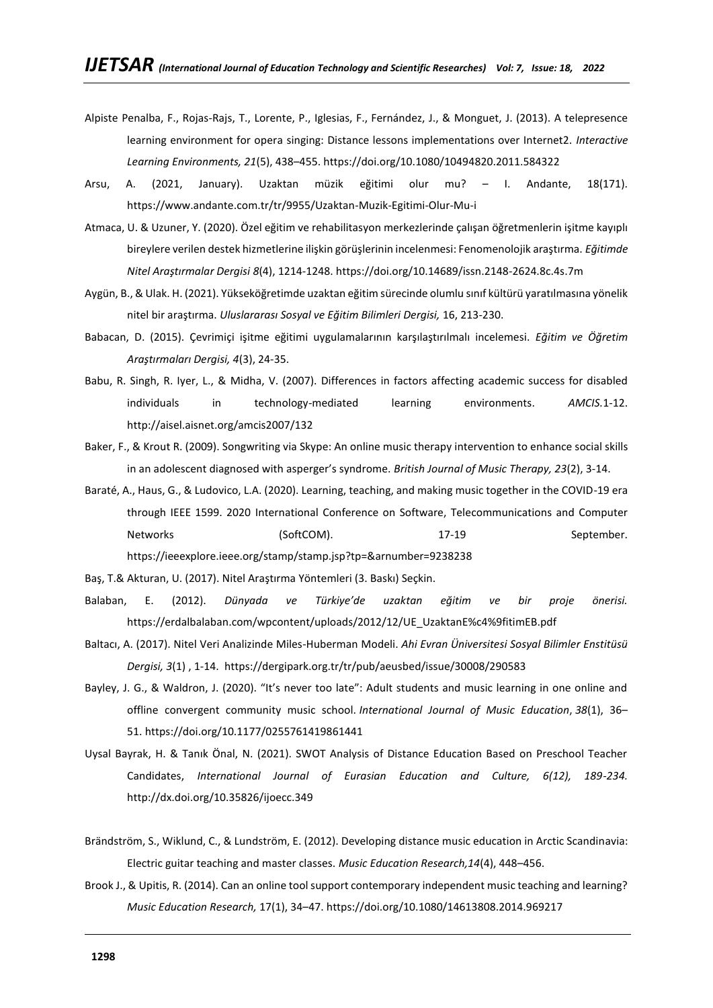- Alpiste Penalba, F., Rojas-Rajs, T., Lorente, P., Iglesias, F., Fernández, J., & Monguet, J. (2013). A telepresence learning environment for opera singing: Distance lessons implementations over Internet2. *Interactive Learning Environments, 21*(5), 438–455.<https://doi.org/10.1080/10494820.2011.584322>
- Arsu, A. (2021, January). Uzaktan müzik eğitimi olur mu? I. Andante, 18(171). <https://www.andante.com.tr/tr/9955/Uzaktan-Muzik-Egitimi-Olur-Mu-i>
- Atmaca, U. & Uzuner, Y. (2020). Özel eğitim ve rehabilitasyon merkezlerinde çalışan öğretmenlerin işitme kayıplı bireylere verilen destek hizmetlerine ilişkin görüşlerinin incelenmesi: Fenomenolojik araştırma. *Eğitimde Nitel Araştırmalar Dergisi 8*(4), 1214-1248.<https://doi.org/10.14689/issn.2148-2624.8c.4s.7m>
- Aygün, B., & Ulak. H. (2021). Yükseköğretimde uzaktan eğitim sürecinde olumlu sınıf kültürü yaratılmasına yönelik nitel bir araştırma. *Uluslararası Sosyal ve Eğitim Bilimleri Dergisi,* 16, 213-230.
- Babacan, D. (2015). Çevrimiçi işitme eğitimi uygulamalarının karşılaştırılmalı incelemesi. *Eğitim ve Öğretim Araştırmaları Dergisi, 4*(3), 24-35.
- Babu, R. Singh, R. Iyer, L., & Midha, V. (2007). Differences in factors affecting academic success for disabled individuals in technology-mediated learning environments. *AMCIS.*1-12. <http://aisel.aisnet.org/amcis2007/132>
- Baker, F., & Krout R. (2009). Songwriting via Skype: An online music therapy intervention to enhance social skills in an adolescent diagnosed with asperger's syndrome. *British Journal of Music Therapy, 23*(2), 3-14.
- Baraté, A., Haus, G., & Ludovico, L.A. (2020). Learning, teaching, and making music together in the COVID-19 era through IEEE 1599. 2020 International Conference on Software, Telecommunications and Computer Networks (SoftCOM). 17-19 September.

<https://ieeexplore.ieee.org/stamp/stamp.jsp?tp=&arnumber=9238238>

- Baş, T.& Akturan, U. (2017). Nitel Araştırma Yöntemleri (3. Baskı) Seçkin.
- Balaban, E. (2012). *Dünyada ve Türkiye'de uzaktan eğitim ve bir proje önerisi.* [https://erdalbalaban.com/wpcontent/uploads/2012/12/UE\\_UzaktanE%c4%9fitimEB.pdf](https://erdalbalaban.com/wpcontent/uploads/2012/12/UE_UzaktanE%c4%9fitimEB.pdf)
- Baltacı, A. (2017). Nitel Veri Analizinde Miles-Huberman Modeli. *Ahi Evran Üniversitesi Sosyal Bilimler Enstitüsü Dergisi, 3*(1) , 1-14.<https://dergipark.org.tr/tr/pub/aeusbed/issue/30008/290583>
- Bayley, J. G., & Waldron, J. (2020). "It's never too late": Adult students and music learning in one online and offline convergent community music school. *International Journal of Music Education*, *38*(1), 36– 51. <https://doi.org/10.1177/0255761419861441>
- Uysal Bayrak, H. & Tanık Önal, N. (2021). SWOT Analysis of Distance Education Based on Preschool Teacher Candidates, *International Journal of Eurasian Education and Culture, 6(12), 189-234.*  <http://dx.doi.org/10.35826/ijoecc.349>
- Brändström, S., Wiklund, C., & Lundström, E. (2012). Developing distance music education in Arctic Scandinavia: Electric guitar teaching and master classes. *Music Education Research,14*(4), 448–456.
- Brook J., & Upitis, R. (2014). Can an online tool support contemporary independent music teaching and learning? *Music Education Research,* 17(1), 34–47.<https://doi.org/10.1080/14613808.2014.969217>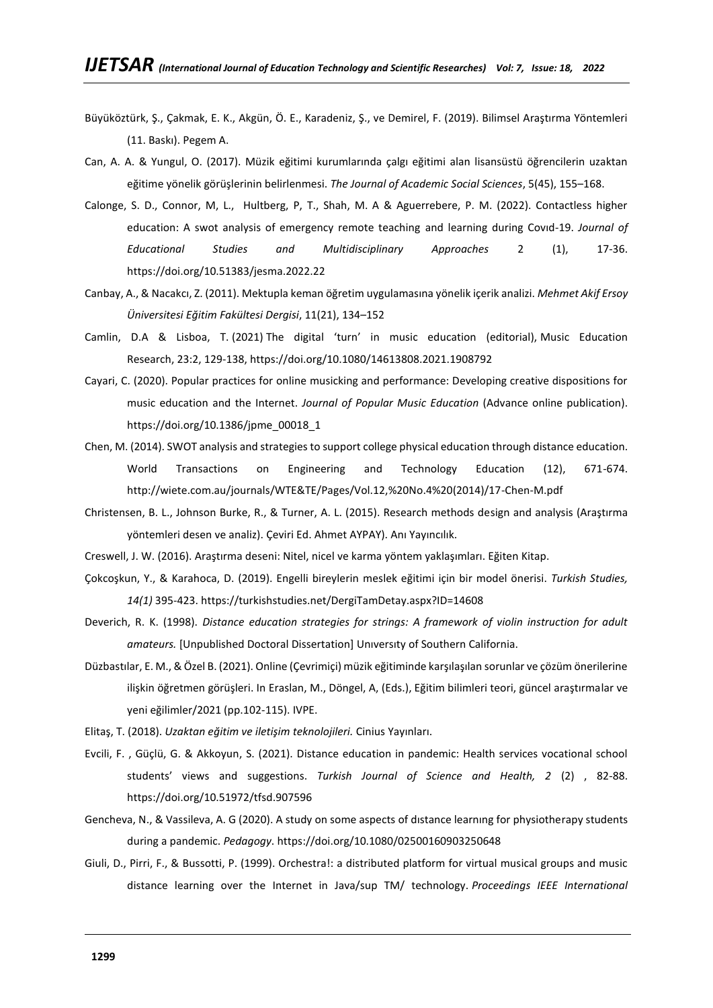- Büyüköztürk, Ş., Çakmak, E. K., Akgün, Ö. E., Karadeniz, Ş., ve Demirel, F. (2019). Bilimsel Araştırma Yöntemleri (11. Baskı). Pegem A.
- Can, A. A. & Yungul, O. (2017). Müzik eğitimi kurumlarında çalgı eğitimi alan lisansüstü öğrencilerin uzaktan eğitime yönelik görüşlerinin belirlenmesi. *The Journal of Academic Social Sciences*, 5(45), 155–168.
- Calonge, S. D., Connor, M, L., Hultberg, P, T., Shah, M. A & Aguerrebere, P. M. (2022). Contactless higher education: A swot analysis of emergency remote teaching and learning during Covıd-19. *Journal of Educational Studies and Multidisciplinary Approaches* 2 (1), 17-36. <https://doi.org/10.51383/jesma.2022.22>
- Canbay, A., & Nacakcı, Z. (2011). Mektupla keman öğretim uygulamasına yönelik içerik analizi. *Mehmet Akif Ersoy Üniversitesi Eğitim Fakültesi Dergisi*, 11(21), 134–152
- Camlin, D.A & Lisboa, T. (2021) The digital 'turn' in music education (editorial), Music Education Research, 23:2, 129-138, <https://doi.org/10.1080/14613808.2021.1908792>
- Cayari, C. (2020). Popular practices for online musicking and performance: Developing creative dispositions for music education and the Internet. *Journal of Popular Music Education* (Advance online publication). [https://doi.org/10.1386/jpme\\_00018\\_1](https://doi.org/10.1386/jpme_00018_1)
- Chen, M. (2014). SWOT analysis and strategies to support college physical education through distance education. World Transactions on Engineering and Technology Education (12), 671-674. [http://wiete.com.au/journals/WTE&TE/Pages/Vol.12,%20No.4%20\(2014\)/17-Chen-M.pdf](http://wiete.com.au/journals/WTE&TE/Pages/Vol.12,%20No.4%20(2014)/17-Chen-M.pdf)
- Christensen, B. L., Johnson Burke, R., & Turner, A. L. (2015). Research methods design and analysis (Araştırma yöntemleri desen ve analiz). Çeviri Ed. Ahmet AYPAY). Anı Yayıncılık.
- Creswell, J. W. (2016). Araştırma deseni: Nitel, nicel ve karma yöntem yaklaşımları. Eğiten Kitap.
- Çokcoşkun, Y., & Karahoca, D. (2019). Engelli bireylerin meslek eğitimi için bir model önerisi. *Turkish Studies, 14(1)* 395-423.<https://turkishstudies.net/DergiTamDetay.aspx?ID=14608>
- Deverich, R. K. (1998). *Distance education strategies for strings: A framework of violin instruction for adult amateurs.* [Unpublished Doctoral Dissertation] Unıversıty of Southern California.
- Düzbastılar, E. M., & Özel B. (2021). Online (Çevrimiçi) müzik eğitiminde karşılaşılan sorunlar ve çözüm önerilerine ilişkin öğretmen görüşleri. In Eraslan, M., Döngel, A, (Eds.), Eğitim bilimleri teori, güncel araştırmalar ve yeni eğilimler/2021 (pp.102-115). IVPE.
- Elitaş, T. (2018). *Uzaktan eğitim ve iletişim teknolojileri.* Cinius Yayınları.
- Evcili, F. , Güçlü, G. & Akkoyun, S. (2021). Distance education in pandemic: Health services vocational school students' views and suggestions. *Turkish Journal of Science and Health, 2* (2) , 82-88. <https://doi.org/10.51972/tfsd.907596>
- Gencheva, N., & Vassileva, A. G (2020). A study on some aspects of dıstance learnıng for physiotherapy students during a pandemic. *Pedagogy*[. https://doi.org/10.1080/02500160903250648](https://doi.org/10.1080/02500160903250648)
- Giuli, D., Pirri, F., & Bussotti, P. (1999). Orchestra!: a distributed platform for virtual musical groups and music distance learning over the Internet in Java/sup TM/ technology. *Proceedings IEEE International*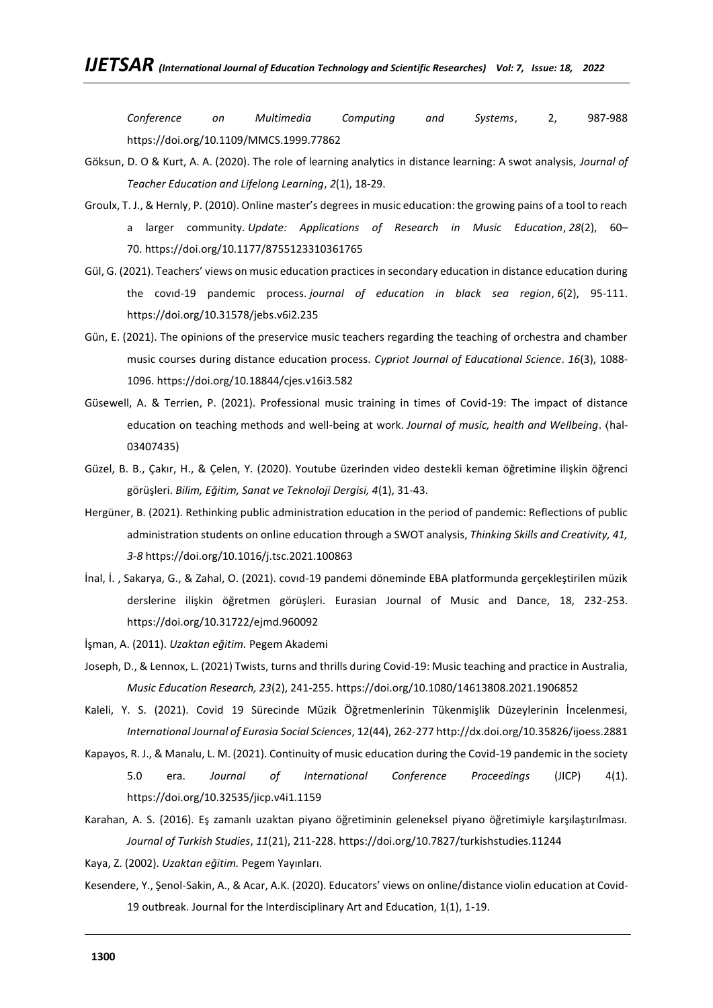*Conference on Multimedia Computing and Systems*, 2, 987-988 <https://doi.org/10.1109/MMCS.1999.77862>

- Göksun, D. O & Kurt, A. A. (2020). The role of learning analytics in distance learning: A swot analysis, *Journal of Teacher Education and Lifelong Learning*, *2*(1), 18-29.
- Groulx, T. J., & Hernly, P. (2010). Online master's degrees in music education: the growing pains of a tool to reach a larger community. *Update: Applications of Research in Music Education*, *28*(2), 60– 70. <https://doi.org/10.1177/8755123310361765>
- Gül, G. (2021). Teachers' views on music education practices in secondary education in distance education during the covıd-19 pandemic process. *journal of education in black sea region*, *6*(2), 95-111. <https://doi.org/10.31578/jebs.v6i2.235>
- Gün, E. (2021). The opinions of the preservice music teachers regarding the teaching of orchestra and chamber music courses during distance education process. *Cypriot Journal of Educational Science*. *16*(3), 1088- 1096.<https://doi.org/10.18844/cjes.v16i3.582>
- Güsewell, A. & Terrien, P. (2021). Professional music training in times of Covid-19: The impact of distance education on teaching methods and well-being at work. *Journal of music, health and Wellbeing*. ⟨hal-03407435)
- Güzel, B. B., Çakır, H., & Çelen, Y. (2020). Youtube üzerinden video destekli keman öğretimine ilişkin öğrenci görüşleri. *Bilim, Eğitim, Sanat ve Teknoloji Dergisi, 4*(1), 31-43.
- Hergüner, B. (2021). Rethinking public administration education in the period of pandemic: Reflections of public administration students on online education through a SWOT analysis, *Thinking Skills and Creativity, 41, 3-8* <https://doi.org/10.1016/j.tsc.2021.100863>
- İnal, İ. , Sakarya, G., & Zahal, O. (2021). covıd-19 pandemi döneminde EBA platformunda gerçekleştirilen müzik derslerine ilişkin öğretmen görüşleri. Eurasian Journal of Music and Dance, 18, 232-253. <https://doi.org/10.31722/ejmd.960092>
- İşman, A. (2011). *Uzaktan eğitim.* Pegem Akademi
- Joseph, D., & Lennox, L. (2021) Twists, turns and thrills during Covid-19: Music teaching and practice in Australia, *Music Education Research, 23*(2), 241-255. <https://doi.org/10.1080/14613808.2021.1906852>
- Kaleli, Y. S. (2021). Covid 19 Sürecinde Müzik Öğretmenlerinin Tükenmişlik Düzeylerinin İncelenmesi, *International Journal of Eurasia Social Sciences*, 12(44), 262-27[7 http://dx.doi.org/10.35826/ijoess.2881](http://dx.doi.org/10.35826/ijoess.2881)
- Kapayos, R. J., & Manalu, L. M. (2021). Continuity of music education during the Covid-19 pandemic in the society 5.0 era. *Journal of International Conference Proceedings* (JICP) 4(1). <https://doi.org/10.32535/jicp.v4i1.1159>
- Karahan, A. S. (2016). Eş zamanlı uzaktan piyano öğretiminin geleneksel piyano öğretimiyle karşılaştırılması. *Journal of Turkish Studies*, *11*(21), 211-228.<https://doi.org/10.7827/turkishstudies.11244>
- Kaya, Z. (2002). *Uzaktan eğitim.* Pegem Yayınları.
- Kesendere, Y., Şenol-Sakin, A., & Acar, A.K. (2020). Educators' views on online/distance violin education at Covid-19 outbreak. Journal for the Interdisciplinary Art and Education, 1(1), 1-19.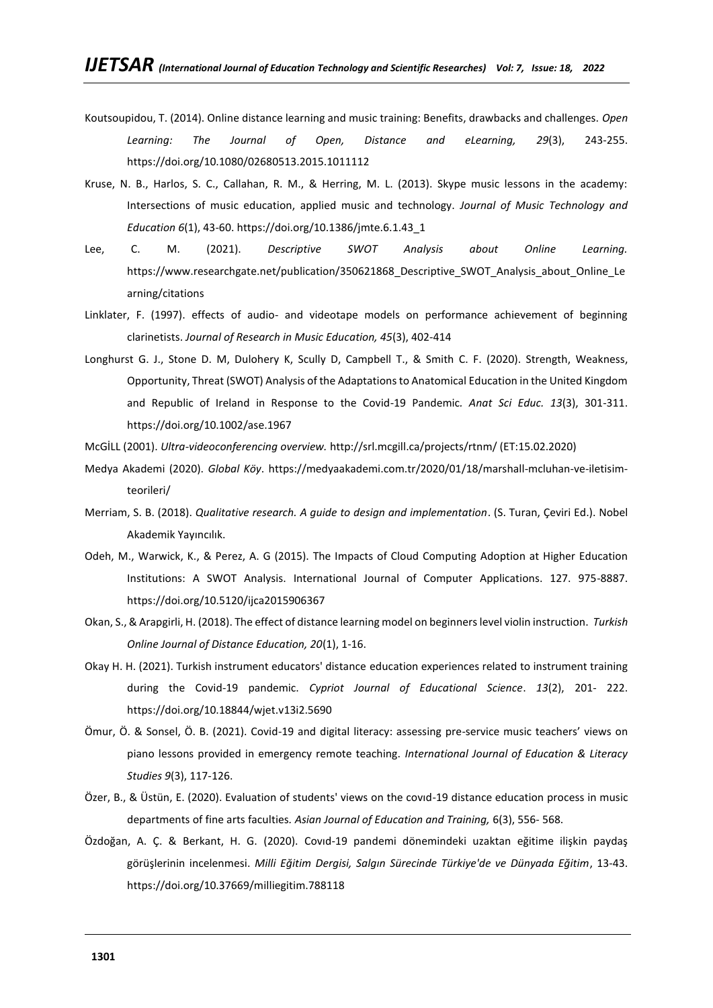- Koutsoupidou, T. (2014). Online distance learning and music training: Benefits, drawbacks and challenges. *Open Learning: The Journal of Open, Distance and eLearning, 29*(3), 243-255. <https://doi.org/10.1080/02680513.2015.1011112>
- Kruse, N. B., Harlos, S. C., Callahan, R. M., & Herring, M. L. (2013). Skype music lessons in the academy: Intersections of music education, applied music and technology. *Journal of Music Technology and Education 6*(1), 43-60. [https://doi.org/10.1386/jmte.6.1.43\\_1](https://doi.org/10.1386/jmte.6.1.43_1)
- Lee, C. M. (2021). *Descriptive SWOT Analysis about Online Learning.* https://www.researchgate.net/publication/350621868 Descriptive SWOT Analysis about Online Le [arning/citations](https://www.researchgate.net/publication/350621868_Descriptive_SWOT_Analysis_about_Online_Learning/citations)
- Linklater, F. (1997). effects of audio- and videotape models on performance achievement of beginning clarinetists. *Journal of Research in Music Education, 45*(3), 402-414
- Longhurst G. J., Stone D. M, Dulohery K, Scully D, Campbell T., & Smith C. F. (2020). Strength, Weakness, Opportunity, Threat (SWOT) Analysis of the Adaptations to Anatomical Education in the United Kingdom and Republic of Ireland in Response to the Covid-19 Pandemic*. Anat Sci Educ. 13*(3), 301-311. <https://doi.org/10.1002/ase.1967>
- McGİLL (2001). *Ultra-videoconferencing overview.* http://srl.mcgill.ca/projects/rtnm/ (ET:15.02.2020)
- Medya Akademi (2020). *Global Köy*. [https://medyaakademi.com.tr/2020/01/18/marshall-mcluhan-ve-iletisim](https://medyaakademi.com.tr/2020/01/18/marshall-mcluhan-ve-iletisim-teorileri/)[teorileri/](https://medyaakademi.com.tr/2020/01/18/marshall-mcluhan-ve-iletisim-teorileri/)
- Merriam, S. B. (2018). *Qualitative research. A guide to design and implementation*. (S. Turan, Çeviri Ed.). Nobel Akademik Yayıncılık.
- Odeh, M., Warwick, K., & Perez, A. G (2015). The Impacts of Cloud Computing Adoption at Higher Education Institutions: A SWOT Analysis. International Journal of Computer Applications. 127. 975-8887. <https://doi.org/10.5120/ijca2015906367>
- Okan, S., & Arapgirli, H. (2018). The effect of distance learning model on beginners level violin instruction. *Turkish Online Journal of Distance Education, 20*(1), 1-16.
- Okay H. H. (2021). Turkish instrument educators' distance education experiences related to instrument training during the Covid-19 pandemic. *Cypriot Journal of Educational Science*. *13*(2), 201- 222. <https://doi.org/10.18844/wjet.v13i2.5690>
- Ömur, Ö. & Sonsel, Ö. B. (2021). Covid-19 and digital literacy: assessing pre-service music teachers' views on piano lessons provided in emergency remote teaching. *International Journal of Education & Literacy Studies 9*(3), 117-126.
- Özer, B., & Üstün, E. (2020). Evaluation of students' views on the covıd-19 distance education process in music departments of fine arts faculties*. Asian Journal of Education and Training,* 6(3), 556- 568.
- Özdoğan, A. Ç. & Berkant, H. G. (2020). Covıd-19 pandemi dönemindeki uzaktan eğitime ilişkin paydaş görüşlerinin incelenmesi. *Milli Eğitim Dergisi, Salgın Sürecinde Türkiye'de ve Dünyada Eğitim*, 13-43. <https://doi.org/10.37669/milliegitim.788118>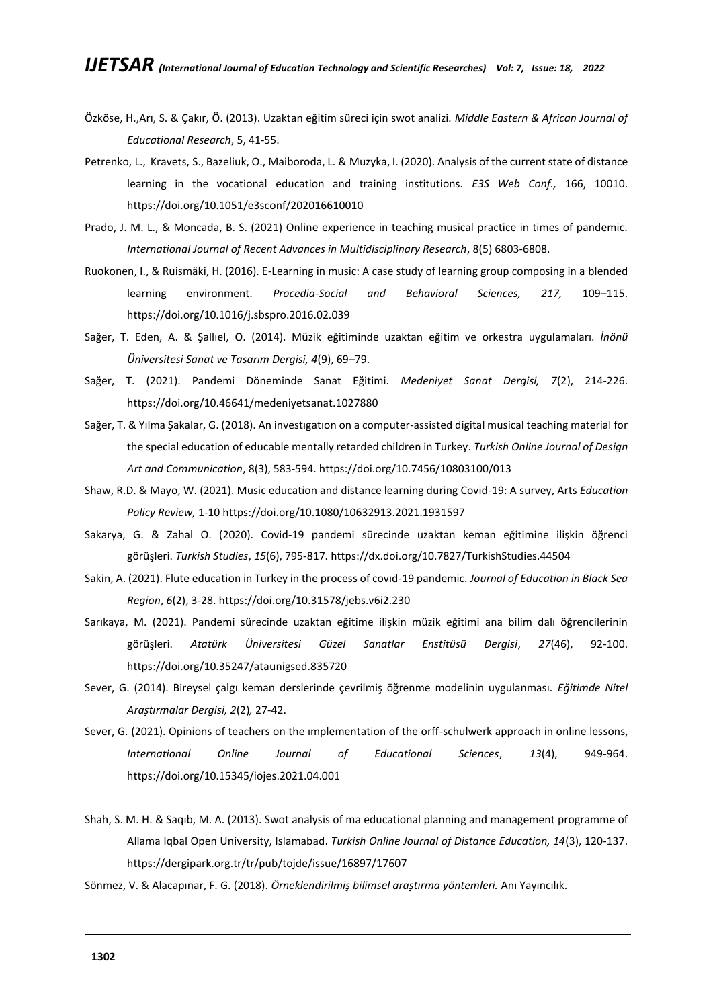- Özköse, H.,Arı, S. & Çakır, Ö. (2013). Uzaktan eğitim süreci için swot analizi*. Middle Eastern & African Journal of Educational Research*, 5, 41-55.
- Petrenko, L., Kravets, S., Bazeliuk, O., Maiboroda, L. & Muzyka, I. (2020). Analysis of the current state of distance learning in the vocational education and training institutions. *E3S Web Conf.,* 166, 10010. <https://doi.org/10.1051/e3sconf/202016610010>
- Prado, J. M. L., & Moncada, B. S. (2021) Online experience in teaching musical practice in times of pandemic. *International Journal of Recent Advances in Multidisciplinary Research*, 8(5) 6803-6808.
- Ruokonen, I., & Ruismäki, H. (2016). E-Learning in music: A case study of learning group composing in a blended learning environment. *Procedia-Social and Behavioral Sciences, 217,* 109–115. <https://doi.org/10.1016/j.sbspro.2016.02.039>
- Sağer, T. Eden, A. & Şallıel, O. (2014). Müzik eğitiminde uzaktan eğitim ve orkestra uygulamaları. *İnönü Üniversitesi Sanat ve Tasarım Dergisi, 4*(9), 69–79.
- Sağer, T. (2021). Pandemi Döneminde Sanat Eğitimi. *Medeniyet Sanat Dergisi, 7*(2), 214-226. <https://doi.org/10.46641/medeniyetsanat.1027880>
- Sağer, T. & Yılma Şakalar, G. (2018). An investıgatıon on a computer-assisted digital musical teaching material for the special education of educable mentally retarded children in Turkey. *Turkish Online Journal of Design Art and Communication*, 8(3), 583-594[. https://doi.org/10.7456/10803100/013](https://doi.org/10.7456/10803100/013)
- Shaw, R.D. & Mayo, W. (2021). Music education and distance learning during Covid-19: A survey, Arts *Education Policy Review,* 1-10<https://doi.org/10.1080/10632913.2021.1931597>
- Sakarya, G. & Zahal O. (2020). Covid-19 pandemi sürecinde uzaktan keman eğitimine ilişkin öğrenci görüşleri. *Turkish Studies*, *15*(6), 795-817[. https://dx.doi.org/10.7827/TurkishStudies.44504](https://dx.doi.org/10.7827/TurkishStudies.44504)
- Sakin, A. (2021). Flute education in Turkey in the process of covıd-19 pandemic. *Journal of Education in Black Sea Region*, *6*(2), 3-28.<https://doi.org/10.31578/jebs.v6i2.230>
- Sarıkaya, M. (2021). Pandemi sürecinde uzaktan eğitime ilişkin müzik eğitimi ana bilim dalı öğrencilerinin görüşleri. *Atatürk Üniversitesi Güzel Sanatlar Enstitüsü Dergisi*, *27*(46), 92-100. <https://doi.org/10.35247/ataunigsed.835720>
- Sever, G. (2014). Bireysel çalgı keman derslerinde çevrilmiş öğrenme modelinin uygulanması. *Eğitimde Nitel Araştırmalar Dergisi, 2*(2)*,* 27-42.
- Sever, G. (2021). Opinions of teachers on the ımplementation of the orff-schulwerk approach in online lessons, *International Online Journal of Educational Sciences*, *13*(4), 949-964. <https://doi.org/10.15345/iojes.2021.04.001>
- Shah, S. M. H. & Saqıb, M. A. (2013). Swot analysis of ma educational planning and management programme of Allama Iqbal Open University, Islamabad. *Turkish Online Journal of Distance Education, 14*(3), 120-137. <https://dergipark.org.tr/tr/pub/tojde/issue/16897/17607>
- Sönmez, V. & Alacapınar, F. G. (2018). *Örneklendirilmiş bilimsel araştırma yöntemleri.* Anı Yayıncılık.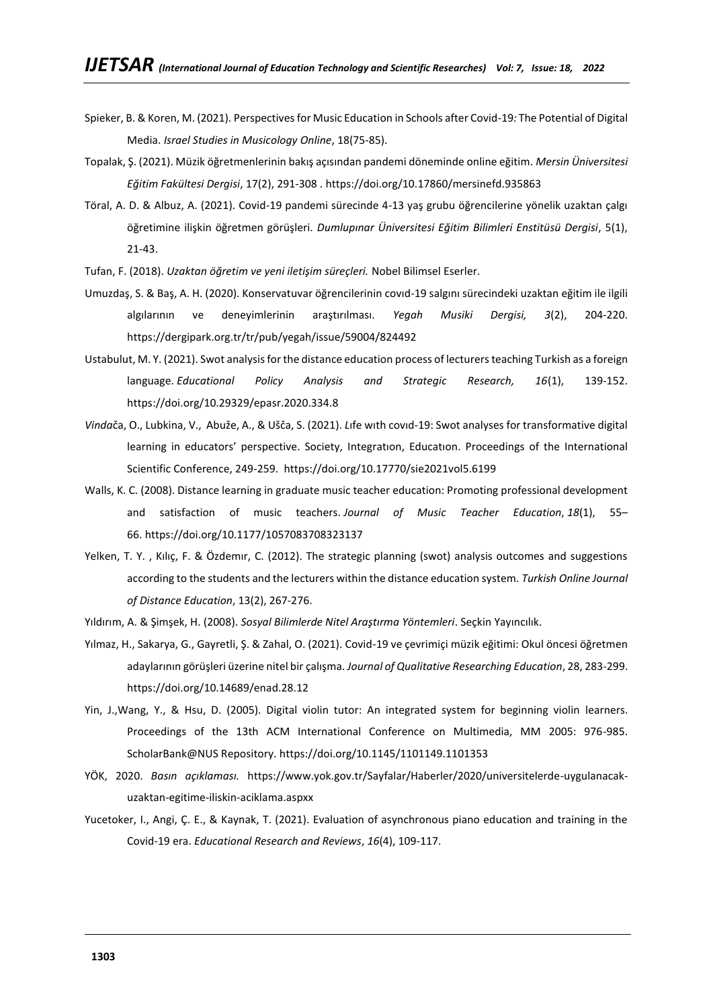- Spieker, B. & Koren, M. (2021). Perspectives for Music Education in Schools after Covid-19*:* The Potential of Digital Media. *Israel Studies in Musicology Online*, 18(75-85).
- Topalak, Ş. (2021). Müzik öğretmenlerinin bakış açısından pandemi döneminde online eğitim. *Mersin Üniversitesi Eğitim Fakültesi Dergisi*, 17(2), 291-308 .<https://doi.org/10.17860/mersinefd.935863>
- Töral, A. D. & Albuz, A. (2021). Covid-19 pandemi sürecinde 4-13 yaş grubu öğrencilerine yönelik uzaktan çalgı öğretimine ilişkin öğretmen görüşleri. *Dumlupınar Üniversitesi Eğitim Bilimleri Enstitüsü Dergisi*, 5(1), 21-43.
- Tufan, F. (2018). *Uzaktan öğretim ve yeni iletişim süreçleri.* Nobel Bilimsel Eserler.
- Umuzdaş, S. & Baş, A. H. (2020). Konservatuvar öğrencilerinin covıd-19 salgını sürecindeki uzaktan eğitim ile ilgili algılarının ve deneyimlerinin araştırılması*. Yegah Musiki Dergisi, 3*(2), 204-220. <https://dergipark.org.tr/tr/pub/yegah/issue/59004/824492>
- Ustabulut, M. Y. (2021). Swot analysis for the distance education process of lecturers teaching Turkish as a foreign language. *Educational Policy Analysis and Strategic Research, 16*(1), 139-152. <https://doi.org/10.29329/epasr.2020.334.8>
- *Vinda*ča, O., Lubkina, V., Abuže, A., & Ušča, S. (2021). *L*ıfe wıth covıd-19: Swot analyses for transformative digital learning in educators' perspective. Society, Integratıon, Educatıon. Proceedings of the International Scientific Conference, 249-259. <https://doi.org/10.17770/sie2021vol5.6199>
- Walls, K. C. (2008). Distance learning in graduate music teacher education: Promoting professional development and satisfaction of music teachers. *Journal of Music Teacher Education*, *18*(1), 55– 66. <https://doi.org/10.1177/1057083708323137>
- Yelken, T. Y. , Kılıç, F. & Özdemır, C. (2012). The strategic planning (swot) analysis outcomes and suggestions according to the students and the lecturers within the distance education system. *Turkish Online Journal of Distance Education*, 13(2), 267-276.
- Yıldırım, A. & Şimşek, H. (2008). *Sosyal Bilimlerde Nitel Araştırma Yöntemleri*. Seçkin Yayıncılık.
- Yılmaz, H., Sakarya, G., Gayretli, Ş. & Zahal, O. (2021). Covid-19 ve çevrimiçi müzik eğitimi: Okul öncesi öğretmen adaylarının görüşleri üzerine nitel bir çalışma. *Journal of Qualitative Researching Education*, 28, 283-299. <https://doi.org/10.14689/enad.28.12>
- Yin, J.,Wang, Y., & Hsu, D. (2005). Digital violin tutor: An integrated system for beginning violin learners. Proceedings of the 13th ACM International Conference on Multimedia, MM 2005: 976-985. ScholarBank@NUS Repository. <https://doi.org/10.1145/1101149.1101353>
- YÖK, 2020. *Basın açıklaması.* [https://www.yok.gov.tr/Sayfalar/Haberler/2020/universitelerde-uygulanacak](https://www.yok.gov.tr/Sayfalar/Haberler/2020/universitelerde-uygulanacak-uzaktan-egitime-iliskin-aciklama.aspxx)[uzaktan-egitime-iliskin-aciklama.aspxx](https://www.yok.gov.tr/Sayfalar/Haberler/2020/universitelerde-uygulanacak-uzaktan-egitime-iliskin-aciklama.aspxx)
- Yucetoker, I., Angi, Ç. E., & Kaynak, T. (2021). Evaluation of asynchronous piano education and training in the Covid-19 era. *Educational Research and Reviews*, *16*(4), 109-117.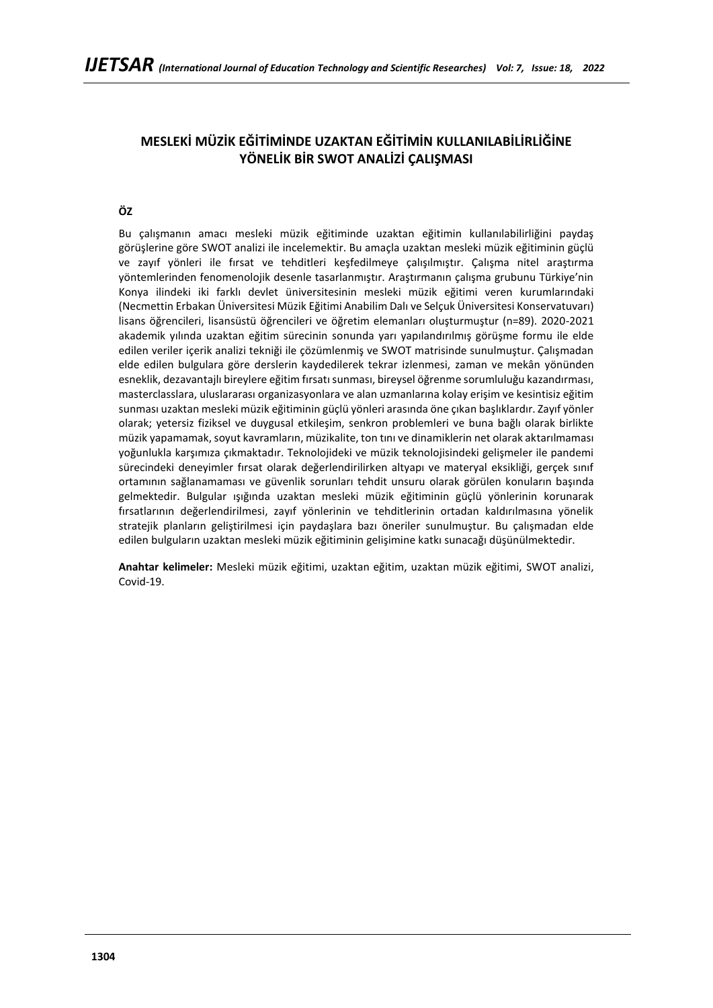# **MESLEKİ MÜZİK EĞİTİMİNDE UZAKTAN EĞİTİMİN KULLANILABİLİRLİĞİNE YÖNELİK BİR SWOT ANALİZİ ÇALIŞMASI**

# **ÖZ**

Bu çalışmanın amacı mesleki müzik eğitiminde uzaktan eğitimin kullanılabilirliğini paydaş görüşlerine göre SWOT analizi ile incelemektir. Bu amaçla uzaktan mesleki müzik eğitiminin güçlü ve zayıf yönleri ile fırsat ve tehditleri keşfedilmeye çalışılmıştır. Çalışma nitel araştırma yöntemlerinden fenomenolojik desenle tasarlanmıştır. Araştırmanın çalışma grubunu Türkiye'nin Konya ilindeki iki farklı devlet üniversitesinin mesleki müzik eğitimi veren kurumlarındaki (Necmettin Erbakan Üniversitesi Müzik Eğitimi Anabilim Dalı ve Selçuk Üniversitesi Konservatuvarı) lisans öğrencileri, lisansüstü öğrencileri ve öğretim elemanları oluşturmuştur (n=89). 2020-2021 akademik yılında uzaktan eğitim sürecinin sonunda yarı yapılandırılmış görüşme formu ile elde edilen veriler içerik analizi tekniği ile çözümlenmiş ve SWOT matrisinde sunulmuştur. Çalışmadan elde edilen bulgulara göre derslerin kaydedilerek tekrar izlenmesi, zaman ve mekân yönünden esneklik, dezavantajlı bireylere eğitim fırsatı sunması, bireysel öğrenme sorumluluğu kazandırması, masterclasslara, uluslararası organizasyonlara ve alan uzmanlarına kolay erişim ve kesintisiz eğitim sunması uzaktan mesleki müzik eğitiminin güçlü yönleri arasında öne çıkan başlıklardır. Zayıf yönler olarak; yetersiz fiziksel ve duygusal etkileşim, senkron problemleri ve buna bağlı olarak birlikte müzik yapamamak, soyut kavramların, müzikalite, ton tını ve dinamiklerin net olarak aktarılmaması yoğunlukla karşımıza çıkmaktadır. Teknolojideki ve müzik teknolojisindeki gelişmeler ile pandemi sürecindeki deneyimler fırsat olarak değerlendirilirken altyapı ve materyal eksikliği, gerçek sınıf ortamının sağlanamaması ve güvenlik sorunları tehdit unsuru olarak görülen konuların başında gelmektedir. Bulgular ışığında uzaktan mesleki müzik eğitiminin güçlü yönlerinin korunarak fırsatlarının değerlendirilmesi, zayıf yönlerinin ve tehditlerinin ortadan kaldırılmasına yönelik stratejik planların geliştirilmesi için paydaşlara bazı öneriler sunulmuştur. Bu çalışmadan elde edilen bulguların uzaktan mesleki müzik eğitiminin gelişimine katkı sunacağı düşünülmektedir.

**Anahtar kelimeler:** Mesleki müzik eğitimi, uzaktan eğitim, uzaktan müzik eğitimi, SWOT analizi, Covid-19.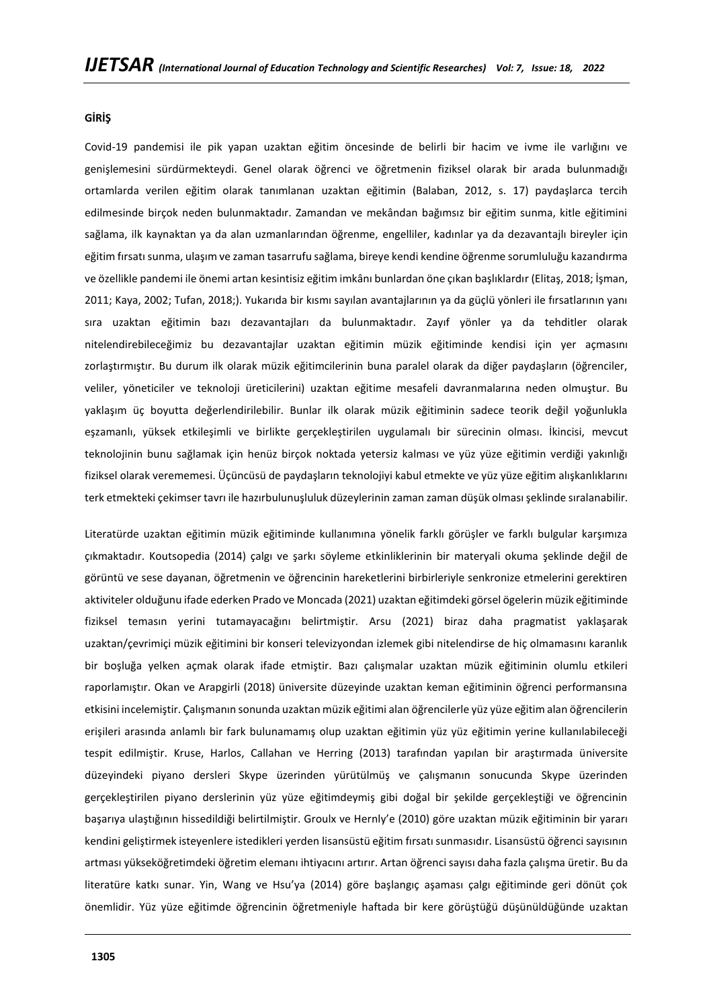#### **GİRİŞ**

Covid-19 pandemisi ile pik yapan uzaktan eğitim öncesinde de belirli bir hacim ve ivme ile varlığını ve genişlemesini sürdürmekteydi. Genel olarak öğrenci ve öğretmenin fiziksel olarak bir arada bulunmadığı ortamlarda verilen eğitim olarak tanımlanan uzaktan eğitimin (Balaban, 2012, s. 17) paydaşlarca tercih edilmesinde birçok neden bulunmaktadır. Zamandan ve mekândan bağımsız bir eğitim sunma, kitle eğitimini sağlama, ilk kaynaktan ya da alan uzmanlarından öğrenme, engelliler, kadınlar ya da dezavantajlı bireyler için eğitim fırsatı sunma, ulaşım ve zaman tasarrufu sağlama, bireye kendi kendine öğrenme sorumluluğu kazandırma ve özellikle pandemi ile önemi artan kesintisiz eğitim imkânı bunlardan öne çıkan başlıklardır (Elitaş, 2018; İşman, 2011; Kaya, 2002; Tufan, 2018;). Yukarıda bir kısmı sayılan avantajlarının ya da güçlü yönleri ile fırsatlarının yanı sıra uzaktan eğitimin bazı dezavantajları da bulunmaktadır. Zayıf yönler ya da tehditler olarak nitelendirebileceğimiz bu dezavantajlar uzaktan eğitimin müzik eğitiminde kendisi için yer açmasını zorlaştırmıştır. Bu durum ilk olarak müzik eğitimcilerinin buna paralel olarak da diğer paydaşların (öğrenciler, veliler, yöneticiler ve teknoloji üreticilerini) uzaktan eğitime mesafeli davranmalarına neden olmuştur. Bu yaklaşım üç boyutta değerlendirilebilir. Bunlar ilk olarak müzik eğitiminin sadece teorik değil yoğunlukla eşzamanlı, yüksek etkileşimli ve birlikte gerçekleştirilen uygulamalı bir sürecinin olması. İkincisi, mevcut teknolojinin bunu sağlamak için henüz birçok noktada yetersiz kalması ve yüz yüze eğitimin verdiği yakınlığı fiziksel olarak verememesi. Üçüncüsü de paydaşların teknolojiyi kabul etmekte ve yüz yüze eğitim alışkanlıklarını terk etmekteki çekimser tavrı ile hazırbulunuşluluk düzeylerinin zaman zaman düşük olması şeklinde sıralanabilir.

Literatürde uzaktan eğitimin müzik eğitiminde kullanımına yönelik farklı görüşler ve farklı bulgular karşımıza çıkmaktadır. Koutsopedia (2014) çalgı ve şarkı söyleme etkinliklerinin bir materyali okuma şeklinde değil de görüntü ve sese dayanan, öğretmenin ve öğrencinin hareketlerini birbirleriyle senkronize etmelerini gerektiren aktiviteler olduğunu ifade ederken Prado ve Moncada (2021) uzaktan eğitimdeki görsel ögelerin müzik eğitiminde fiziksel temasın yerini tutamayacağını belirtmiştir. Arsu (2021) biraz daha pragmatist yaklaşarak uzaktan/çevrimiçi müzik eğitimini bir konseri televizyondan izlemek gibi nitelendirse de hiç olmamasını karanlık bir boşluğa yelken açmak olarak ifade etmiştir. Bazı çalışmalar uzaktan müzik eğitiminin olumlu etkileri raporlamıştır. Okan ve Arapgirli (2018) üniversite düzeyinde uzaktan keman eğitiminin öğrenci performansına etkisini incelemiştir. Çalışmanın sonunda uzaktan müzik eğitimi alan öğrencilerle yüz yüze eğitim alan öğrencilerin erişileri arasında anlamlı bir fark bulunamamış olup uzaktan eğitimin yüz yüz eğitimin yerine kullanılabileceği tespit edilmiştir. Kruse, Harlos, Callahan ve Herring (2013) tarafından yapılan bir araştırmada üniversite düzeyindeki piyano dersleri Skype üzerinden yürütülmüş ve çalışmanın sonucunda Skype üzerinden gerçekleştirilen piyano derslerinin yüz yüze eğitimdeymiş gibi doğal bir şekilde gerçekleştiği ve öğrencinin başarıya ulaştığının hissedildiği belirtilmiştir. Groulx ve Hernly'e (2010) göre uzaktan müzik eğitiminin bir yararı kendini geliştirmek isteyenlere istedikleri yerden lisansüstü eğitim fırsatı sunmasıdır. Lisansüstü öğrenci sayısının artması yükseköğretimdeki öğretim elemanı ihtiyacını artırır. Artan öğrenci sayısı daha fazla çalışma üretir. Bu da literatüre katkı sunar. Yin, Wang ve Hsu'ya (2014) göre başlangıç aşaması çalgı eğitiminde geri dönüt çok önemlidir. Yüz yüze eğitimde öğrencinin öğretmeniyle haftada bir kere görüştüğü düşünüldüğünde uzaktan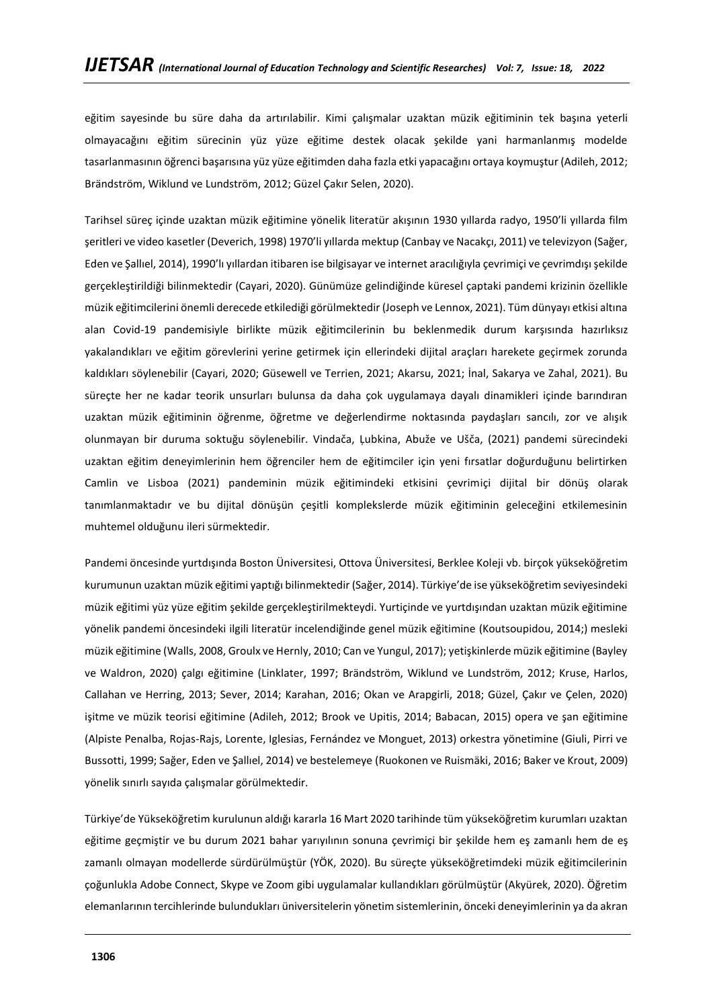eğitim sayesinde bu süre daha da artırılabilir. Kimi çalışmalar uzaktan müzik eğitiminin tek başına yeterli olmayacağını eğitim sürecinin yüz yüze eğitime destek olacak şekilde yani harmanlanmış modelde tasarlanmasının öğrenci başarısına yüz yüze eğitimden daha fazla etki yapacağını ortaya koymuştur (Adileh, 2012; Brändström, Wiklund ve Lundström, 2012; Güzel Çakır Selen, 2020).

Tarihsel süreç içinde uzaktan müzik eğitimine yönelik literatür akışının 1930 yıllarda radyo, 1950'li yıllarda film şeritleri ve video kasetler (Deverich, 1998) 1970'li yıllarda mektup (Canbay ve Nacakçı, 2011) ve televizyon (Sağer, Eden ve Şallıel, 2014), 1990'lı yıllardan itibaren ise bilgisayar ve internet aracılığıyla çevrimiçi ve çevrimdışı şekilde gerçekleştirildiği bilinmektedir (Cayari, 2020). Günümüze gelindiğinde küresel çaptaki pandemi krizinin özellikle müzik eğitimcilerini önemli derecede etkilediği görülmektedir (Joseph ve Lennox, 2021). Tüm dünyayı etkisi altına alan Covid-19 pandemisiyle birlikte müzik eğitimcilerinin bu beklenmedik durum karşısında hazırlıksız yakalandıkları ve eğitim görevlerini yerine getirmek için ellerindeki dijital araçları harekete geçirmek zorunda kaldıkları söylenebilir (Cayari, 2020; Güsewell ve Terrien, 2021; Akarsu, 2021; İnal, Sakarya ve Zahal, 2021). Bu süreçte her ne kadar teorik unsurları bulunsa da daha çok uygulamaya dayalı dinamikleri içinde barındıran uzaktan müzik eğitiminin öğrenme, öğretme ve değerlendirme noktasında paydaşları sancılı, zor ve alışık olunmayan bir duruma soktuğu söylenebilir. Vindača, Ļubkina, Abuže ve Ušča, (2021) pandemi sürecindeki uzaktan eğitim deneyimlerinin hem öğrenciler hem de eğitimciler için yeni fırsatlar doğurduğunu belirtirken Camlin ve Lisboa (2021) pandeminin müzik eğitimindeki etkisini çevrimiçi dijital bir dönüş olarak tanımlanmaktadır ve bu dijital dönüşün çeşitli komplekslerde müzik eğitiminin geleceğini etkilemesinin muhtemel olduğunu ileri sürmektedir.

Pandemi öncesinde yurtdışında Boston Üniversitesi, Ottova Üniversitesi, Berklee Koleji vb. birçok yükseköğretim kurumunun uzaktan müzik eğitimi yaptığı bilinmektedir (Sağer, 2014). Türkiye'de ise yükseköğretim seviyesindeki müzik eğitimi yüz yüze eğitim şekilde gerçekleştirilmekteydi. Yurtiçinde ve yurtdışından uzaktan müzik eğitimine yönelik pandemi öncesindeki ilgili literatür incelendiğinde genel müzik eğitimine (Koutsoupidou, 2014;) mesleki müzik eğitimine (Walls, 2008, Groulx ve Hernly, 2010; Can ve Yungul, 2017); yetişkinlerde müzik eğitimine (Bayley ve Waldron, 2020) çalgı eğitimine (Linklater, 1997; Brändström, Wiklund ve Lundström, 2012; Kruse, Harlos, Callahan ve Herring, 2013; Sever, 2014; Karahan, 2016; Okan ve Arapgirli, 2018; Güzel, Çakır ve Çelen, 2020) işitme ve müzik teorisi eğitimine (Adileh, 2012; Brook ve Upitis, 2014; Babacan, 2015) opera ve şan eğitimine (Alpiste Penalba, Rojas-Rajs, Lorente, Iglesias, Fernández ve Monguet, 2013) orkestra yönetimine (Giuli, Pirri ve Bussotti, 1999; Sağer, Eden ve Şallıel, 2014) ve bestelemeye (Ruokonen ve Ruismäki, 2016; Baker ve Krout, 2009) yönelik sınırlı sayıda çalışmalar görülmektedir.

Türkiye'de Yükseköğretim kurulunun aldığı kararla 16 Mart 2020 tarihinde tüm yükseköğretim kurumları uzaktan eğitime geçmiştir ve bu durum 2021 bahar yarıyılının sonuna çevrimiçi bir şekilde hem eş zamanlı hem de eş zamanlı olmayan modellerde sürdürülmüştür (YÖK, 2020). Bu süreçte yükseköğretimdeki müzik eğitimcilerinin çoğunlukla Adobe Connect, Skype ve Zoom gibi uygulamalar kullandıkları görülmüştür (Akyürek, 2020). Öğretim elemanlarının tercihlerinde bulundukları üniversitelerin yönetim sistemlerinin, önceki deneyimlerinin ya da akran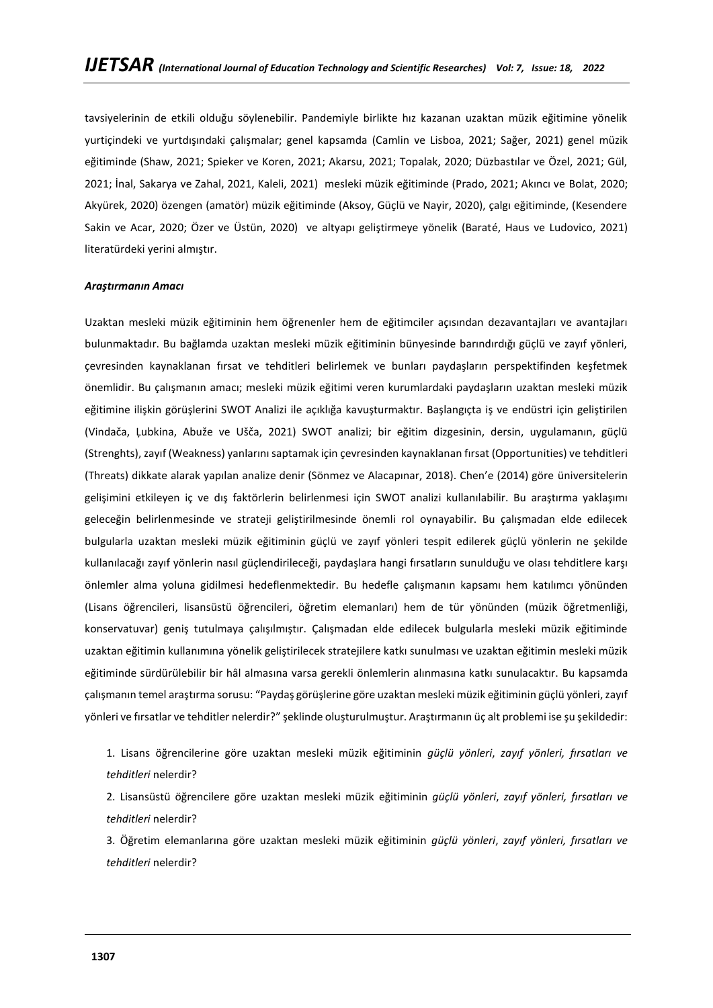tavsiyelerinin de etkili olduğu söylenebilir. Pandemiyle birlikte hız kazanan uzaktan müzik eğitimine yönelik yurtiçindeki ve yurtdışındaki çalışmalar; genel kapsamda (Camlin ve Lisboa, 2021; Sağer, 2021) genel müzik eğitiminde (Shaw, 2021; Spieker ve Koren, 2021; Akarsu, 2021; Topalak, 2020; Düzbastılar ve Özel, 2021; Gül, 2021; İnal, Sakarya ve Zahal, 2021, Kaleli, 2021) mesleki müzik eğitiminde (Prado, 2021; Akıncı ve Bolat, 2020; Akyürek, 2020) özengen (amatör) müzik eğitiminde (Aksoy, Güçlü ve Nayir, 2020), çalgı eğitiminde, (Kesendere Sakin ve Acar, 2020; Özer ve Üstün, 2020) ve altyapı geliştirmeye yönelik (Baraté, Haus ve Ludovico, 2021) literatürdeki yerini almıştır.

#### *Araştırmanın Amacı*

Uzaktan mesleki müzik eğitiminin hem öğrenenler hem de eğitimciler açısından dezavantajları ve avantajları bulunmaktadır. Bu bağlamda uzaktan mesleki müzik eğitiminin bünyesinde barındırdığı güçlü ve zayıf yönleri, çevresinden kaynaklanan fırsat ve tehditleri belirlemek ve bunları paydaşların perspektifinden keşfetmek önemlidir. Bu çalışmanın amacı; mesleki müzik eğitimi veren kurumlardaki paydaşların uzaktan mesleki müzik eğitimine ilişkin görüşlerini SWOT Analizi ile açıklığa kavuşturmaktır. Başlangıçta iş ve endüstri için geliştirilen (Vindača, Ļubkina, Abuže ve Ušča, 2021) SWOT analizi; bir eğitim dizgesinin, dersin, uygulamanın, güçlü (Strenghts), zayıf (Weakness) yanlarını saptamak için çevresinden kaynaklanan fırsat (Opportunities) ve tehditleri (Threats) dikkate alarak yapılan analize denir (Sönmez ve Alacapınar, 2018). Chen'e (2014) göre üniversitelerin gelişimini etkileyen iç ve dış faktörlerin belirlenmesi için SWOT analizi kullanılabilir. Bu araştırma yaklaşımı geleceğin belirlenmesinde ve strateji geliştirilmesinde önemli rol oynayabilir. Bu çalışmadan elde edilecek bulgularla uzaktan mesleki müzik eğitiminin güçlü ve zayıf yönleri tespit edilerek güçlü yönlerin ne şekilde kullanılacağı zayıf yönlerin nasıl güçlendirileceği, paydaşlara hangi fırsatların sunulduğu ve olası tehditlere karşı önlemler alma yoluna gidilmesi hedeflenmektedir. Bu hedefle çalışmanın kapsamı hem katılımcı yönünden (Lisans öğrencileri, lisansüstü öğrencileri, öğretim elemanları) hem de tür yönünden (müzik öğretmenliği, konservatuvar) geniş tutulmaya çalışılmıştır. Çalışmadan elde edilecek bulgularla mesleki müzik eğitiminde uzaktan eğitimin kullanımına yönelik geliştirilecek stratejilere katkı sunulması ve uzaktan eğitimin mesleki müzik eğitiminde sürdürülebilir bir hâl almasına varsa gerekli önlemlerin alınmasına katkı sunulacaktır. Bu kapsamda çalışmanın temel araştırma sorusu: "Paydaş görüşlerine göre uzaktan mesleki müzik eğitiminin güçlü yönleri, zayıf yönleri ve fırsatlar ve tehditler nelerdir?" şeklinde oluşturulmuştur. Araştırmanın üç alt problemi ise şu şekildedir:

1. Lisans öğrencilerine göre uzaktan mesleki müzik eğitiminin *güçlü yönleri*, *zayıf yönleri, fırsatları ve tehditleri* nelerdir?

2. Lisansüstü öğrencilere göre uzaktan mesleki müzik eğitiminin *güçlü yönleri*, *zayıf yönleri, fırsatları ve tehditleri* nelerdir?

3. Öğretim elemanlarına göre uzaktan mesleki müzik eğitiminin *güçlü yönleri*, *zayıf yönleri, fırsatları ve tehditleri* nelerdir?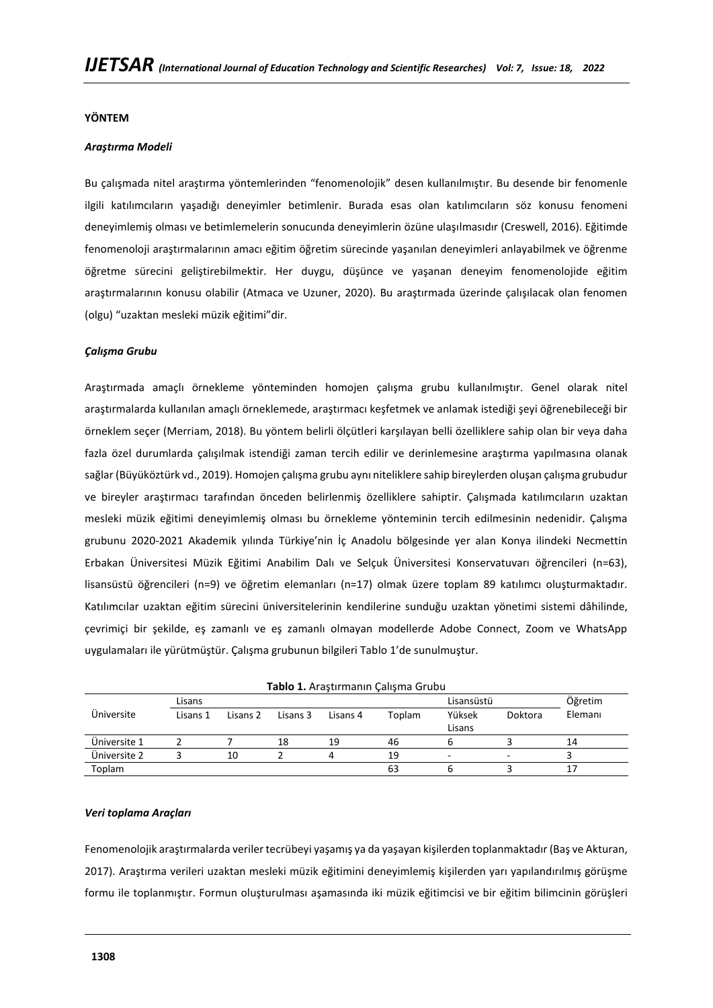### **YÖNTEM**

### *Araştırma Modeli*

Bu çalışmada nitel araştırma yöntemlerinden "fenomenolojik" desen kullanılmıştır. Bu desende bir fenomenle ilgili katılımcıların yaşadığı deneyimler betimlenir. Burada esas olan katılımcıların söz konusu fenomeni deneyimlemiş olması ve betimlemelerin sonucunda deneyimlerin özüne ulaşılmasıdır (Creswell, 2016). Eğitimde fenomenoloji araştırmalarının amacı eğitim öğretim sürecinde yaşanılan deneyimleri anlayabilmek ve öğrenme öğretme sürecini geliştirebilmektir. Her duygu, düşünce ve yaşanan deneyim fenomenolojide eğitim araştırmalarının konusu olabilir (Atmaca ve Uzuner, 2020). Bu araştırmada üzerinde çalışılacak olan fenomen (olgu) "uzaktan mesleki müzik eğitimi"dir.

#### *Çalışma Grubu*

Araştırmada amaçlı örnekleme yönteminden homojen çalışma grubu kullanılmıştır. Genel olarak nitel araştırmalarda kullanılan amaçlı örneklemede, araştırmacı keşfetmek ve anlamak istediği şeyi öğrenebileceği bir örneklem seçer (Merriam, 2018). Bu yöntem belirli ölçütleri karşılayan belli özelliklere sahip olan bir veya daha fazla özel durumlarda çalışılmak istendiği zaman tercih edilir ve derinlemesine araştırma yapılmasına olanak sağlar (Büyüköztürk vd., 2019). Homojen çalışma grubu aynı niteliklere sahip bireylerden oluşan çalışma grubudur ve bireyler araştırmacı tarafından önceden belirlenmiş özelliklere sahiptir. Çalışmada katılımcıların uzaktan mesleki müzik eğitimi deneyimlemiş olması bu örnekleme yönteminin tercih edilmesinin nedenidir. Çalışma grubunu 2020-2021 Akademik yılında Türkiye'nin İç Anadolu bölgesinde yer alan Konya ilindeki Necmettin Erbakan Üniversitesi Müzik Eğitimi Anabilim Dalı ve Selçuk Üniversitesi Konservatuvarı öğrencileri (n=63), lisansüstü öğrencileri (n=9) ve öğretim elemanları (n=17) olmak üzere toplam 89 katılımcı oluşturmaktadır. Katılımcılar uzaktan eğitim sürecini üniversitelerinin kendilerine sunduğu uzaktan yönetimi sistemi dâhilinde, çevrimiçi bir şekilde, eş zamanlı ve eş zamanlı olmayan modellerde Adobe Connect, Zoom ve WhatsApp uygulamaları ile yürütmüştür. Çalışma grubunun bilgileri Tablo 1'de sunulmuştur.

|              |          |          |          |          | Tablo 1. Araştırmanın Çalışma Grubu |            |         |         |
|--------------|----------|----------|----------|----------|-------------------------------------|------------|---------|---------|
|              | Lisans   |          |          |          |                                     | Lisansüstü | Öğretim |         |
| Üniversite   | Lisans 1 | Lisans 2 | Lisans 3 | Lisans 4 | Toplam                              | Yüksek     | Doktora | Elemanı |
|              |          |          |          |          |                                     | Lisans     |         |         |
| Üniversite 1 |          |          | 18       | 19       | 46                                  | ь          |         | 14      |
| Üniversite 2 |          | 10       |          |          | 19                                  |            | ۰       |         |
| Toplam       |          |          |          |          | 63                                  |            |         |         |

### *Veri toplama Araçları*

Fenomenolojik araştırmalarda veriler tecrübeyi yaşamış ya da yaşayan kişilerden toplanmaktadır (Baş ve Akturan, 2017). Araştırma verileri uzaktan mesleki müzik eğitimini deneyimlemiş kişilerden yarı yapılandırılmış görüşme formu ile toplanmıştır. Formun oluşturulması aşamasında iki müzik eğitimcisi ve bir eğitim bilimcinin görüşleri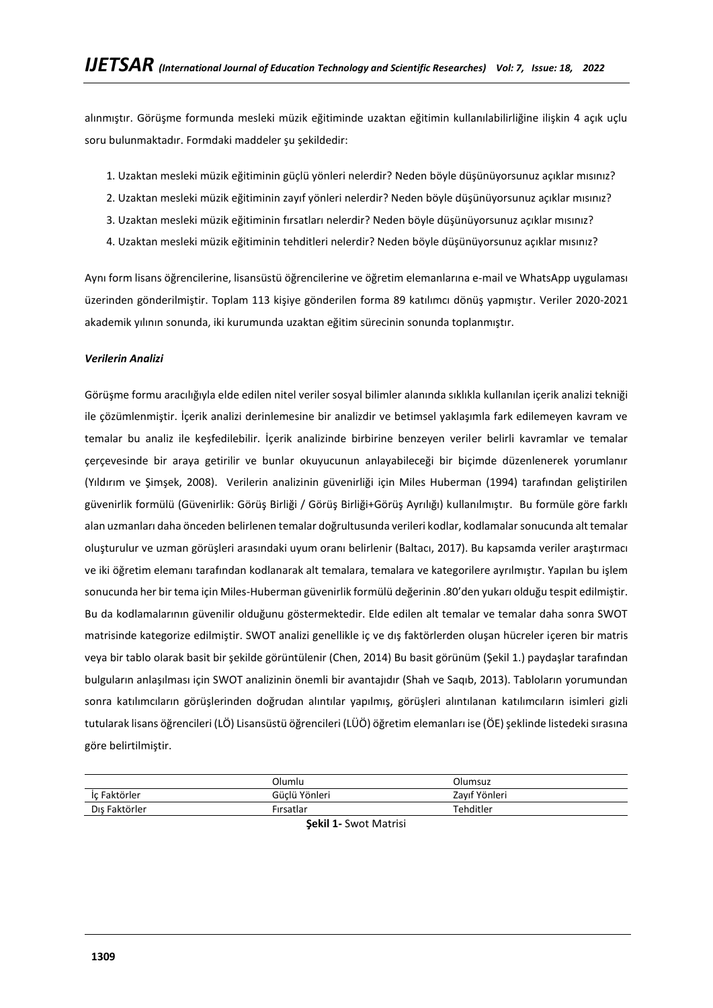alınmıştır. Görüşme formunda mesleki müzik eğitiminde uzaktan eğitimin kullanılabilirliğine ilişkin 4 açık uçlu soru bulunmaktadır. Formdaki maddeler şu şekildedir:

- 1. Uzaktan mesleki müzik eğitiminin güçlü yönleri nelerdir? Neden böyle düşünüyorsunuz açıklar mısınız?
- 2. Uzaktan mesleki müzik eğitiminin zayıf yönleri nelerdir? Neden böyle düşünüyorsunuz açıklar mısınız?
- 3. Uzaktan mesleki müzik eğitiminin fırsatları nelerdir? Neden böyle düşünüyorsunuz açıklar mısınız?
- 4. Uzaktan mesleki müzik eğitiminin tehditleri nelerdir? Neden böyle düşünüyorsunuz açıklar mısınız?

Aynı form lisans öğrencilerine, lisansüstü öğrencilerine ve öğretim elemanlarına e-mail ve WhatsApp uygulaması üzerinden gönderilmiştir. Toplam 113 kişiye gönderilen forma 89 katılımcı dönüş yapmıştır. Veriler 2020-2021 akademik yılının sonunda, iki kurumunda uzaktan eğitim sürecinin sonunda toplanmıştır.

### *Verilerin Analizi*

Görüşme formu aracılığıyla elde edilen nitel veriler sosyal bilimler alanında sıklıkla kullanılan içerik analizi tekniği ile çözümlenmiştir. İçerik analizi derinlemesine bir analizdir ve betimsel yaklaşımla fark edilemeyen kavram ve temalar bu analiz ile keşfedilebilir. İçerik analizinde birbirine benzeyen veriler belirli kavramlar ve temalar çerçevesinde bir araya getirilir ve bunlar okuyucunun anlayabileceği bir biçimde düzenlenerek yorumlanır (Yıldırım ve Şimşek, 2008). Verilerin analizinin güvenirliği için Miles Huberman (1994) tarafından geliştirilen güvenirlik formülü (Güvenirlik: Görüş Birliği / Görüş Birliği+Görüş Ayrılığı) kullanılmıştır. Bu formüle göre farklı alan uzmanları daha önceden belirlenen temalar doğrultusunda verileri kodlar, kodlamalar sonucunda alt temalar oluşturulur ve uzman görüşleri arasındaki uyum oranı belirlenir (Baltacı, 2017). Bu kapsamda veriler araştırmacı ve iki öğretim elemanı tarafından kodlanarak alt temalara, temalara ve kategorilere ayrılmıştır. Yapılan bu işlem sonucunda her bir tema için Miles-Huberman güvenirlik formülü değerinin .80'den yukarı olduğu tespit edilmiştir. Bu da kodlamalarının güvenilir olduğunu göstermektedir. Elde edilen alt temalar ve temalar daha sonra SWOT matrisinde kategorize edilmiştir. SWOT analizi genellikle iç ve dış faktörlerden oluşan hücreler içeren bir matris veya bir tablo olarak basit bir şekilde görüntülenir (Chen, 2014) Bu basit görünüm (Şekil 1.) paydaşlar tarafından bulguların anlaşılması için SWOT analizinin önemli bir avantajıdır (Shah ve Saqıb, 2013). Tabloların yorumundan sonra katılımcıların görüşlerinden doğrudan alıntılar yapılmış, görüşleri alıntılanan katılımcıların isimleri gizli tutularak lisans öğrencileri (LÖ) Lisansüstü öğrencileri (LÜÖ) öğretim elemanları ise (ÖE) şeklinde listedeki sırasına göre belirtilmiştir.

|                   | Olumlu        | Olumsuz       |
|-------------------|---------------|---------------|
| : Faktörler<br>Ic | Güclü Yönleri | Zavıf Yönleri |
| Dıs Faktörler     | Firsatlar     | Tehditler     |

**Şekil 1-** Swot Matrisi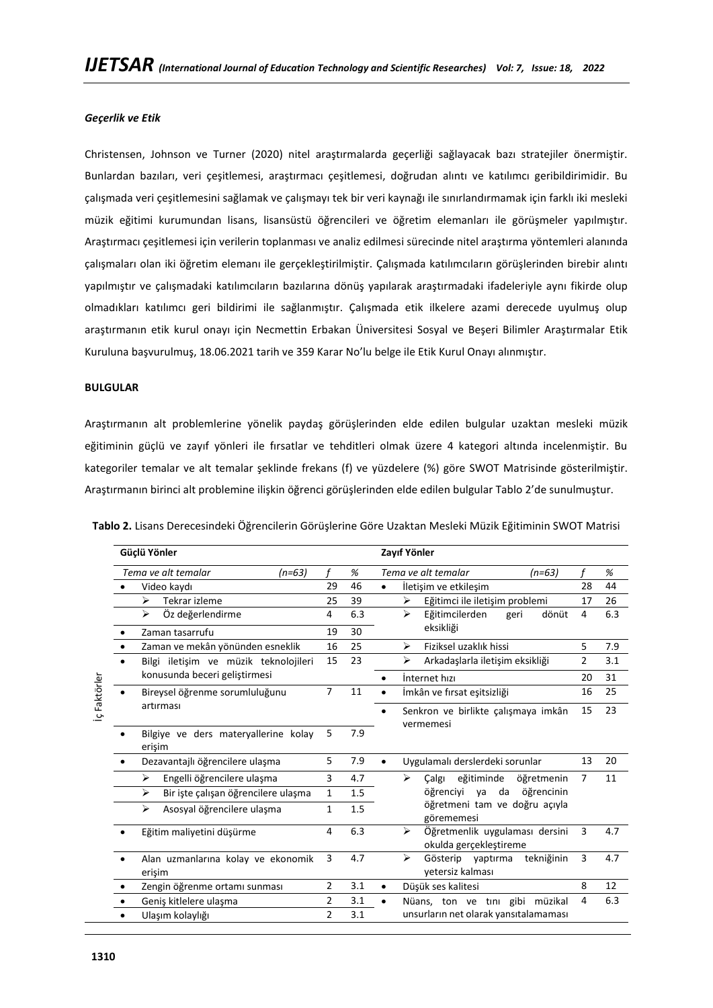### *Geçerlik ve Etik*

Christensen, Johnson ve Turner (2020) nitel araştırmalarda geçerliği sağlayacak bazı stratejiler önermiştir. Bunlardan bazıları, veri çeşitlemesi, araştırmacı çeşitlemesi, doğrudan alıntı ve katılımcı geribildirimidir. Bu çalışmada veri çeşitlemesini sağlamak ve çalışmayı tek bir veri kaynağı ile sınırlandırmamak için farklı iki mesleki müzik eğitimi kurumundan lisans, lisansüstü öğrencileri ve öğretim elemanları ile görüşmeler yapılmıştır. Araştırmacı çeşitlemesi için verilerin toplanması ve analiz edilmesi sürecinde nitel araştırma yöntemleri alanında çalışmaları olan iki öğretim elemanı ile gerçekleştirilmiştir. Çalışmada katılımcıların görüşlerinden birebir alıntı yapılmıştır ve çalışmadaki katılımcıların bazılarına dönüş yapılarak araştırmadaki ifadeleriyle aynı fikirde olup olmadıkları katılımcı geri bildirimi ile sağlanmıştır. Çalışmada etik ilkelere azami derecede uyulmuş olup araştırmanın etik kurul onayı için Necmettin Erbakan Üniversitesi Sosyal ve Beşeri Bilimler Araştırmalar Etik Kuruluna başvurulmuş, 18.06.2021 tarih ve 359 Karar No'lu belge ile Etik Kurul Onayı alınmıştır.

### **BULGULAR**

Araştırmanın alt problemlerine yönelik paydaş görüşlerinden elde edilen bulgular uzaktan mesleki müzik eğitiminin güçlü ve zayıf yönleri ile fırsatlar ve tehditleri olmak üzere 4 kategori altında incelenmiştir. Bu kategoriler temalar ve alt temalar şeklinde frekans (f) ve yüzdelere (%) göre SWOT Matrisinde gösterilmiştir. Araştırmanın birinci alt problemine ilişkin öğrenci görüşlerinden elde edilen bulgular Tablo 2'de sunulmuştur.

| Güclü Yönler                                   |                |     | Zayıf Yönler                                                  |                |     |
|------------------------------------------------|----------------|-----|---------------------------------------------------------------|----------------|-----|
| Tema ve alt temalar<br>$(n=63)$                | f              | %   | Tema ve alt temalar<br>$(n=63)$                               | f              | %   |
| Video kaydı                                    | 29             | 46  | İletişim ve etkileşim<br>$\bullet$                            | 28             | 44  |
| Tekrar izleme<br>⋗                             | 25             | 39  | Eğitimci ile iletişim problemi<br>↘                           | 17             | 26  |
| Öz değerlendirme<br>↘                          | 4              | 6.3 | ↘<br>Eğitimcilerden<br>dönüt<br>geri                          | 4              | 6.3 |
| Zaman tasarrufu                                | 19             | 30  | eksikliği                                                     |                |     |
| Zaman ve mekân yönünden esneklik               | 16             | 25  | Fiziksel uzaklık hissi<br>↘                                   | 5              | 7.9 |
| Bilgi iletisim ve müzik teknolojileri          | 15             | 23  | ↘<br>Arkadaslarla iletisim eksikliği                          | $\overline{2}$ | 3.1 |
| konusunda beceri geliştirmesi                  |                |     | Internet hızı<br>$\bullet$                                    | 20             | 31  |
| Bireysel öğrenme sorumluluğunu                 | $\overline{7}$ | 11  | İmkân ve fırsat eşitsizliği<br>$\bullet$                      | 16             | 25  |
| artırması                                      |                |     | Senkron ve birlikte çalışmaya imkân<br>vermemesi              | 15             | 23  |
| Bilgiye ve ders materyallerine kolay<br>erişim | 5              | 7.9 |                                                               |                |     |
| Dezavantajlı öğrencilere ulaşma                | 5              | 7.9 | Uygulamalı derslerdeki sorunlar                               | 13             | 20  |
| Engelli öğrencilere ulaşma<br>↘                | 3              | 4.7 | öğretmenin<br>↘<br>Calgi<br>eğitiminde                        | $\overline{7}$ | 11  |
| Bir iste calışan öğrencilere ulaşma<br>➤       | $\mathbf{1}$   | 1.5 | öğrenciyi ya da öğrencinin                                    |                |     |
| Asosyal öğrencilere ulaşma<br>⋗                | $\mathbf 1$    | 1.5 | öğretmeni tam ve doğru açıyla<br>görememesi                   |                |     |
| Eğitim maliyetini düşürme                      | 4              | 6.3 | Öğretmenlik uygulaması dersini<br>⋗<br>okulda gerçekleştireme | 3              | 4.7 |
| Alan uzmanlarına kolay ve ekonomik<br>erişim   | 3              | 4.7 | ↘<br>Gösterip yaptırma<br>tekniğinin<br>vetersiz kalması      | 3              | 4.7 |
| Zengin öğrenme ortamı sunması                  | 2              | 3.1 | Düşük ses kalitesi<br>$\bullet$                               | 8              | 12  |
| Geniş kitlelere ulaşma                         | 2              | 3.1 | Nüans, ton ve tini gibi müzikal<br>$\bullet$                  | 4              | 6.3 |
| Ulaşım kolaylığı<br>٠                          | $\overline{2}$ | 3.1 | unsurların net olarak yansıtalamaması                         |                |     |

**Tablo 2.** Lisans Derecesindeki Öğrencilerin Görüşlerine Göre Uzaktan Mesleki Müzik Eğitiminin SWOT Matrisi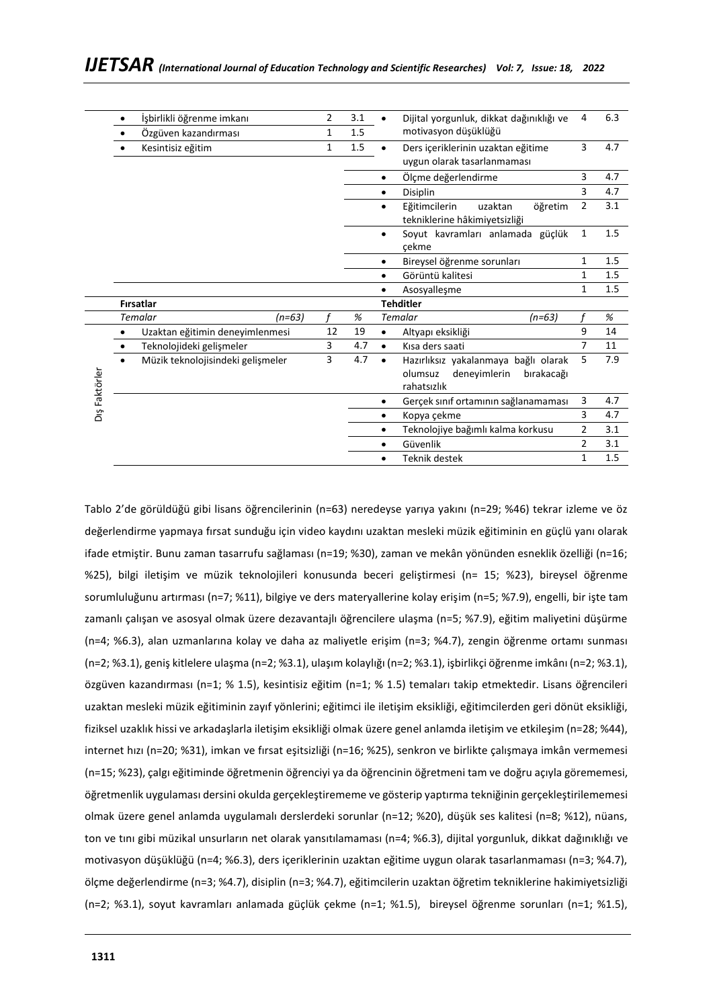|               | İşbirlikli öğrenme imkanı<br>$\bullet$ |                                   | $\overline{2}$                       | 3.1 |           | Dijital yorgunluk, dikkat dağınıklığı ve                                                     | $\overline{4}$ | 6.3  |
|---------------|----------------------------------------|-----------------------------------|--------------------------------------|-----|-----------|----------------------------------------------------------------------------------------------|----------------|------|
|               |                                        | Özgüven kazandırması              | $\mathbf{1}$                         | 1.5 |           | motivasyon düşüklüğü                                                                         |                |      |
|               |                                        | Kesintisiz eğitim                 | $\mathbf{1}$                         | 1.5 | $\bullet$ | Ders içeriklerinin uzaktan eğitime<br>uygun olarak tasarlanmaması                            | 3              | 4.7  |
|               |                                        |                                   |                                      |     |           | Ölçme değerlendirme                                                                          | 3              | 4.7  |
|               |                                        |                                   |                                      |     |           | <b>Disiplin</b>                                                                              | 3              | 4.7  |
|               |                                        |                                   |                                      |     | $\bullet$ | Eğitimcilerin<br>uzaktan<br>öğretim<br>tekniklerine hâkimiyetsizliği                         | $\overline{2}$ | 3.1  |
|               |                                        |                                   |                                      |     | $\bullet$ | Soyut kavramları anlamada güçlük<br>çekme                                                    | 1              | 1.5  |
|               |                                        |                                   |                                      |     |           | Bireysel öğrenme sorunları                                                                   | 1              | 1.5  |
|               |                                        |                                   |                                      |     |           | Görüntü kalitesi                                                                             | 1              | 1.5  |
|               |                                        |                                   |                                      |     |           | Asosyalleşme                                                                                 | 1              | 1.5  |
|               |                                        | <b>Firsatlar</b>                  |                                      |     |           | <b>Tehditler</b>                                                                             |                |      |
|               |                                        | Temalar<br>$(n=63)$               |                                      | %   |           | <b>Temalar</b><br>$(n=63)$                                                                   |                | $\%$ |
|               |                                        | Uzaktan eğitimin deneyimlenmesi   | 12                                   | 19  | $\bullet$ | Altyapı eksikliği                                                                            | 9              | 14   |
|               |                                        | Teknolojideki gelişmeler          | 3                                    | 4.7 | $\bullet$ | Kısa ders saati                                                                              | 7              | 11   |
| Dış Faktörler |                                        | Müzik teknolojisindeki gelişmeler | 3                                    | 4.7 | $\bullet$ | Hazırlıksız yakalanmaya bağlı olarak<br>olumsuz<br>deneyimlerin<br>bırakacağı<br>rahatsızlık | 5              | 7.9  |
|               |                                        |                                   | Gerçek sınıf ortamının sağlanamaması |     |           |                                                                                              | 3              | 4.7  |
|               |                                        |                                   |                                      |     | $\bullet$ | Kopya çekme                                                                                  | 3              | 4.7  |
|               |                                        |                                   |                                      |     |           | Teknolojiye bağımlı kalma korkusu                                                            | 2              | 3.1  |
|               |                                        |                                   |                                      |     | $\bullet$ | Güvenlik                                                                                     | 2              | 3.1  |
|               |                                        |                                   |                                      |     | ٠         | Teknik destek                                                                                | 1              | 1.5  |
|               |                                        |                                   |                                      |     |           |                                                                                              |                |      |

Tablo 2'de görüldüğü gibi lisans öğrencilerinin (n=63) neredeyse yarıya yakını (n=29; %46) tekrar izleme ve öz değerlendirme yapmaya fırsat sunduğu için video kaydını uzaktan mesleki müzik eğitiminin en güçlü yanı olarak ifade etmiştir. Bunu zaman tasarrufu sağlaması (n=19; %30), zaman ve mekân yönünden esneklik özelliği (n=16; %25), bilgi iletişim ve müzik teknolojileri konusunda beceri geliştirmesi (n= 15; %23), bireysel öğrenme sorumluluğunu artırması (n=7; %11), bilgiye ve ders materyallerine kolay erişim (n=5; %7.9), engelli, bir işte tam zamanlı çalışan ve asosyal olmak üzere dezavantajlı öğrencilere ulaşma (n=5; %7.9), eğitim maliyetini düşürme (n=4; %6.3), alan uzmanlarına kolay ve daha az maliyetle erişim (n=3; %4.7), zengin öğrenme ortamı sunması (n=2; %3.1), geniş kitlelere ulaşma (n=2; %3.1), ulaşım kolaylığı (n=2; %3.1), işbirlikçi öğrenme imkânı (n=2; %3.1), özgüven kazandırması (n=1; % 1.5), kesintisiz eğitim (n=1; % 1.5) temaları takip etmektedir. Lisans öğrencileri uzaktan mesleki müzik eğitiminin zayıf yönlerini; eğitimci ile iletişim eksikliği, eğitimcilerden geri dönüt eksikliği, fiziksel uzaklık hissi ve arkadaşlarla iletişim eksikliği olmak üzere genel anlamda iletişim ve etkileşim (n=28; %44), internet hızı (n=20; %31), imkan ve fırsat eşitsizliği (n=16; %25), senkron ve birlikte çalışmaya imkân vermemesi (n=15; %23), çalgı eğitiminde öğretmenin öğrenciyi ya da öğrencinin öğretmeni tam ve doğru açıyla görememesi, öğretmenlik uygulaması dersini okulda gerçekleştirememe ve gösterip yaptırma tekniğinin gerçekleştirilememesi olmak üzere genel anlamda uygulamalı derslerdeki sorunlar (n=12; %20), düşük ses kalitesi (n=8; %12), nüans, ton ve tını gibi müzikal unsurların net olarak yansıtılamaması (n=4; %6.3), dijital yorgunluk, dikkat dağınıklığı ve motivasyon düşüklüğü (n=4; %6.3), ders içeriklerinin uzaktan eğitime uygun olarak tasarlanmaması (n=3; %4.7), ölçme değerlendirme (n=3; %4.7), disiplin (n=3; %4.7), eğitimcilerin uzaktan öğretim tekniklerine hakimiyetsizliği (n=2; %3.1), soyut kavramları anlamada güçlük çekme (n=1; %1.5), bireysel öğrenme sorunları (n=1; %1.5),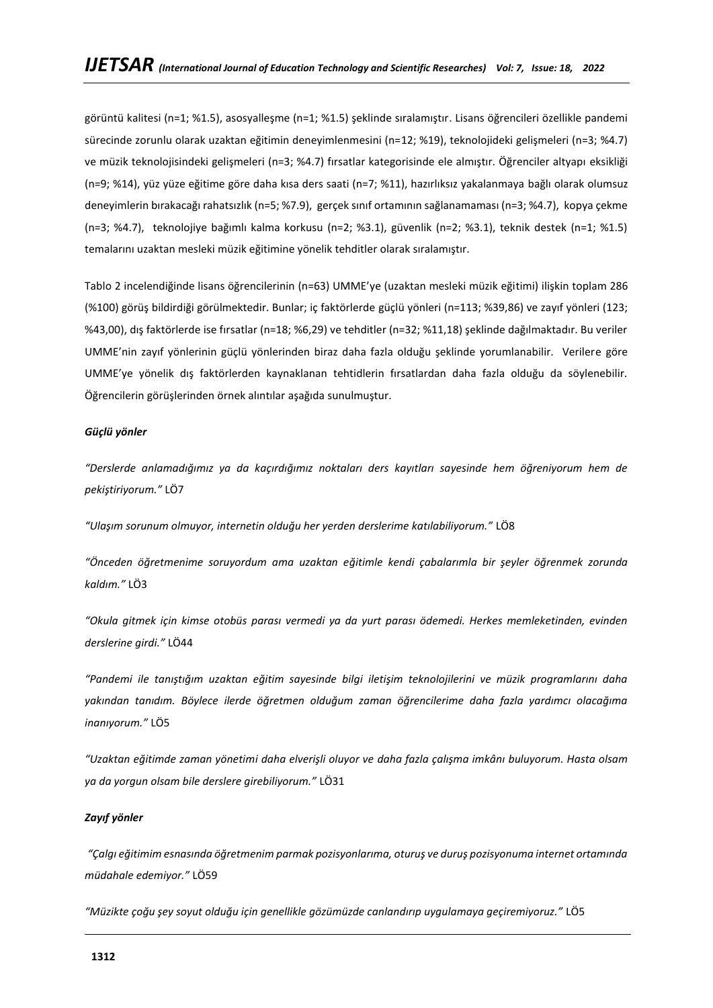görüntü kalitesi (n=1; %1.5), asosyalleşme (n=1; %1.5) şeklinde sıralamıştır. Lisans öğrencileri özellikle pandemi sürecinde zorunlu olarak uzaktan eğitimin deneyimlenmesini (n=12; %19), teknolojideki gelişmeleri (n=3; %4.7) ve müzik teknolojisindeki gelişmeleri (n=3; %4.7) fırsatlar kategorisinde ele almıştır. Öğrenciler altyapı eksikliği (n=9; %14), yüz yüze eğitime göre daha kısa ders saati (n=7; %11), hazırlıksız yakalanmaya bağlı olarak olumsuz deneyimlerin bırakacağı rahatsızlık (n=5; %7.9), gerçek sınıf ortamının sağlanamaması (n=3; %4.7), kopya çekme (n=3; %4.7), teknolojiye bağımlı kalma korkusu (n=2; %3.1), güvenlik (n=2; %3.1), teknik destek (n=1; %1.5) temalarını uzaktan mesleki müzik eğitimine yönelik tehditler olarak sıralamıştır.

Tablo 2 incelendiğinde lisans öğrencilerinin (n=63) UMME'ye (uzaktan mesleki müzik eğitimi) ilişkin toplam 286 (%100) görüş bildirdiği görülmektedir. Bunlar; iç faktörlerde güçlü yönleri (n=113; %39,86) ve zayıf yönleri (123; %43,00), dış faktörlerde ise fırsatlar (n=18; %6,29) ve tehditler (n=32; %11,18) şeklinde dağılmaktadır. Bu veriler UMME'nin zayıf yönlerinin güçlü yönlerinden biraz daha fazla olduğu şeklinde yorumlanabilir. Verilere göre UMME'ye yönelik dış faktörlerden kaynaklanan tehtidlerin fırsatlardan daha fazla olduğu da söylenebilir. Öğrencilerin görüşlerinden örnek alıntılar aşağıda sunulmuştur.

### *Güçlü yönler*

*"Derslerde anlamadığımız ya da kaçırdığımız noktaları ders kayıtları sayesinde hem öğreniyorum hem de pekiştiriyorum."* LÖ7

*"Ulaşım sorunum olmuyor, internetin olduğu her yerden derslerime katılabiliyorum."* LÖ8

*"Önceden öğretmenime soruyordum ama uzaktan eğitimle kendi çabalarımla bir şeyler öğrenmek zorunda kaldım."* LÖ3

*"Okula gitmek için kimse otobüs parası vermedi ya da yurt parası ödemedi. Herkes memleketinden, evinden derslerine girdi."* LÖ44

*"Pandemi ile tanıştığım uzaktan eğitim sayesinde bilgi iletişim teknolojilerini ve müzik programlarını daha yakından tanıdım. Böylece ilerde öğretmen olduğum zaman öğrencilerime daha fazla yardımcı olacağıma inanıyorum."* LÖ5

*"Uzaktan eğitimde zaman yönetimi daha elverişli oluyor ve daha fazla çalışma imkânı buluyorum. Hasta olsam ya da yorgun olsam bile derslere girebiliyorum."* LÖ31

### *Zayıf yönler*

*"Çalgı eğitimim esnasında öğretmenim parmak pozisyonlarıma, oturuş ve duruş pozisyonuma internet ortamında müdahale edemiyor."* LÖ59

*"Müzikte çoğu şey soyut olduğu için genellikle gözümüzde canlandırıp uygulamaya geçiremiyoruz."* LÖ5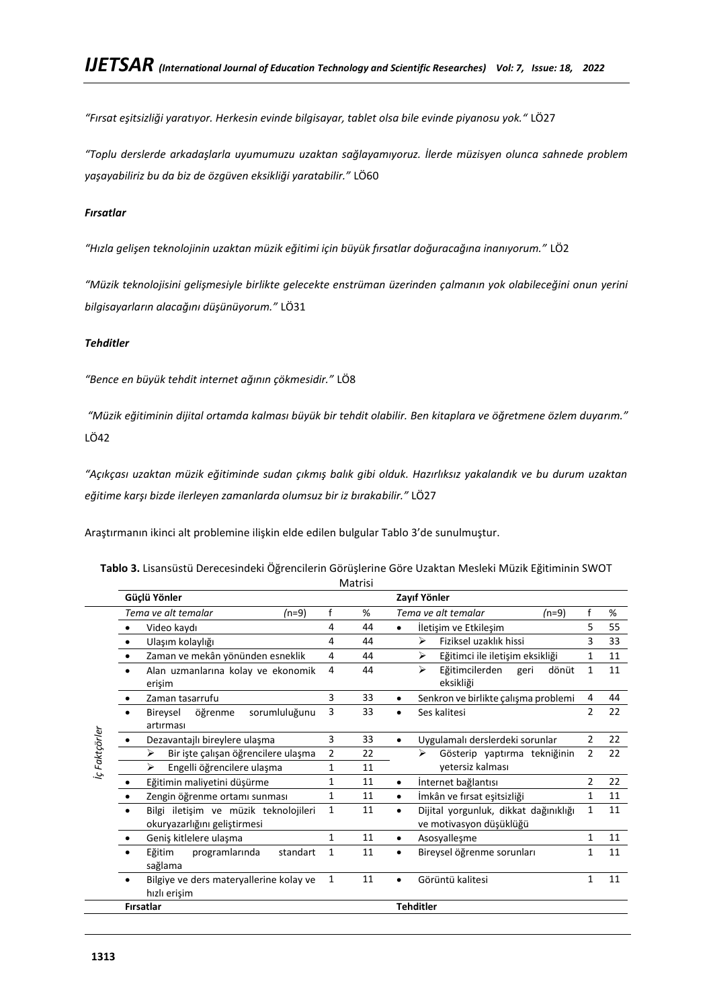*"Fırsat eşitsizliği yaratıyor. Herkesin evinde bilgisayar, tablet olsa bile evinde piyanosu yok."* LÖ27

*"Toplu derslerde arkadaşlarla uyumumuzu uzaktan sağlayamıyoruz. İlerde müzisyen olunca sahnede problem yaşayabiliriz bu da biz de özgüven eksikliği yaratabilir."* LÖ60

# *Fırsatlar*

*"Hızla gelişen teknolojinin uzaktan müzik eğitimi için büyük fırsatlar doğuracağına inanıyorum."* LÖ2

*"Müzik teknolojisini gelişmesiyle birlikte gelecekte enstrüman üzerinden çalmanın yok olabileceğini onun yerini bilgisayarların alacağını düşünüyorum."* LÖ31

# *Tehditler*

*"Bence en büyük tehdit internet ağının çökmesidir."* LÖ8

*"Müzik eğitiminin dijital ortamda kalması büyük bir tehdit olabilir. Ben kitaplara ve öğretmene özlem duyarım."*  LÖ42

*"Açıkçası uzaktan müzik eğitiminde sudan çıkmış balık gibi olduk. Hazırlıksız yakalandık ve bu durum uzaktan eğitime karşı bizde ilerleyen zamanlarda olumsuz bir iz bırakabilir."* LÖ27

Araştırmanın ikinci alt problemine ilişkin elde edilen bulgular Tablo 3'de sunulmuştur.

|               | Güçlü Yönler                                                          |              |    | Zayıf Yönler                                                                |
|---------------|-----------------------------------------------------------------------|--------------|----|-----------------------------------------------------------------------------|
|               | Tema ve alt temalar<br>$(n=9)$                                        | f            | %  | f<br>Tema ve alt temalar<br>$(n=9)$<br>%                                    |
|               | Video kaydı                                                           | 4            | 44 | 5<br>55<br>İletişim ve Etkileşim                                            |
|               | Ulaşım kolaylığı<br>$\bullet$                                         | 4            | 44 | Fiziksel uzaklık hissi<br>3<br>33<br>⋗                                      |
|               | Zaman ve mekân yönünden esneklik                                      | 4            | 44 | Eğitimci ile iletişim eksikliği<br>⋗<br>11<br>1                             |
|               | Alan uzmanlarına kolay ve ekonomik<br>erişim                          | 4            | 44 | ⋗<br>Eğitimcilerden<br>$\mathbf{1}$<br>11<br>geri<br>dönüt<br>eksikliği     |
|               | Zaman tasarrufu                                                       | 3            | 33 | Senkron ve birlikte çalışma problemi<br>44<br>4                             |
|               | sorumluluğunu<br>öğrenme<br>Bireysel<br>artırması                     | 3            | 33 | 2<br>22<br>Ses kalitesi                                                     |
| iç Faktçörler | Dezavantajlı bireylere ulaşma                                         | 3            | 33 | 22<br>$\overline{2}$<br>Uygulamalı derslerdeki sorunlar<br>$\bullet$        |
|               | Bir işte çalışan öğrencilere ulaşma<br>↘                              | 2            | 22 | $\overline{2}$<br>22<br>Gösterip yaptırma tekniğinin<br>➤                   |
|               | Engelli öğrencilere ulaşma<br>↘                                       | 1            | 11 | yetersiz kalması                                                            |
|               | Eğitimin maliyetini düşürme                                           | 1            | 11 | İnternet bağlantısı<br>2<br>22<br>$\bullet$                                 |
|               | Zengin öğrenme ortamı sunması                                         | $\mathbf{1}$ | 11 | İmkân ve fırsat eşitsizliği<br>1<br>11<br>$\bullet$                         |
|               | Bilgi iletişim ve müzik teknolojileri<br>okuryazarlığını geliştirmesi | 1            | 11 | Dijital yorgunluk, dikkat dağınıklığı<br>1<br>11<br>ve motivasyon düşüklüğü |
|               | Geniş kitlelere ulaşma                                                | 1            | 11 | $\mathbf{1}$<br>11<br>Asosyalleşme                                          |
|               | Eğitim<br>programlarında<br>standart<br>sağlama                       | 1            | 11 | Bireysel öğrenme sorunları<br>1<br>11                                       |
|               | Bilgiye ve ders materyallerine kolay ve<br>hızlı erişim               | 1            | 11 | 1<br>11<br>Görüntü kalitesi                                                 |
|               | Firsatlar                                                             |              |    | <b>Tehditler</b>                                                            |
|               |                                                                       |              |    |                                                                             |

|  | <b>Tablo 3.</b> Lisansüstü Derecesindeki Öğrencilerin Görüşlerine Göre Uzaktan Mesleki Müzik Eğitiminin SWOT |         |  |  |  |
|--|--------------------------------------------------------------------------------------------------------------|---------|--|--|--|
|  |                                                                                                              | Matrici |  |  |  |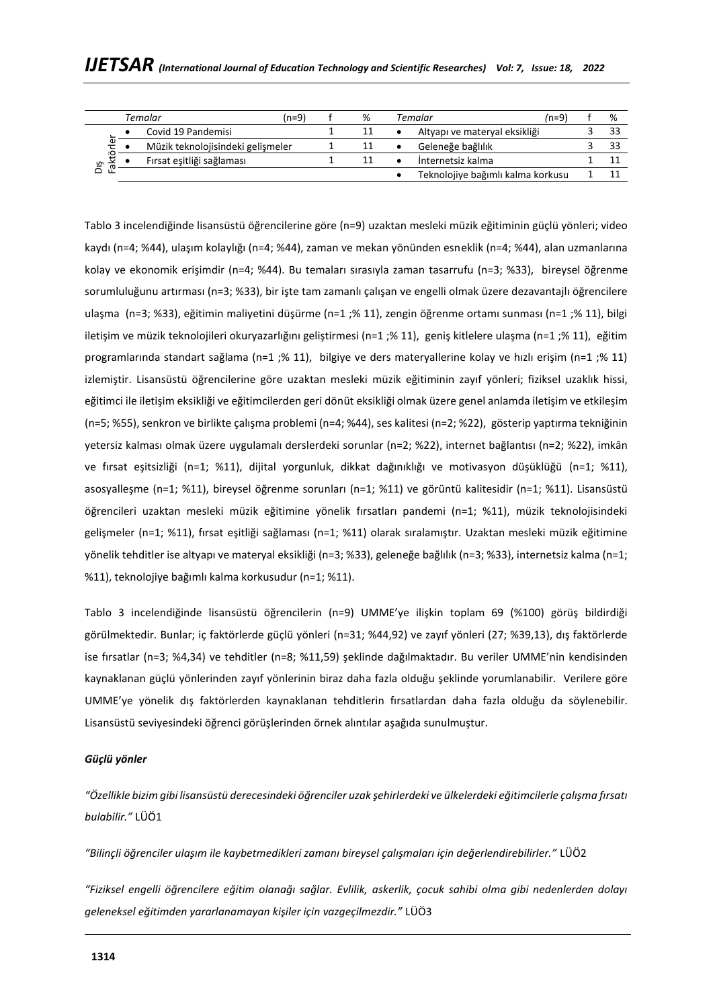|         | (n=9)<br>Temalar |                                   |  | % | /n=9<br>Temalar                   |  | % |
|---------|------------------|-----------------------------------|--|---|-----------------------------------|--|---|
| ω       |                  | Covid 19 Pandemisi                |  |   | Altyapı ve materyal eksikliği     |  |   |
|         |                  | Müzik teknolojisindeki gelişmeler |  |   | Geleneğe bağlılık                 |  |   |
| ٠P<br>∽ |                  | Fırsat eşitliği sağlaması         |  |   | Internetsiz kalma                 |  |   |
|         |                  |                                   |  |   | Teknolojiye bağımlı kalma korkusu |  |   |

Tablo 3 incelendiğinde lisansüstü öğrencilerine göre (n=9) uzaktan mesleki müzik eğitiminin güçlü yönleri; video kaydı (n=4; %44), ulaşım kolaylığı (n=4; %44), zaman ve mekan yönünden esneklik (n=4; %44), alan uzmanlarına kolay ve ekonomik erişimdir (n=4; %44). Bu temaları sırasıyla zaman tasarrufu (n=3; %33), bireysel öğrenme sorumluluğunu artırması (n=3; %33), bir işte tam zamanlı çalışan ve engelli olmak üzere dezavantajlı öğrencilere ulaşma (n=3; %33), eğitimin maliyetini düşürme (n=1 ;% 11), zengin öğrenme ortamı sunması (n=1 ;% 11), bilgi iletişim ve müzik teknolojileri okuryazarlığını geliştirmesi (n=1 ;% 11), geniş kitlelere ulaşma (n=1 ;% 11), eğitim programlarında standart sağlama (n=1 ;% 11), bilgiye ve ders materyallerine kolay ve hızlı erişim (n=1 ;% 11) izlemiştir. Lisansüstü öğrencilerine göre uzaktan mesleki müzik eğitiminin zayıf yönleri; fiziksel uzaklık hissi, eğitimci ile iletişim eksikliği ve eğitimcilerden geri dönüt eksikliği olmak üzere genel anlamda iletişim ve etkileşim (n=5; %55), senkron ve birlikte çalışma problemi (n=4; %44), ses kalitesi (n=2; %22), gösterip yaptırma tekniğinin yetersiz kalması olmak üzere uygulamalı derslerdeki sorunlar (n=2; %22), internet bağlantısı (n=2; %22), imkân ve fırsat eşitsizliği (n=1; %11), dijital yorgunluk, dikkat dağınıklığı ve motivasyon düşüklüğü (n=1; %11), asosyalleşme (n=1; %11), bireysel öğrenme sorunları (n=1; %11) ve görüntü kalitesidir (n=1; %11). Lisansüstü öğrencileri uzaktan mesleki müzik eğitimine yönelik fırsatları pandemi (n=1; %11), müzik teknolojisindeki gelişmeler (n=1; %11), fırsat eşitliği sağlaması (n=1; %11) olarak sıralamıştır. Uzaktan mesleki müzik eğitimine yönelik tehditler ise altyapı ve materyal eksikliği (n=3; %33), geleneğe bağlılık (n=3; %33), internetsiz kalma (n=1; %11), teknolojiye bağımlı kalma korkusudur (n=1; %11).

Tablo 3 incelendiğinde lisansüstü öğrencilerin (n=9) UMME'ye ilişkin toplam 69 (%100) görüş bildirdiği görülmektedir. Bunlar; iç faktörlerde güçlü yönleri (n=31; %44,92) ve zayıf yönleri (27; %39,13), dış faktörlerde ise fırsatlar (n=3; %4,34) ve tehditler (n=8; %11,59) şeklinde dağılmaktadır. Bu veriler UMME'nin kendisinden kaynaklanan güçlü yönlerinden zayıf yönlerinin biraz daha fazla olduğu şeklinde yorumlanabilir. Verilere göre UMME'ye yönelik dış faktörlerden kaynaklanan tehditlerin fırsatlardan daha fazla olduğu da söylenebilir. Lisansüstü seviyesindeki öğrenci görüşlerinden örnek alıntılar aşağıda sunulmuştur.

### *Güçlü yönler*

*"Özellikle bizim gibi lisansüstü derecesindeki öğrenciler uzak şehirlerdeki ve ülkelerdeki eğitimcilerle çalışma fırsatı bulabilir."* LÜÖ1

*"Bilinçli öğrenciler ulaşım ile kaybetmedikleri zamanı bireysel çalışmaları için değerlendirebilirler."* LÜÖ2

*"Fiziksel engelli öğrencilere eğitim olanağı sağlar. Evlilik, askerlik, çocuk sahibi olma gibi nedenlerden dolayı geleneksel eğitimden yararlanamayan kişiler için vazgeçilmezdir."* LÜÖ3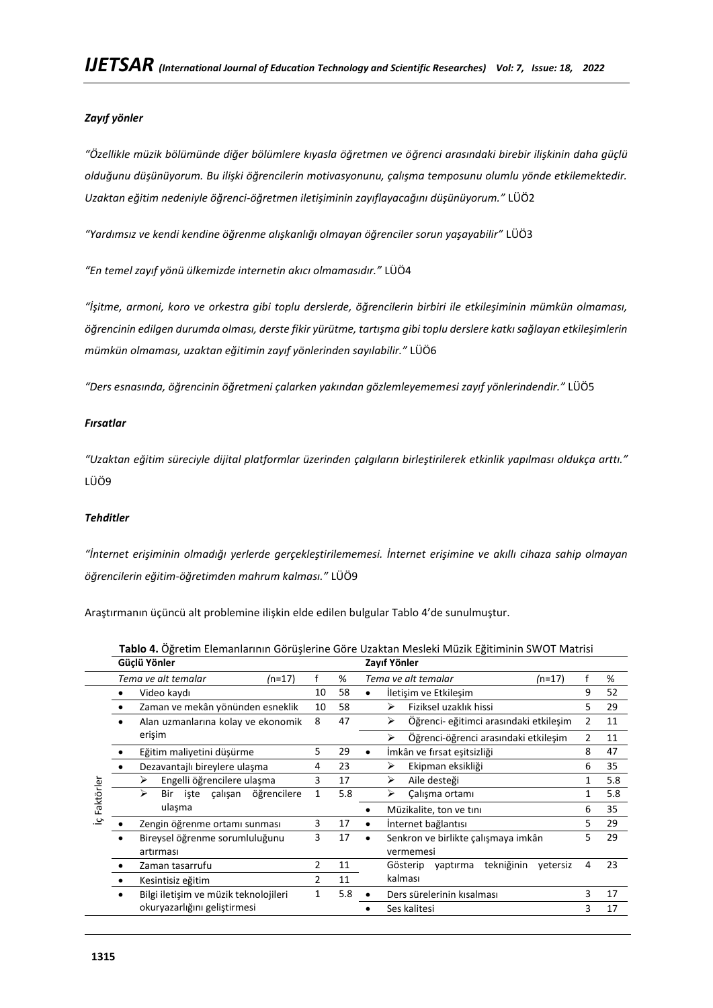# *Zayıf yönler*

*"Özellikle müzik bölümünde diğer bölümlere kıyasla öğretmen ve öğrenci arasındaki birebir ilişkinin daha güçlü olduğunu düşünüyorum. Bu ilişki öğrencilerin motivasyonunu, çalışma temposunu olumlu yönde etkilemektedir. Uzaktan eğitim nedeniyle öğrenci-öğretmen iletişiminin zayıflayacağını düşünüyorum."* LÜÖ2

*"Yardımsız ve kendi kendine öğrenme alışkanlığı olmayan öğrenciler sorun yaşayabilir"* LÜÖ3

*"En temel zayıf yönü ülkemizde internetin akıcı olmamasıdır."* LÜÖ4

*"İşitme, armoni, koro ve orkestra gibi toplu derslerde, öğrencilerin birbiri ile etkileşiminin mümkün olmaması, öğrencinin edilgen durumda olması, derste fikir yürütme, tartışma gibi toplu derslere katkı sağlayan etkileşimlerin mümkün olmaması, uzaktan eğitimin zayıf yönlerinden sayılabilir."* LÜÖ6

*"Ders esnasında, öğrencinin öğretmeni çalarken yakından gözlemleyememesi zayıf yönlerindendir."* LÜÖ5

### *Fırsatlar*

*"Uzaktan eğitim süreciyle dijital platformlar üzerinden çalgıların birleştirilerek etkinlik yapılması oldukça arttı."*  LÜÖ9

### *Tehditler*

*"İnternet erişiminin olmadığı yerlerde gerçekleştirilememesi. İnternet erişimine ve akıllı cihaza sahip olmayan öğrencilerin eğitim-öğretimden mahrum kalması."* LÜÖ9

Araştırmanın üçüncü alt problemine ilişkin elde edilen bulgular Tablo 4'de sunulmuştur.

|           | Güçlü Yönler                          |                |     | Zayıf Yönler                                               |     |
|-----------|---------------------------------------|----------------|-----|------------------------------------------------------------|-----|
|           | Tema ve alt temalar<br>$(n=17)$       |                | %   | Tema ve alt temalar<br>$(n=17)$                            | %   |
|           | Video kaydı                           | 10             | 58  | 9<br>İletişim ve Etkileşim                                 | 52  |
|           | Zaman ve mekân yönünden esneklik      | 10             | 58  | Fiziksel uzaklık hissi<br>⋗<br>5                           | 29  |
|           | Alan uzmanlarına kolay ve ekonomik    | 8              | 47  | Öğrenci- eğitimci arasındaki etkileşim<br>➤                | 11  |
|           | erişim                                |                |     | Öğrenci-öğrenci arasındaki etkileşim<br>⋗<br>$\mathcal{P}$ | 11  |
|           | Eğitim maliyetini düşürme             | 5              | 29  | İmkân ve fırsat eşitsizliği<br>8<br>٠                      | 47  |
|           | Dezavantajlı bireylere ulaşma         | 4              | 23  | Ekipman eksikliği<br>➤<br>6                                | 35  |
|           | Engelli öğrencilere ulaşma<br>➤       | 3              | 17  | Aile desteği<br>≻                                          | 5.8 |
| Faktörler | öğrencilere<br>Bir iste calışan<br>⋗  | 1              | 5.8 | Çalışma ortamı<br>➤                                        | 5.8 |
|           | ulaşma                                |                |     | Müzikalite, ton ve tını<br>6                               | 35  |
| ي         | Zengin öğrenme ortamı sunması         | 3              | 17  | İnternet bağlantısı<br>5                                   | 29  |
|           | Bireysel öğrenme sorumluluğunu        | 3              | 17  | Senkron ve birlikte çalışmaya imkân<br>5                   | 29  |
|           | artırması                             |                |     | vermemesi                                                  |     |
|           | Zaman tasarrufu                       | 2              | 11  | tekniğinin<br>Gösterip<br>yaptırma<br>vetersiz<br>4        | 23  |
|           | Kesintisiz eğitim                     | $\overline{2}$ | 11  | kalması                                                    |     |
|           | Bilgi iletişim ve müzik teknolojileri | 1              | 5.8 | 3<br>Ders sürelerinin kısalması                            | 17  |
|           | okuryazarlığını geliştirmesi          |                |     | Ses kalitesi<br>3                                          | 17  |

**Tablo 4.** Öğretim Elemanlarının Görüşlerine Göre Uzaktan Mesleki Müzik Eğitiminin SWOT Matrisi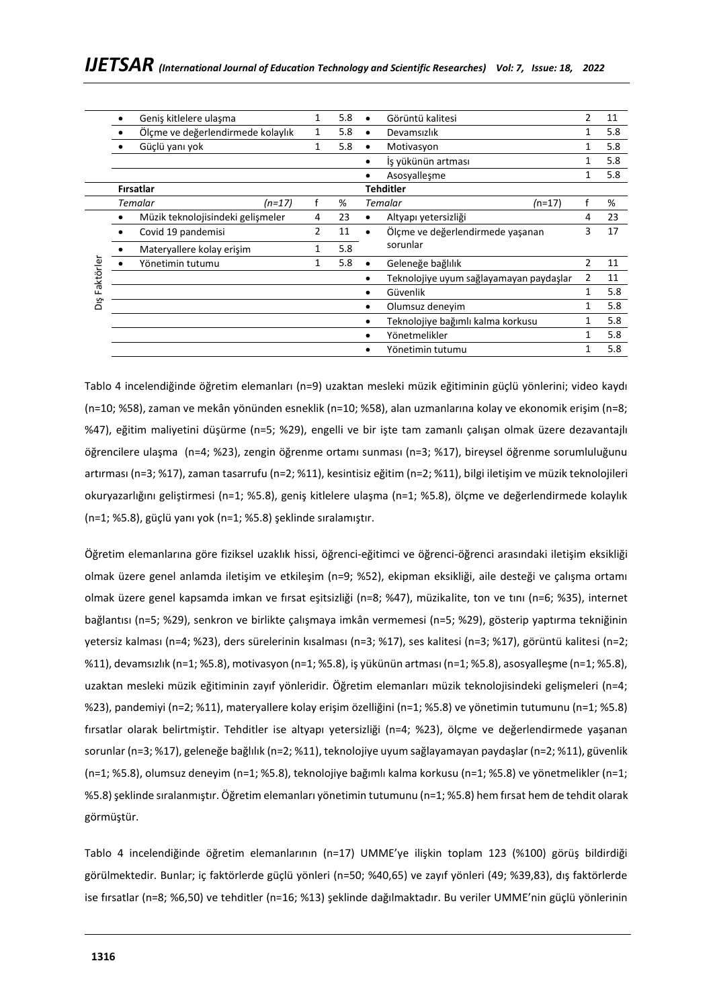|           | Geniş kitlelere ulaşma            |        |   | 5.8 | Görüntü kalitesi                        | 2             | 11  |
|-----------|-----------------------------------|--------|---|-----|-----------------------------------------|---------------|-----|
|           | Ölçme ve değerlendirmede kolaylık |        | 1 | 5.8 | Devamsızlık                             |               | 5.8 |
|           | Güçlü yanı yok                    |        | 1 | 5.8 | Motivasyon                              |               | 5.8 |
|           |                                   |        |   |     | İs yükünün artması                      |               | 5.8 |
|           |                                   |        |   |     | Asosyallesme                            |               | 5.8 |
|           | <b>Firsatlar</b>                  |        |   |     | <b>Tehditler</b>                        |               |     |
|           | <b>Temalar</b>                    | (n=17) |   | %   | Temalar<br>$(n=17)$                     |               | %   |
|           | Müzik teknolojisindeki gelişmeler |        | 4 | 23  | Altyapı yetersizliği                    | 4             | 23  |
|           | Covid 19 pandemisi                |        | 2 | 11  | Ölçme ve değerlendirmede yaşanan        |               |     |
|           | Materyallere kolay erişim         |        | 1 | 5.8 | sorunlar                                |               |     |
|           | Yönetimin tutumu                  |        |   | 5.8 | Geleneğe bağlılık                       | $\mathcal{P}$ | 11  |
| Faktörler |                                   |        |   |     | Teknolojiye uyum sağlayamayan paydaşlar |               | 11  |
|           |                                   |        |   |     | Güvenlik                                |               | 5.8 |
| δíς       |                                   |        |   |     | Olumsuz denevim                         |               | 5.8 |
|           |                                   |        |   |     | Teknolojiye bağımlı kalma korkusu       |               | 5.8 |
|           |                                   |        |   |     | Yönetmelikler                           |               | 5.8 |
|           |                                   |        |   |     | Yönetimin tutumu                        |               | 5.8 |

Tablo 4 incelendiğinde öğretim elemanları (n=9) uzaktan mesleki müzik eğitiminin güçlü yönlerini; video kaydı (n=10; %58), zaman ve mekân yönünden esneklik (n=10; %58), alan uzmanlarına kolay ve ekonomik erişim (n=8; %47), eğitim maliyetini düşürme (n=5; %29), engelli ve bir işte tam zamanlı çalışan olmak üzere dezavantajlı öğrencilere ulaşma (n=4; %23), zengin öğrenme ortamı sunması (n=3; %17), bireysel öğrenme sorumluluğunu artırması (n=3; %17), zaman tasarrufu (n=2; %11), kesintisiz eğitim (n=2; %11), bilgi iletişim ve müzik teknolojileri okuryazarlığını geliştirmesi (n=1; %5.8), geniş kitlelere ulaşma (n=1; %5.8), ölçme ve değerlendirmede kolaylık (n=1; %5.8), güçlü yanı yok (n=1; %5.8) şeklinde sıralamıştır.

Öğretim elemanlarına göre fiziksel uzaklık hissi, öğrenci-eğitimci ve öğrenci-öğrenci arasındaki iletişim eksikliği olmak üzere genel anlamda iletişim ve etkileşim (n=9; %52), ekipman eksikliği, aile desteği ve çalışma ortamı olmak üzere genel kapsamda imkan ve fırsat eşitsizliği (n=8; %47), müzikalite, ton ve tını (n=6; %35), internet bağlantısı (n=5; %29), senkron ve birlikte çalışmaya imkân vermemesi (n=5; %29), gösterip yaptırma tekniğinin yetersiz kalması (n=4; %23), ders sürelerinin kısalması (n=3; %17), ses kalitesi (n=3; %17), görüntü kalitesi (n=2; %11), devamsızlık (n=1; %5.8), motivasyon (n=1; %5.8), iş yükünün artması (n=1; %5.8), asosyalleşme (n=1; %5.8), uzaktan mesleki müzik eğitiminin zayıf yönleridir. Öğretim elemanları müzik teknolojisindeki gelişmeleri (n=4; %23), pandemiyi (n=2; %11), materyallere kolay erişim özelliğini (n=1; %5.8) ve yönetimin tutumunu (n=1; %5.8) fırsatlar olarak belirtmiştir. Tehditler ise altyapı yetersizliği (n=4; %23), ölçme ve değerlendirmede yaşanan sorunlar (n=3; %17), geleneğe bağlılık (n=2; %11), teknolojiye uyum sağlayamayan paydaşlar (n=2; %11), güvenlik (n=1; %5.8), olumsuz deneyim (n=1; %5.8), teknolojiye bağımlı kalma korkusu (n=1; %5.8) ve yönetmelikler (n=1; %5.8) şeklinde sıralanmıştır. Öğretim elemanları yönetimin tutumunu (n=1; %5.8) hem fırsat hem de tehdit olarak görmüştür.

Tablo 4 incelendiğinde öğretim elemanlarının (n=17) UMME'ye ilişkin toplam 123 (%100) görüş bildirdiği görülmektedir. Bunlar; iç faktörlerde güçlü yönleri (n=50; %40,65) ve zayıf yönleri (49; %39,83), dış faktörlerde ise fırsatlar (n=8; %6,50) ve tehditler (n=16; %13) şeklinde dağılmaktadır. Bu veriler UMME'nin güçlü yönlerinin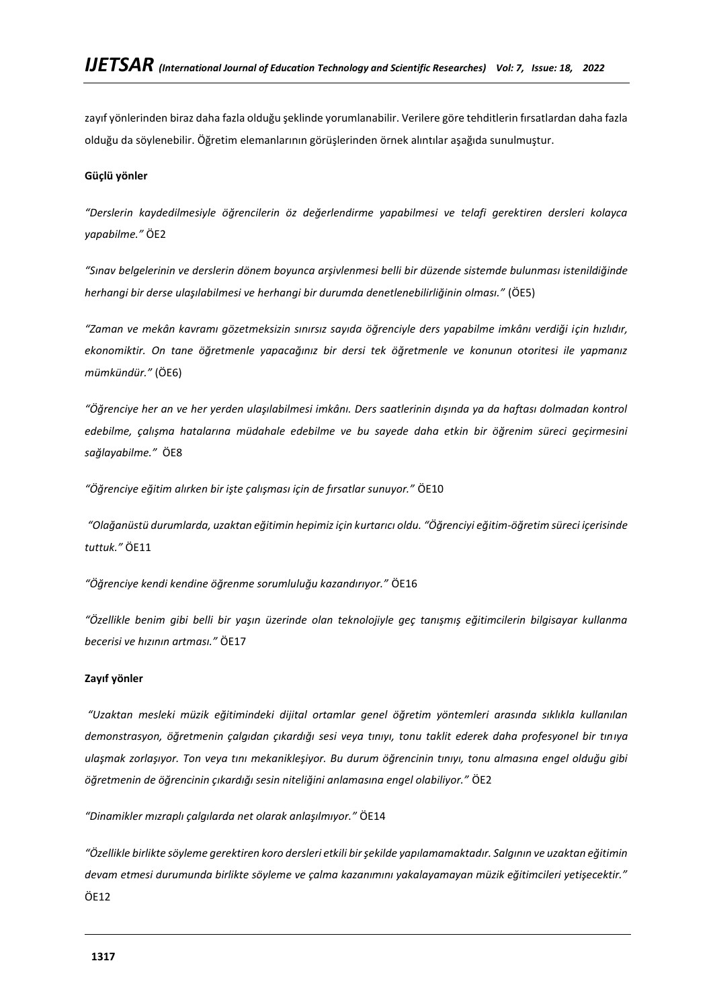zayıf yönlerinden biraz daha fazla olduğu şeklinde yorumlanabilir. Verilere göre tehditlerin fırsatlardan daha fazla olduğu da söylenebilir. Öğretim elemanlarının görüşlerinden örnek alıntılar aşağıda sunulmuştur.

### **Güçlü yönler**

*"Derslerin kaydedilmesiyle öğrencilerin öz değerlendirme yapabilmesi ve telafi gerektiren dersleri kolayca yapabilme."* ÖE2

*"Sınav belgelerinin ve derslerin dönem boyunca arşivlenmesi belli bir düzende sistemde bulunması istenildiğinde herhangi bir derse ulaşılabilmesi ve herhangi bir durumda denetlenebilirliğinin olması."* (ÖE5)

*"Zaman ve mekân kavramı gözetmeksizin sınırsız sayıda öğrenciyle ders yapabilme imkânı verdiği için hızlıdır, ekonomiktir. On tane öğretmenle yapacağınız bir dersi tek öğretmenle ve konunun otoritesi ile yapmanız mümkündür."* (ÖE6)

*"Öğrenciye her an ve her yerden ulaşılabilmesi imkânı. Ders saatlerinin dışında ya da haftası dolmadan kontrol edebilme, çalışma hatalarına müdahale edebilme ve bu sayede daha etkin bir öğrenim süreci geçirmesini sağlayabilme."* ÖE8

*"Öğrenciye eğitim alırken bir işte çalışması için de fırsatlar sunuyor."* ÖE10

*"Olağanüstü durumlarda, uzaktan eğitimin hepimiz için kurtarıcı oldu. "Öğrenciyi eğitim-öğretim süreci içerisinde tuttuk."* ÖE11

*"Öğrenciye kendi kendine öğrenme sorumluluğu kazandırıyor."* ÖE16

*"Özellikle benim gibi belli bir yaşın üzerinde olan teknolojiyle geç tanışmış eğitimcilerin bilgisayar kullanma becerisi ve hızının artması."* ÖE17

### **Zayıf yönler**

*"Uzaktan mesleki müzik eğitimindeki dijital ortamlar genel öğretim yöntemleri arasında sıklıkla kullanılan demonstrasyon, öğretmenin çalgıdan çıkardığı sesi veya tınıyı, tonu taklit ederek daha profesyonel bir tınıya ulaşmak zorlaşıyor. Ton veya tını mekanikleşiyor. Bu durum öğrencinin tınıyı, tonu almasına engel olduğu gibi öğretmenin de öğrencinin çıkardığı sesin niteliğini anlamasına engel olabiliyor."* ÖE2

*"Dinamikler mızraplı çalgılarda net olarak anlaşılmıyor."* ÖE14

*"Özellikle birlikte söyleme gerektiren koro dersleri etkili bir şekilde yapılamamaktadır. Salgının ve uzaktan eğitimin devam etmesi durumunda birlikte söyleme ve çalma kazanımını yakalayamayan müzik eğitimcileri yetişecektir."* ÖE12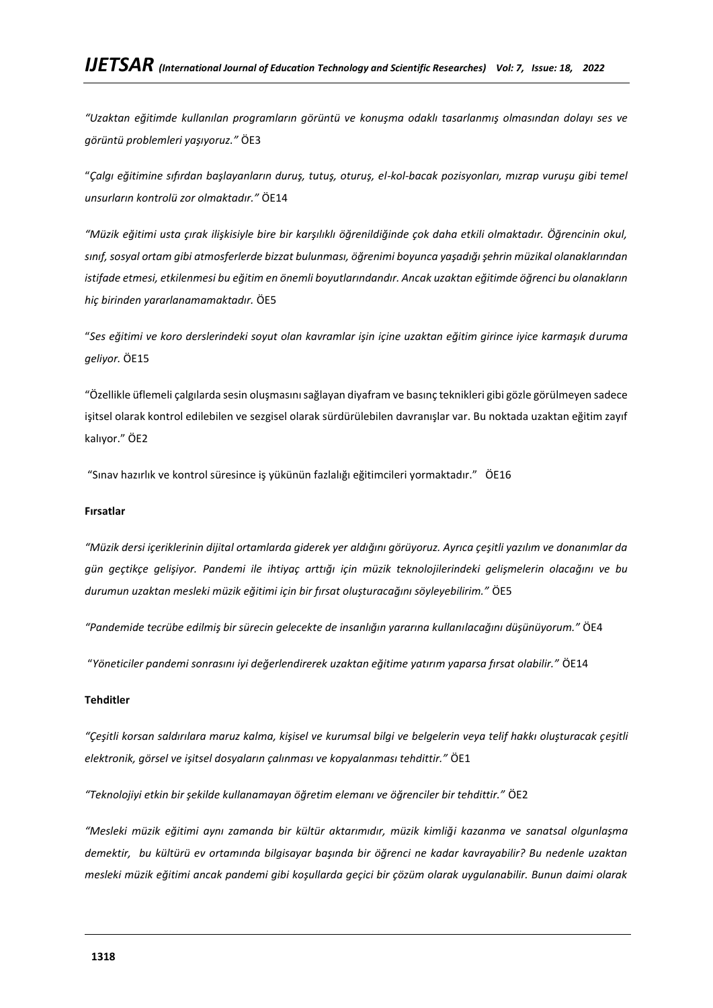*"Uzaktan eğitimde kullanılan programların görüntü ve konuşma odaklı tasarlanmış olmasından dolayı ses ve görüntü problemleri yaşıyoruz."* ÖE3

"*Çalgı eğitimine sıfırdan başlayanların duruş, tutuş, oturuş, el-kol-bacak pozisyonları, mızrap vuruşu gibi temel unsurların kontrolü zor olmaktadır."* ÖE14

*"Müzik eğitimi usta çırak ilişkisiyle bire bir karşılıklı öğrenildiğinde çok daha etkili olmaktadır. Öğrencinin okul, sınıf, sosyal ortam gibi atmosferlerde bizzat bulunması, öğrenimi boyunca yaşadığı şehrin müzikal olanaklarından istifade etmesi, etkilenmesi bu eğitim en önemli boyutlarındandır. Ancak uzaktan eğitimde öğrenci bu olanakların hiç birinden yararlanamamaktadır.* ÖE5

"*Ses eğitimi ve koro derslerindeki soyut olan kavramlar işin içine uzaktan eğitim girince iyice karmaşık duruma geliyor.* ÖE15

"Özellikle üflemeli çalgılarda sesin oluşmasını sağlayan diyafram ve basınç teknikleri gibi gözle görülmeyen sadece işitsel olarak kontrol edilebilen ve sezgisel olarak sürdürülebilen davranışlar var. Bu noktada uzaktan eğitim zayıf kalıyor." ÖE2

"Sınav hazırlık ve kontrol süresince iş yükünün fazlalığı eğitimcileri yormaktadır." ÖE16

### **Fırsatlar**

*"Müzik dersi içeriklerinin dijital ortamlarda giderek yer aldığını görüyoruz. Ayrıca çeşitli yazılım ve donanımlar da gün geçtikçe gelişiyor. Pandemi ile ihtiyaç arttığı için müzik teknolojilerindeki gelişmelerin olacağını ve bu durumun uzaktan mesleki müzik eğitimi için bir fırsat oluşturacağını söyleyebilirim."* ÖE5

*"Pandemide tecrübe edilmiş bir sürecin gelecekte de insanlığın yararına kullanılacağını düşünüyorum."* ÖE4

"*Yöneticiler pandemi sonrasını iyi değerlendirerek uzaktan eğitime yatırım yaparsa fırsat olabilir."* ÖE14

### **Tehditler**

*"Çeşitli korsan saldırılara maruz kalma, kişisel ve kurumsal bilgi ve belgelerin veya telif hakkı oluşturacak çeşitli elektronik, görsel ve işitsel dosyaların çalınması ve kopyalanması tehdittir."* ÖE1

*"Teknolojiyi etkin bir şekilde kullanamayan öğretim elemanı ve öğrenciler bir tehdittir."* ÖE2

*"Mesleki müzik eğitimi aynı zamanda bir kültür aktarımıdır, müzik kimliği kazanma ve sanatsal olgunlaşma demektir, bu kültürü ev ortamında bilgisayar başında bir öğrenci ne kadar kavrayabilir? Bu nedenle uzaktan mesleki müzik eğitimi ancak pandemi gibi koşullarda geçici bir çözüm olarak uygulanabilir. Bunun daimi olarak*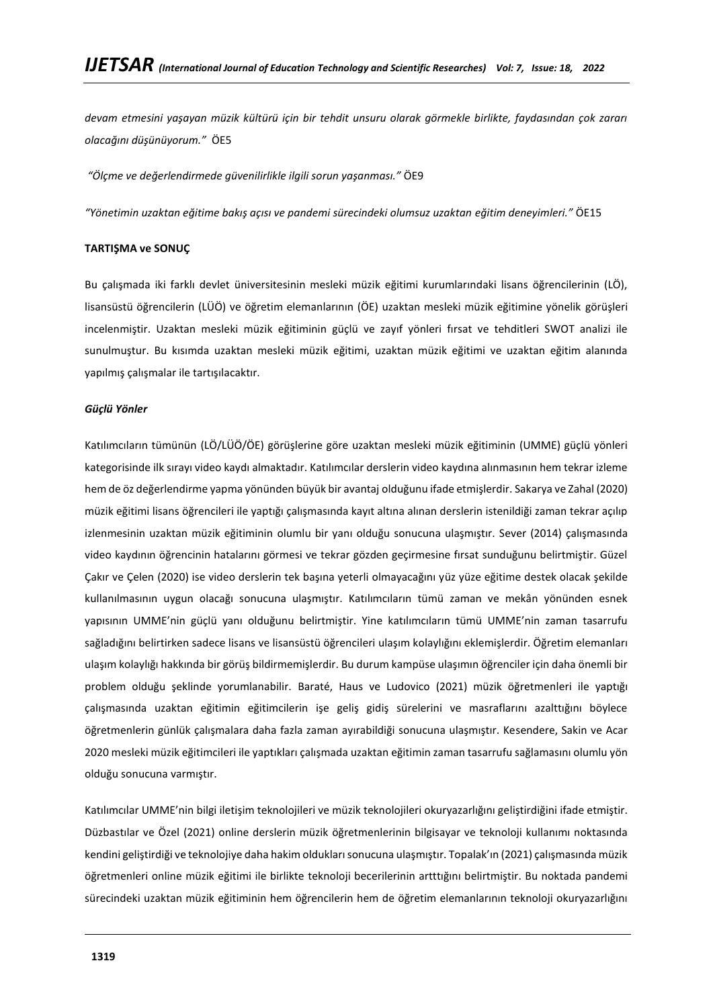*devam etmesini yaşayan müzik kültürü için bir tehdit unsuru olarak görmekle birlikte, faydasından çok zararı olacağını düşünüyorum."* ÖE5

*"Ölçme ve değerlendirmede güvenilirlikle ilgili sorun yaşanması."* ÖE9

*"Yönetimin uzaktan eğitime bakış açısı ve pandemi sürecindeki olumsuz uzaktan eğitim deneyimleri."* ÖE15

#### **TARTIŞMA ve SONUÇ**

Bu çalışmada iki farklı devlet üniversitesinin mesleki müzik eğitimi kurumlarındaki lisans öğrencilerinin (LÖ), lisansüstü öğrencilerin (LÜÖ) ve öğretim elemanlarının (ÖE) uzaktan mesleki müzik eğitimine yönelik görüşleri incelenmiştir. Uzaktan mesleki müzik eğitiminin güçlü ve zayıf yönleri fırsat ve tehditleri SWOT analizi ile sunulmuştur. Bu kısımda uzaktan mesleki müzik eğitimi, uzaktan müzik eğitimi ve uzaktan eğitim alanında yapılmış çalışmalar ile tartışılacaktır.

#### *Güçlü Yönler*

Katılımcıların tümünün (LÖ/LÜÖ/ÖE) görüşlerine göre uzaktan mesleki müzik eğitiminin (UMME) güçlü yönleri kategorisinde ilk sırayı video kaydı almaktadır. Katılımcılar derslerin video kaydına alınmasının hem tekrar izleme hem de öz değerlendirme yapma yönünden büyük bir avantaj olduğunu ifade etmişlerdir. Sakarya ve Zahal (2020) müzik eğitimi lisans öğrencileri ile yaptığı çalışmasında kayıt altına alınan derslerin istenildiği zaman tekrar açılıp izlenmesinin uzaktan müzik eğitiminin olumlu bir yanı olduğu sonucuna ulaşmıştır. Sever (2014) çalışmasında video kaydının öğrencinin hatalarını görmesi ve tekrar gözden geçirmesine fırsat sunduğunu belirtmiştir. Güzel Çakır ve Çelen (2020) ise video derslerin tek başına yeterli olmayacağını yüz yüze eğitime destek olacak şekilde kullanılmasının uygun olacağı sonucuna ulaşmıştır. Katılımcıların tümü zaman ve mekân yönünden esnek yapısının UMME'nin güçlü yanı olduğunu belirtmiştir. Yine katılımcıların tümü UMME'nin zaman tasarrufu sağladığını belirtirken sadece lisans ve lisansüstü öğrencileri ulaşım kolaylığını eklemişlerdir. Öğretim elemanları ulaşım kolaylığı hakkında bir görüş bildirmemişlerdir. Bu durum kampüse ulaşımın öğrenciler için daha önemli bir problem olduğu şeklinde yorumlanabilir. Baraté, Haus ve Ludovico (2021) müzik öğretmenleri ile yaptığı çalışmasında uzaktan eğitimin eğitimcilerin işe geliş gidiş sürelerini ve masraflarını azalttığını böylece öğretmenlerin günlük çalışmalara daha fazla zaman ayırabildiği sonucuna ulaşmıştır. Kesendere, Sakin ve Acar 2020 mesleki müzik eğitimcileri ile yaptıkları çalışmada uzaktan eğitimin zaman tasarrufu sağlamasını olumlu yön olduğu sonucuna varmıştır.

Katılımcılar UMME'nin bilgi iletişim teknolojileri ve müzik teknolojileri okuryazarlığını geliştirdiğini ifade etmiştir. Düzbastılar ve Özel (2021) online derslerin müzik öğretmenlerinin bilgisayar ve teknoloji kullanımı noktasında kendini geliştirdiği ve teknolojiye daha hakim oldukları sonucuna ulaşmıştır. Topalak'ın (2021) çalışmasında müzik öğretmenleri online müzik eğitimi ile birlikte teknoloji becerilerinin artttığını belirtmiştir. Bu noktada pandemi sürecindeki uzaktan müzik eğitiminin hem öğrencilerin hem de öğretim elemanlarının teknoloji okuryazarlığını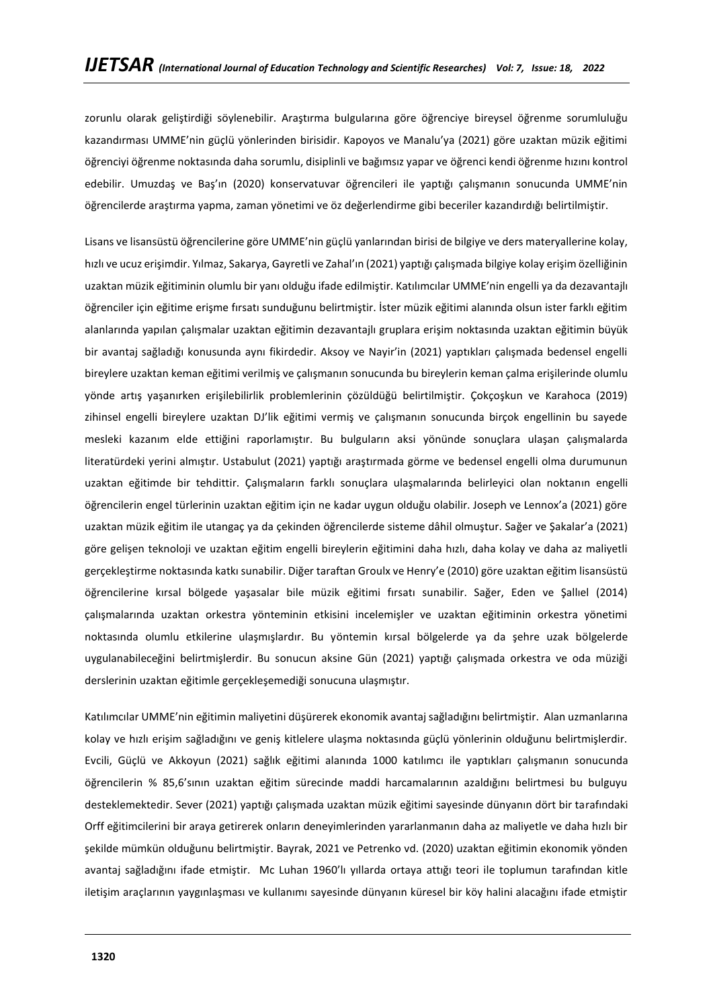zorunlu olarak geliştirdiği söylenebilir. Araştırma bulgularına göre öğrenciye bireysel öğrenme sorumluluğu kazandırması UMME'nin güçlü yönlerinden birisidir. Kapoyos ve Manalu'ya (2021) göre uzaktan müzik eğitimi öğrenciyi öğrenme noktasında daha sorumlu, disiplinli ve bağımsız yapar ve öğrenci kendi öğrenme hızını kontrol edebilir. Umuzdaş ve Baş'ın (2020) konservatuvar öğrencileri ile yaptığı çalışmanın sonucunda UMME'nin öğrencilerde araştırma yapma, zaman yönetimi ve öz değerlendirme gibi beceriler kazandırdığı belirtilmiştir.

Lisans ve lisansüstü öğrencilerine göre UMME'nin güçlü yanlarından birisi de bilgiye ve ders materyallerine kolay, hızlı ve ucuz erişimdir. Yılmaz, Sakarya, Gayretli ve Zahal'ın (2021) yaptığı çalışmada bilgiye kolay erişim özelliğinin uzaktan müzik eğitiminin olumlu bir yanı olduğu ifade edilmiştir. Katılımcılar UMME'nin engelli ya da dezavantajlı öğrenciler için eğitime erişme fırsatı sunduğunu belirtmiştir. İster müzik eğitimi alanında olsun ister farklı eğitim alanlarında yapılan çalışmalar uzaktan eğitimin dezavantajlı gruplara erişim noktasında uzaktan eğitimin büyük bir avantaj sağladığı konusunda aynı fikirdedir. Aksoy ve Nayir'in (2021) yaptıkları çalışmada bedensel engelli bireylere uzaktan keman eğitimi verilmiş ve çalışmanın sonucunda bu bireylerin keman çalma erişilerinde olumlu yönde artış yaşanırken erişilebilirlik problemlerinin çözüldüğü belirtilmiştir. Çokçoşkun ve Karahoca (2019) zihinsel engelli bireylere uzaktan DJ'lik eğitimi vermiş ve çalışmanın sonucunda birçok engellinin bu sayede mesleki kazanım elde ettiğini raporlamıştır. Bu bulguların aksi yönünde sonuçlara ulaşan çalışmalarda literatürdeki yerini almıştır. Ustabulut (2021) yaptığı araştırmada görme ve bedensel engelli olma durumunun uzaktan eğitimde bir tehdittir. Çalışmaların farklı sonuçlara ulaşmalarında belirleyici olan noktanın engelli öğrencilerin engel türlerinin uzaktan eğitim için ne kadar uygun olduğu olabilir. Joseph ve Lennox'a (2021) göre uzaktan müzik eğitim ile utangaç ya da çekinden öğrencilerde sisteme dâhil olmuştur. Sağer ve Şakalar'a (2021) göre gelişen teknoloji ve uzaktan eğitim engelli bireylerin eğitimini daha hızlı, daha kolay ve daha az maliyetli gerçekleştirme noktasında katkı sunabilir. Diğer taraftan Groulx ve Henry'e (2010) göre uzaktan eğitim lisansüstü öğrencilerine kırsal bölgede yaşasalar bile müzik eğitimi fırsatı sunabilir. Sağer, Eden ve Şallıel (2014) çalışmalarında uzaktan orkestra yönteminin etkisini incelemişler ve uzaktan eğitiminin orkestra yönetimi noktasında olumlu etkilerine ulaşmışlardır. Bu yöntemin kırsal bölgelerde ya da şehre uzak bölgelerde uygulanabileceğini belirtmişlerdir. Bu sonucun aksine Gün (2021) yaptığı çalışmada orkestra ve oda müziği derslerinin uzaktan eğitimle gerçekleşemediği sonucuna ulaşmıştır.

Katılımcılar UMME'nin eğitimin maliyetini düşürerek ekonomik avantaj sağladığını belirtmiştir. Alan uzmanlarına kolay ve hızlı erişim sağladığını ve geniş kitlelere ulaşma noktasında güçlü yönlerinin olduğunu belirtmişlerdir. Evcili, Güçlü ve Akkoyun (2021) sağlık eğitimi alanında 1000 katılımcı ile yaptıkları çalışmanın sonucunda öğrencilerin % 85,6'sının uzaktan eğitim sürecinde maddi harcamalarının azaldığını belirtmesi bu bulguyu desteklemektedir. Sever (2021) yaptığı çalışmada uzaktan müzik eğitimi sayesinde dünyanın dört bir tarafındaki Orff eğitimcilerini bir araya getirerek onların deneyimlerinden yararlanmanın daha az maliyetle ve daha hızlı bir şekilde mümkün olduğunu belirtmiştir. Bayrak, 2021 ve Petrenko vd. (2020) uzaktan eğitimin ekonomik yönden avantaj sağladığını ifade etmiştir. Mc Luhan 1960'lı yıllarda ortaya attığı teori ile toplumun tarafından kitle iletişim araçlarının yaygınlaşması ve kullanımı sayesinde dünyanın küresel bir köy halini alacağını ifade etmiştir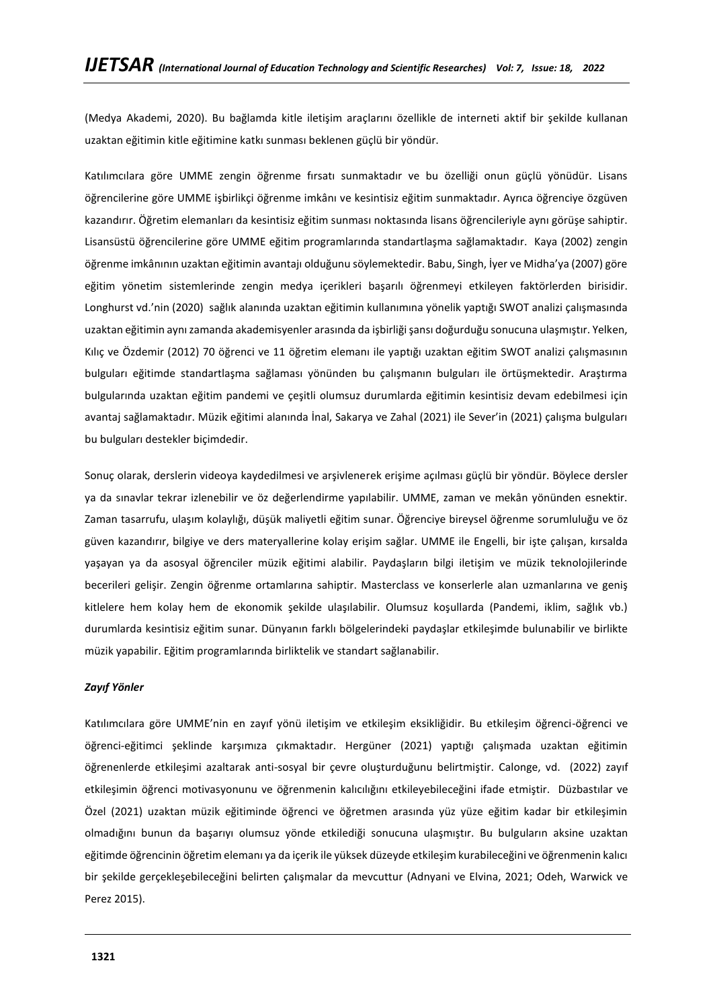(Medya Akademi, 2020). Bu bağlamda kitle iletişim araçlarını özellikle de interneti aktif bir şekilde kullanan uzaktan eğitimin kitle eğitimine katkı sunması beklenen güçlü bir yöndür.

Katılımcılara göre UMME zengin öğrenme fırsatı sunmaktadır ve bu özelliği onun güçlü yönüdür. Lisans öğrencilerine göre UMME işbirlikçi öğrenme imkânı ve kesintisiz eğitim sunmaktadır. Ayrıca öğrenciye özgüven kazandırır. Öğretim elemanları da kesintisiz eğitim sunması noktasında lisans öğrencileriyle aynı görüşe sahiptir. Lisansüstü öğrencilerine göre UMME eğitim programlarında standartlaşma sağlamaktadır. Kaya (2002) zengin öğrenme imkânının uzaktan eğitimin avantajı olduğunu söylemektedir. Babu, Singh, İyer ve Midha'ya (2007) göre eğitim yönetim sistemlerinde zengin medya içerikleri başarılı öğrenmeyi etkileyen faktörlerden birisidir. Longhurst vd.'nin (2020) sağlık alanında uzaktan eğitimin kullanımına yönelik yaptığı SWOT analizi çalışmasında uzaktan eğitimin aynı zamanda akademisyenler arasında da işbirliği şansı doğurduğu sonucuna ulaşmıştır. Yelken, Kılıç ve Özdemir (2012) 70 öğrenci ve 11 öğretim elemanı ile yaptığı uzaktan eğitim SWOT analizi çalışmasının bulguları eğitimde standartlaşma sağlaması yönünden bu çalışmanın bulguları ile örtüşmektedir. Araştırma bulgularında uzaktan eğitim pandemi ve çeşitli olumsuz durumlarda eğitimin kesintisiz devam edebilmesi için avantaj sağlamaktadır. Müzik eğitimi alanında İnal, Sakarya ve Zahal (2021) ile Sever'in (2021) çalışma bulguları bu bulguları destekler biçimdedir.

Sonuç olarak, derslerin videoya kaydedilmesi ve arşivlenerek erişime açılması güçlü bir yöndür. Böylece dersler ya da sınavlar tekrar izlenebilir ve öz değerlendirme yapılabilir. UMME, zaman ve mekân yönünden esnektir. Zaman tasarrufu, ulaşım kolaylığı, düşük maliyetli eğitim sunar. Öğrenciye bireysel öğrenme sorumluluğu ve öz güven kazandırır, bilgiye ve ders materyallerine kolay erişim sağlar. UMME ile Engelli, bir işte çalışan, kırsalda yaşayan ya da asosyal öğrenciler müzik eğitimi alabilir. Paydaşların bilgi iletişim ve müzik teknolojilerinde becerileri gelişir. Zengin öğrenme ortamlarına sahiptir. Masterclass ve konserlerle alan uzmanlarına ve geniş kitlelere hem kolay hem de ekonomik şekilde ulaşılabilir. Olumsuz koşullarda (Pandemi, iklim, sağlık vb.) durumlarda kesintisiz eğitim sunar. Dünyanın farklı bölgelerindeki paydaşlar etkileşimde bulunabilir ve birlikte müzik yapabilir. Eğitim programlarında birliktelik ve standart sağlanabilir.

### *Zayıf Yönler*

Katılımcılara göre UMME'nin en zayıf yönü iletişim ve etkileşim eksikliğidir. Bu etkileşim öğrenci-öğrenci ve öğrenci-eğitimci şeklinde karşımıza çıkmaktadır. Hergüner (2021) yaptığı çalışmada uzaktan eğitimin öğrenenlerde etkileşimi azaltarak anti-sosyal bir çevre oluşturduğunu belirtmiştir. Calonge, vd. (2022) zayıf etkileşimin öğrenci motivasyonunu ve öğrenmenin kalıcılığını etkileyebileceğini ifade etmiştir. Düzbastılar ve Özel (2021) uzaktan müzik eğitiminde öğrenci ve öğretmen arasında yüz yüze eğitim kadar bir etkileşimin olmadığını bunun da başarıyı olumsuz yönde etkilediği sonucuna ulaşmıştır. Bu bulguların aksine uzaktan eğitimde öğrencinin öğretim elemanı ya da içerik ile yüksek düzeyde etkileşim kurabileceğini ve öğrenmenin kalıcı bir şekilde gerçekleşebileceğini belirten çalışmalar da mevcuttur (Adnyani ve Elvina, 2021; Odeh, Warwick ve Perez 2015).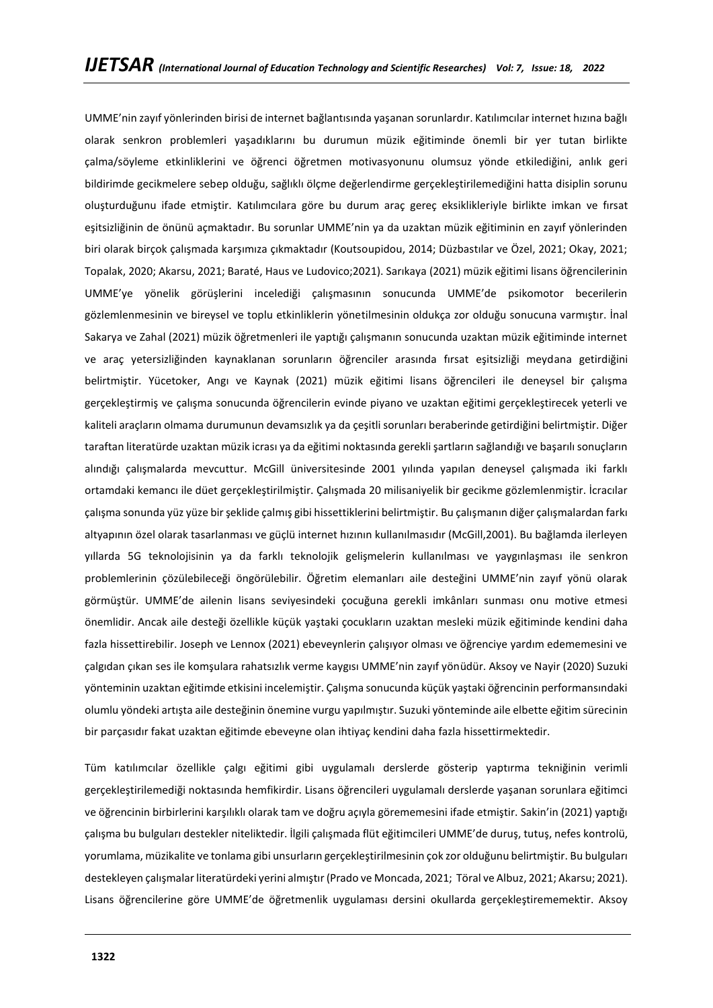UMME'nin zayıf yönlerinden birisi de internet bağlantısında yaşanan sorunlardır. Katılımcılar internet hızına bağlı olarak senkron problemleri yaşadıklarını bu durumun müzik eğitiminde önemli bir yer tutan birlikte çalma/söyleme etkinliklerini ve öğrenci öğretmen motivasyonunu olumsuz yönde etkilediğini, anlık geri bildirimde gecikmelere sebep olduğu, sağlıklı ölçme değerlendirme gerçekleştirilemediğini hatta disiplin sorunu oluşturduğunu ifade etmiştir. Katılımcılara göre bu durum araç gereç eksiklikleriyle birlikte imkan ve fırsat eşitsizliğinin de önünü açmaktadır. Bu sorunlar UMME'nin ya da uzaktan müzik eğitiminin en zayıf yönlerinden biri olarak birçok çalışmada karşımıza çıkmaktadır (Koutsoupidou, 2014; Düzbastılar ve Özel, 2021; Okay, 2021; Topalak, 2020; Akarsu, 2021; Baraté, Haus ve Ludovico;2021). Sarıkaya (2021) müzik eğitimi lisans öğrencilerinin UMME'ye yönelik görüşlerini incelediği çalışmasının sonucunda UMME'de psikomotor becerilerin gözlemlenmesinin ve bireysel ve toplu etkinliklerin yönetilmesinin oldukça zor olduğu sonucuna varmıştır. İnal Sakarya ve Zahal (2021) müzik öğretmenleri ile yaptığı çalışmanın sonucunda uzaktan müzik eğitiminde internet ve araç yetersizliğinden kaynaklanan sorunların öğrenciler arasında fırsat eşitsizliği meydana getirdiğini belirtmiştir. Yücetoker, Angı ve Kaynak (2021) müzik eğitimi lisans öğrencileri ile deneysel bir çalışma gerçekleştirmiş ve çalışma sonucunda öğrencilerin evinde piyano ve uzaktan eğitimi gerçekleştirecek yeterli ve kaliteli araçların olmama durumunun devamsızlık ya da çeşitli sorunları beraberinde getirdiğini belirtmiştir. Diğer taraftan literatürde uzaktan müzik icrası ya da eğitimi noktasında gerekli şartların sağlandığı ve başarılı sonuçların alındığı çalışmalarda mevcuttur. McGill üniversitesinde 2001 yılında yapılan deneysel çalışmada iki farklı ortamdaki kemancı ile düet gerçekleştirilmiştir. Çalışmada 20 milisaniyelik bir gecikme gözlemlenmiştir. İcracılar çalışma sonunda yüz yüze bir şeklide çalmış gibi hissettiklerini belirtmiştir. Bu çalışmanın diğer çalışmalardan farkı altyapının özel olarak tasarlanması ve güçlü internet hızının kullanılmasıdır (McGill,2001). Bu bağlamda ilerleyen yıllarda 5G teknolojisinin ya da farklı teknolojik gelişmelerin kullanılması ve yaygınlaşması ile senkron problemlerinin çözülebileceği öngörülebilir. Öğretim elemanları aile desteğini UMME'nin zayıf yönü olarak görmüştür. UMME'de ailenin lisans seviyesindeki çocuğuna gerekli imkânları sunması onu motive etmesi önemlidir. Ancak aile desteği özellikle küçük yaştaki çocukların uzaktan mesleki müzik eğitiminde kendini daha fazla hissettirebilir. Joseph ve Lennox (2021) ebeveynlerin çalışıyor olması ve öğrenciye yardım edememesini ve çalgıdan çıkan ses ile komşulara rahatsızlık verme kaygısı UMME'nin zayıf yönüdür. Aksoy ve Nayir (2020) Suzuki yönteminin uzaktan eğitimde etkisini incelemiştir. Çalışma sonucunda küçük yaştaki öğrencinin performansındaki olumlu yöndeki artışta aile desteğinin önemine vurgu yapılmıştır. Suzuki yönteminde aile elbette eğitim sürecinin bir parçasıdır fakat uzaktan eğitimde ebeveyne olan ihtiyaç kendini daha fazla hissettirmektedir.

Tüm katılımcılar özellikle çalgı eğitimi gibi uygulamalı derslerde gösterip yaptırma tekniğinin verimli gerçekleştirilemediği noktasında hemfikirdir. Lisans öğrencileri uygulamalı derslerde yaşanan sorunlara eğitimci ve öğrencinin birbirlerini karşılıklı olarak tam ve doğru açıyla görememesini ifade etmiştir. Sakin'in (2021) yaptığı çalışma bu bulguları destekler niteliktedir. İlgili çalışmada flüt eğitimcileri UMME'de duruş, tutuş, nefes kontrolü, yorumlama, müzikalite ve tonlama gibi unsurların gerçekleştirilmesinin çok zor olduğunu belirtmiştir. Bu bulguları destekleyen çalışmalar literatürdeki yerini almıştır (Prado ve Moncada, 2021; Töral ve Albuz, 2021; Akarsu; 2021). Lisans öğrencilerine göre UMME'de öğretmenlik uygulaması dersini okullarda gerçekleştirememektir. Aksoy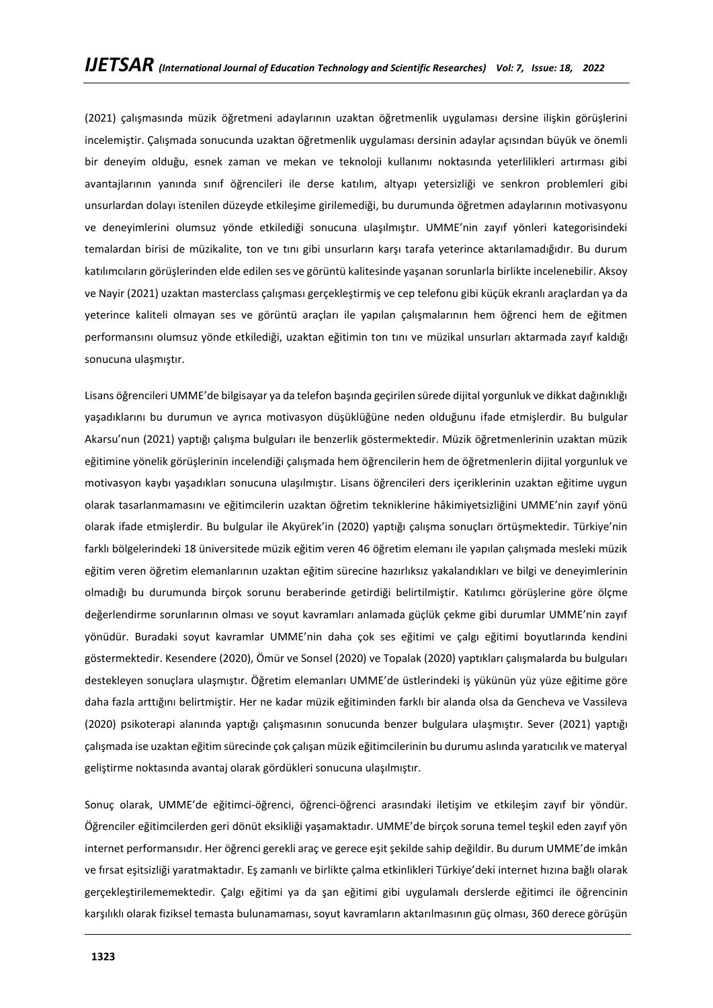(2021) çalışmasında müzik öğretmeni adaylarının uzaktan öğretmenlik uygulaması dersine ilişkin görüşlerini incelemiştir. Çalışmada sonucunda uzaktan öğretmenlik uygulaması dersinin adaylar açısından büyük ve önemli bir deneyim olduğu, esnek zaman ve mekan ve teknoloji kullanımı noktasında yeterlilikleri artırması gibi avantajlarının yanında sınıf öğrencileri ile derse katılım, altyapı yetersizliği ve senkron problemleri gibi unsurlardan dolayı istenilen düzeyde etkileşime girilemediği, bu durumunda öğretmen adaylarının motivasyonu ve deneyimlerini olumsuz yönde etkilediği sonucuna ulaşılmıştır. UMME'nin zayıf yönleri kategorisindeki temalardan birisi de müzikalite, ton ve tını gibi unsurların karşı tarafa yeterince aktarılamadığıdır. Bu durum katılımcıların görüşlerinden elde edilen ses ve görüntü kalitesinde yaşanan sorunlarla birlikte incelenebilir. Aksoy ve Nayir (2021) uzaktan masterclass çalışması gerçekleştirmiş ve cep telefonu gibi küçük ekranlı araçlardan ya da yeterince kaliteli olmayan ses ve görüntü araçları ile yapılan çalışmalarının hem öğrenci hem de eğitmen performansını olumsuz yönde etkilediği, uzaktan eğitimin ton tını ve müzikal unsurları aktarmada zayıf kaldığı sonucuna ulaşmıştır.

Lisans öğrencileri UMME'de bilgisayar ya da telefon başında geçirilen sürede dijital yorgunluk ve dikkat dağınıklığı yaşadıklarını bu durumun ve ayrıca motivasyon düşüklüğüne neden olduğunu ifade etmişlerdir. Bu bulgular Akarsu'nun (2021) yaptığı çalışma bulguları ile benzerlik göstermektedir. Müzik öğretmenlerinin uzaktan müzik eğitimine yönelik görüşlerinin incelendiği çalışmada hem öğrencilerin hem de öğretmenlerin dijital yorgunluk ve motivasyon kaybı yaşadıkları sonucuna ulaşılmıştır. Lisans öğrencileri ders içeriklerinin uzaktan eğitime uygun olarak tasarlanmamasını ve eğitimcilerin uzaktan öğretim tekniklerine hâkimiyetsizliğini UMME'nin zayıf yönü olarak ifade etmişlerdir. Bu bulgular ile Akyürek'in (2020) yaptığı çalışma sonuçları örtüşmektedir. Türkiye'nin farklı bölgelerindeki 18 üniversitede müzik eğitim veren 46 öğretim elemanı ile yapılan çalışmada mesleki müzik eğitim veren öğretim elemanlarının uzaktan eğitim sürecine hazırlıksız yakalandıkları ve bilgi ve deneyimlerinin olmadığı bu durumunda birçok sorunu beraberinde getirdiği belirtilmiştir. Katılımcı görüşlerine göre ölçme değerlendirme sorunlarının olması ve soyut kavramları anlamada güçlük çekme gibi durumlar UMME'nin zayıf yönüdür. Buradaki soyut kavramlar UMME'nin daha çok ses eğitimi ve çalgı eğitimi boyutlarında kendini göstermektedir. Kesendere (2020), Ömür ve Sonsel (2020) ve Topalak (2020) yaptıkları çalışmalarda bu bulguları destekleyen sonuçlara ulaşmıştır. Öğretim elemanları UMME'de üstlerindeki iş yükünün yüz yüze eğitime göre daha fazla arttığını belirtmiştir. Her ne kadar müzik eğitiminden farklı bir alanda olsa da Gencheva ve Vassileva (2020) psikoterapi alanında yaptığı çalışmasının sonucunda benzer bulgulara ulaşmıştır. Sever (2021) yaptığı çalışmada ise uzaktan eğitim sürecinde çok çalışan müzik eğitimcilerinin bu durumu aslında yaratıcılık ve materyal geliştirme noktasında avantaj olarak gördükleri sonucuna ulaşılmıştır.

Sonuç olarak, UMME'de eğitimci-öğrenci, öğrenci-öğrenci arasındaki iletişim ve etkileşim zayıf bir yöndür. Öğrenciler eğitimcilerden geri dönüt eksikliği yaşamaktadır. UMME'de birçok soruna temel teşkil eden zayıf yön internet performansıdır. Her öğrenci gerekli araç ve gerece eşit şekilde sahip değildir. Bu durum UMME'de imkân ve fırsat eşitsizliği yaratmaktadır. Eş zamanlı ve birlikte çalma etkinlikleri Türkiye'deki internet hızına bağlı olarak gerçekleştirilememektedir. Çalgı eğitimi ya da şan eğitimi gibi uygulamalı derslerde eğitimci ile öğrencinin karşılıklı olarak fiziksel temasta bulunamaması, soyut kavramların aktarılmasının güç olması, 360 derece görüşün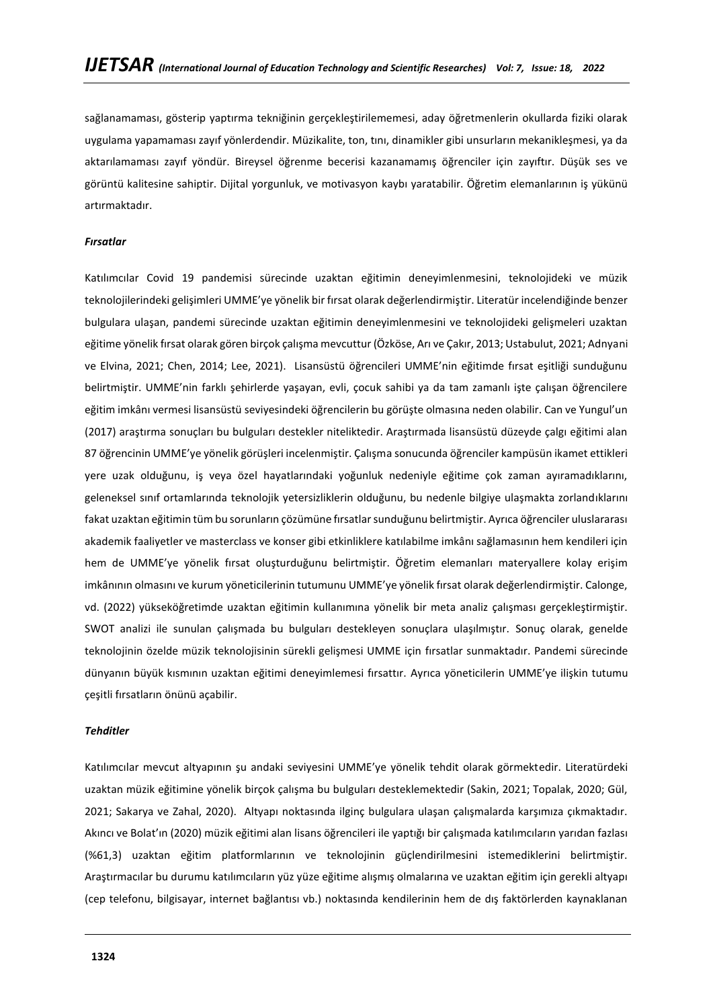sağlanamaması, gösterip yaptırma tekniğinin gerçekleştirilememesi, aday öğretmenlerin okullarda fiziki olarak uygulama yapamaması zayıf yönlerdendir. Müzikalite, ton, tını, dinamikler gibi unsurların mekanikleşmesi, ya da aktarılamaması zayıf yöndür. Bireysel öğrenme becerisi kazanamamış öğrenciler için zayıftır. Düşük ses ve görüntü kalitesine sahiptir. Dijital yorgunluk, ve motivasyon kaybı yaratabilir. Öğretim elemanlarının iş yükünü artırmaktadır.

### *Fırsatlar*

Katılımcılar Covid 19 pandemisi sürecinde uzaktan eğitimin deneyimlenmesini, teknolojideki ve müzik teknolojilerindeki gelişimleri UMME'ye yönelik bir fırsat olarak değerlendirmiştir. Literatür incelendiğinde benzer bulgulara ulaşan, pandemi sürecinde uzaktan eğitimin deneyimlenmesini ve teknolojideki gelişmeleri uzaktan eğitime yönelik fırsat olarak gören birçok çalışma mevcuttur (Özköse, Arı ve Çakır, 2013; Ustabulut, 2021; Adnyani ve Elvina, 2021; Chen, 2014; Lee, 2021). Lisansüstü öğrencileri UMME'nin eğitimde fırsat eşitliği sunduğunu belirtmiştir. UMME'nin farklı şehirlerde yaşayan, evli, çocuk sahibi ya da tam zamanlı işte çalışan öğrencilere eğitim imkânı vermesi lisansüstü seviyesindeki öğrencilerin bu görüşte olmasına neden olabilir. Can ve Yungul'un (2017) araştırma sonuçları bu bulguları destekler niteliktedir. Araştırmada lisansüstü düzeyde çalgı eğitimi alan 87 öğrencinin UMME'ye yönelik görüşleri incelenmiştir. Çalışma sonucunda öğrenciler kampüsün ikamet ettikleri yere uzak olduğunu, iş veya özel hayatlarındaki yoğunluk nedeniyle eğitime çok zaman ayıramadıklarını, geleneksel sınıf ortamlarında teknolojik yetersizliklerin olduğunu, bu nedenle bilgiye ulaşmakta zorlandıklarını fakat uzaktan eğitimin tüm bu sorunların çözümüne fırsatlar sunduğunu belirtmiştir. Ayrıca öğrenciler uluslararası akademik faaliyetler ve masterclass ve konser gibi etkinliklere katılabilme imkânı sağlamasının hem kendileri için hem de UMME'ye yönelik fırsat oluşturduğunu belirtmiştir. Öğretim elemanları materyallere kolay erişim imkânının olmasını ve kurum yöneticilerinin tutumunu UMME'ye yönelik fırsat olarak değerlendirmiştir. Calonge, vd. (2022) yükseköğretimde uzaktan eğitimin kullanımına yönelik bir meta analiz çalışması gerçekleştirmiştir. SWOT analizi ile sunulan çalışmada bu bulguları destekleyen sonuçlara ulaşılmıştır. Sonuç olarak, genelde teknolojinin özelde müzik teknolojisinin sürekli gelişmesi UMME için fırsatlar sunmaktadır. Pandemi sürecinde dünyanın büyük kısmının uzaktan eğitimi deneyimlemesi fırsattır. Ayrıca yöneticilerin UMME'ye ilişkin tutumu çeşitli fırsatların önünü açabilir.

#### *Tehditler*

Katılımcılar mevcut altyapının şu andaki seviyesini UMME'ye yönelik tehdit olarak görmektedir. Literatürdeki uzaktan müzik eğitimine yönelik birçok çalışma bu bulguları desteklemektedir (Sakin, 2021; Topalak, 2020; Gül, 2021; Sakarya ve Zahal, 2020). Altyapı noktasında ilginç bulgulara ulaşan çalışmalarda karşımıza çıkmaktadır. Akıncı ve Bolat'ın (2020) müzik eğitimi alan lisans öğrencileri ile yaptığı bir çalışmada katılımcıların yarıdan fazlası (%61,3) uzaktan eğitim platformlarının ve teknolojinin güçlendirilmesini istemediklerini belirtmiştir. Araştırmacılar bu durumu katılımcıların yüz yüze eğitime alışmış olmalarına ve uzaktan eğitim için gerekli altyapı (cep telefonu, bilgisayar, internet bağlantısı vb.) noktasında kendilerinin hem de dış faktörlerden kaynaklanan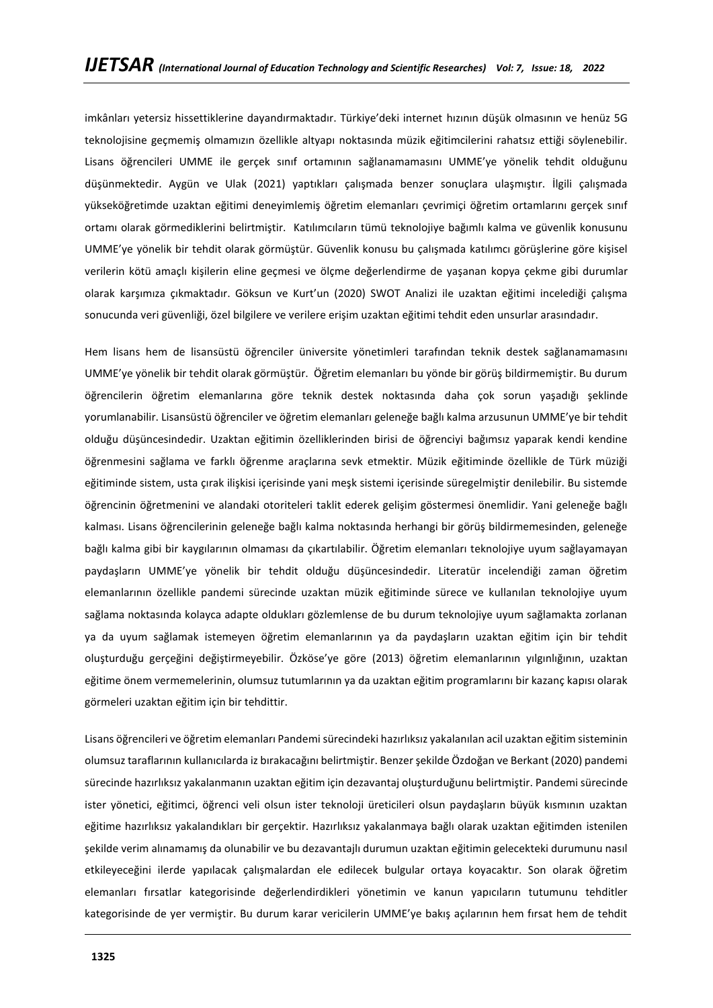imkânları yetersiz hissettiklerine dayandırmaktadır. Türkiye'deki internet hızının düşük olmasının ve henüz 5G teknolojisine geçmemiş olmamızın özellikle altyapı noktasında müzik eğitimcilerini rahatsız ettiği söylenebilir. Lisans öğrencileri UMME ile gerçek sınıf ortamının sağlanamamasını UMME'ye yönelik tehdit olduğunu düşünmektedir. Aygün ve Ulak (2021) yaptıkları çalışmada benzer sonuçlara ulaşmıştır. İlgili çalışmada yükseköğretimde uzaktan eğitimi deneyimlemiş öğretim elemanları çevrimiçi öğretim ortamlarını gerçek sınıf ortamı olarak görmediklerini belirtmiştir. Katılımcıların tümü teknolojiye bağımlı kalma ve güvenlik konusunu UMME'ye yönelik bir tehdit olarak görmüştür. Güvenlik konusu bu çalışmada katılımcı görüşlerine göre kişisel verilerin kötü amaçlı kişilerin eline geçmesi ve ölçme değerlendirme de yaşanan kopya çekme gibi durumlar olarak karşımıza çıkmaktadır. Göksun ve Kurt'un (2020) SWOT Analizi ile uzaktan eğitimi incelediği çalışma sonucunda veri güvenliği, özel bilgilere ve verilere erişim uzaktan eğitimi tehdit eden unsurlar arasındadır.

Hem lisans hem de lisansüstü öğrenciler üniversite yönetimleri tarafından teknik destek sağlanamamasını UMME'ye yönelik bir tehdit olarak görmüştür. Öğretim elemanları bu yönde bir görüş bildirmemiştir. Bu durum öğrencilerin öğretim elemanlarına göre teknik destek noktasında daha çok sorun yaşadığı şeklinde yorumlanabilir. Lisansüstü öğrenciler ve öğretim elemanları geleneğe bağlı kalma arzusunun UMME'ye bir tehdit olduğu düşüncesindedir. Uzaktan eğitimin özelliklerinden birisi de öğrenciyi bağımsız yaparak kendi kendine öğrenmesini sağlama ve farklı öğrenme araçlarına sevk etmektir. Müzik eğitiminde özellikle de Türk müziği eğitiminde sistem, usta çırak ilişkisi içerisinde yani meşk sistemi içerisinde süregelmiştir denilebilir. Bu sistemde öğrencinin öğretmenini ve alandaki otoriteleri taklit ederek gelişim göstermesi önemlidir. Yani geleneğe bağlı kalması. Lisans öğrencilerinin geleneğe bağlı kalma noktasında herhangi bir görüş bildirmemesinden, geleneğe bağlı kalma gibi bir kaygılarının olmaması da çıkartılabilir. Öğretim elemanları teknolojiye uyum sağlayamayan paydaşların UMME'ye yönelik bir tehdit olduğu düşüncesindedir. Literatür incelendiği zaman öğretim elemanlarının özellikle pandemi sürecinde uzaktan müzik eğitiminde sürece ve kullanılan teknolojiye uyum sağlama noktasında kolayca adapte oldukları gözlemlense de bu durum teknolojiye uyum sağlamakta zorlanan ya da uyum sağlamak istemeyen öğretim elemanlarının ya da paydaşların uzaktan eğitim için bir tehdit oluşturduğu gerçeğini değiştirmeyebilir. Özköse'ye göre (2013) öğretim elemanlarının yılgınlığının, uzaktan eğitime önem vermemelerinin, olumsuz tutumlarının ya da uzaktan eğitim programlarını bir kazanç kapısı olarak görmeleri uzaktan eğitim için bir tehdittir.

Lisans öğrencileri ve öğretim elemanları Pandemi sürecindeki hazırlıksız yakalanılan acil uzaktan eğitim sisteminin olumsuz taraflarının kullanıcılarda iz bırakacağını belirtmiştir. Benzer şekilde Özdoğan ve Berkant (2020) pandemi sürecinde hazırlıksız yakalanmanın uzaktan eğitim için dezavantaj oluşturduğunu belirtmiştir. Pandemi sürecinde ister yönetici, eğitimci, öğrenci veli olsun ister teknoloji üreticileri olsun paydaşların büyük kısmının uzaktan eğitime hazırlıksız yakalandıkları bir gerçektir. Hazırlıksız yakalanmaya bağlı olarak uzaktan eğitimden istenilen şekilde verim alınamamış da olunabilir ve bu dezavantajlı durumun uzaktan eğitimin gelecekteki durumunu nasıl etkileyeceğini ilerde yapılacak çalışmalardan ele edilecek bulgular ortaya koyacaktır. Son olarak öğretim elemanları fırsatlar kategorisinde değerlendirdikleri yönetimin ve kanun yapıcıların tutumunu tehditler kategorisinde de yer vermiştir. Bu durum karar vericilerin UMME'ye bakış açılarının hem fırsat hem de tehdit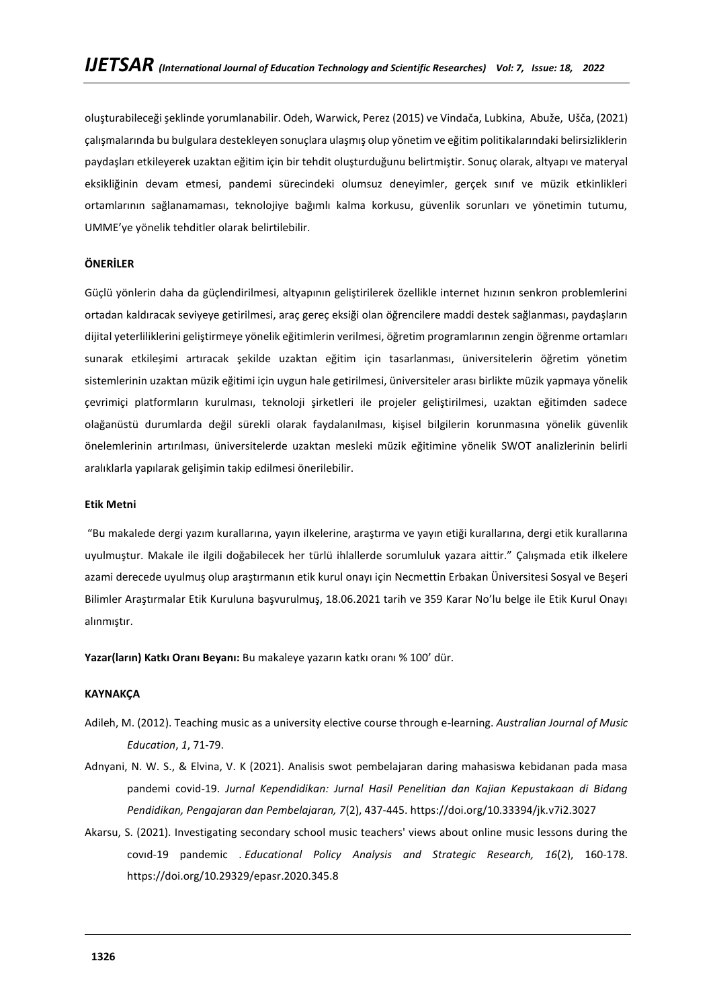oluşturabileceği şeklinde yorumlanabilir. Odeh, Warwick, Perez (2015) ve Vindača, Lubkina, Abuže, Ušča, (2021) çalışmalarında bu bulgulara destekleyen sonuçlara ulaşmış olup yönetim ve eğitim politikalarındaki belirsizliklerin paydaşları etkileyerek uzaktan eğitim için bir tehdit oluşturduğunu belirtmiştir. Sonuç olarak, altyapı ve materyal eksikliğinin devam etmesi, pandemi sürecindeki olumsuz deneyimler, gerçek sınıf ve müzik etkinlikleri ortamlarının sağlanamaması, teknolojiye bağımlı kalma korkusu, güvenlik sorunları ve yönetimin tutumu, UMME'ye yönelik tehditler olarak belirtilebilir.

### **ÖNERİLER**

Güçlü yönlerin daha da güçlendirilmesi, altyapının geliştirilerek özellikle internet hızının senkron problemlerini ortadan kaldıracak seviyeye getirilmesi, araç gereç eksiği olan öğrencilere maddi destek sağlanması, paydaşların dijital yeterliliklerini geliştirmeye yönelik eğitimlerin verilmesi, öğretim programlarının zengin öğrenme ortamları sunarak etkileşimi artıracak şekilde uzaktan eğitim için tasarlanması, üniversitelerin öğretim yönetim sistemlerinin uzaktan müzik eğitimi için uygun hale getirilmesi, üniversiteler arası birlikte müzik yapmaya yönelik çevrimiçi platformların kurulması, teknoloji şirketleri ile projeler geliştirilmesi, uzaktan eğitimden sadece olağanüstü durumlarda değil sürekli olarak faydalanılması, kişisel bilgilerin korunmasına yönelik güvenlik önelemlerinin artırılması, üniversitelerde uzaktan mesleki müzik eğitimine yönelik SWOT analizlerinin belirli aralıklarla yapılarak gelişimin takip edilmesi önerilebilir.

### **Etik Metni**

"Bu makalede dergi yazım kurallarına, yayın ilkelerine, araştırma ve yayın etiği kurallarına, dergi etik kurallarına uyulmuştur. Makale ile ilgili doğabilecek her türlü ihlallerde sorumluluk yazara aittir." Çalışmada etik ilkelere azami derecede uyulmuş olup araştırmanın etik kurul onayı için Necmettin Erbakan Üniversitesi Sosyal ve Beşeri Bilimler Araştırmalar Etik Kuruluna başvurulmuş, 18.06.2021 tarih ve 359 Karar No'lu belge ile Etik Kurul Onayı alınmıştır.

**Yazar(ların) Katkı Oranı Beyanı:** Bu makaleye yazarın katkı oranı % 100' dür.

### **KAYNAKÇA**

- Adileh, M. (2012). Teaching music as a university elective course through e-learning. *Australian Journal of Music Education*, *1*, 71-79.
- Adnyani, N. W. S., & Elvina, V. K (2021). Analisis swot pembelajaran daring mahasiswa kebidanan pada masa pandemi covid-19. *Jurnal Kependidikan: Jurnal Hasil Penelitian dan Kajian Kepustakaan di Bidang Pendidikan, Pengajaran dan Pembelajaran, 7*(2), 437-445.<https://doi.org/10.33394/jk.v7i2.3027>
- Akarsu, S. (2021). Investigating secondary school music teachers' views about online music lessons during the covıd-19 pandemic . *Educational Policy Analysis and Strategic Research, 16*(2), 160-178. <https://doi.org/10.29329/epasr.2020.345.8>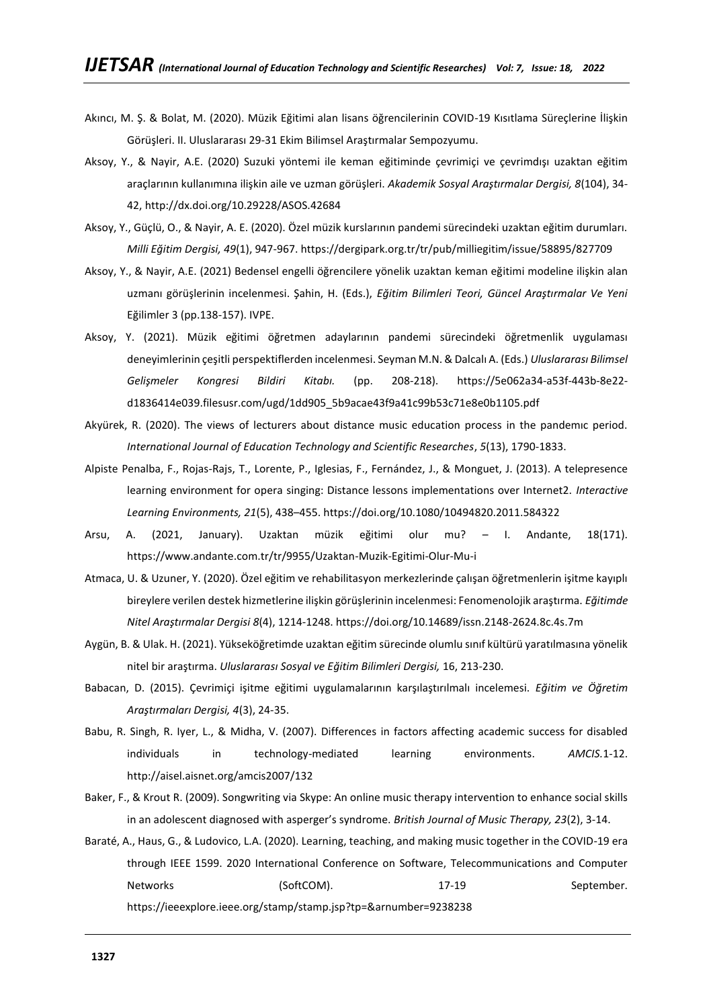- Akıncı, M. Ş. & Bolat, M. (2020). Müzik Eğitimi alan lisans öğrencilerinin COVID-19 Kısıtlama Süreçlerine İlişkin Görüşleri. II. Uluslararası 29-31 Ekim Bilimsel Araştırmalar Sempozyumu.
- Aksoy, Y., & Nayir, A.E. (2020) Suzuki yöntemi ile keman eğitiminde çevrimiçi ve çevrimdışı uzaktan eğitim araçlarının kullanımına ilişkin aile ve uzman görüşleri. *Akademik Sosyal Araştırmalar Dergisi, 8*(104), 34- 42,<http://dx.doi.org/10.29228/ASOS.42684>
- Aksoy, Y., Güçlü, O., & Nayir, A. E. (2020). Özel müzik kurslarının pandemi sürecindeki uzaktan eğitim durumları. *Milli Eğitim Dergisi, 49*(1), 947-967.<https://dergipark.org.tr/tr/pub/milliegitim/issue/58895/827709>
- Aksoy, Y., & Nayir, A.E. (2021) Bedensel engelli öğrencilere yönelik uzaktan keman eğitimi modeline ilişkin alan uzmanı görüşlerinin incelenmesi. Şahin, H. (Eds.), *Eğitim Bilimleri Teori, Güncel Araştırmalar Ve Yeni*  Eğilimler 3 (pp.138-157). IVPE.
- Aksoy, Y. (2021). Müzik eğitimi öğretmen adaylarının pandemi sürecindeki öğretmenlik uygulaması deneyimlerinin çeşitli perspektiflerden incelenmesi. Seyman M.N. & Dalcalı A. (Eds.) *Uluslararası Bilimsel Gelişmeler Kongresi Bildiri Kitabı.* (pp. 208-218). [https://5e062a34-a53f-443b-8e22](https://5e062a34-a53f-443b-8e22-d1836414e039.filesusr.com/ugd/1dd905_5b9acae43f9a41c99b53c71e8e0b1105.pdf) [d1836414e039.filesusr.com/ugd/1dd905\\_5b9acae43f9a41c99b53c71e8e0b1105.pdf](https://5e062a34-a53f-443b-8e22-d1836414e039.filesusr.com/ugd/1dd905_5b9acae43f9a41c99b53c71e8e0b1105.pdf)
- Akyürek, R. (2020). The views of lecturers about distance music education process in the pandemıc period. *International Journal of Education Technology and Scientific Researches*, *5*(13), 1790-1833.
- Alpiste Penalba, F., Rojas-Rajs, T., Lorente, P., Iglesias, F., Fernández, J., & Monguet, J. (2013). A telepresence learning environment for opera singing: Distance lessons implementations over Internet2. *Interactive Learning Environments, 21*(5), 438–455.<https://doi.org/10.1080/10494820.2011.584322>
- Arsu, A. (2021, January). Uzaktan müzik eğitimi olur mu? I. Andante, 18(171). <https://www.andante.com.tr/tr/9955/Uzaktan-Muzik-Egitimi-Olur-Mu-i>
- Atmaca, U. & Uzuner, Y. (2020). Özel eğitim ve rehabilitasyon merkezlerinde çalışan öğretmenlerin işitme kayıplı bireylere verilen destek hizmetlerine ilişkin görüşlerinin incelenmesi: Fenomenolojik araştırma. *Eğitimde Nitel Araştırmalar Dergisi 8*(4), 1214-1248.<https://doi.org/10.14689/issn.2148-2624.8c.4s.7m>
- Aygün, B. & Ulak. H. (2021). Yükseköğretimde uzaktan eğitim sürecinde olumlu sınıf kültürü yaratılmasına yönelik nitel bir araştırma. *Uluslararası Sosyal ve Eğitim Bilimleri Dergisi,* 16, 213-230.
- Babacan, D. (2015). Çevrimiçi işitme eğitimi uygulamalarının karşılaştırılmalı incelemesi. *Eğitim ve Öğretim Araştırmaları Dergisi, 4*(3), 24-35.
- Babu, R. Singh, R. Iyer, L., & Midha, V. (2007). Differences in factors affecting academic success for disabled individuals in technology-mediated learning environments. *AMCIS.*1-12. <http://aisel.aisnet.org/amcis2007/132>
- Baker, F., & Krout R. (2009). Songwriting via Skype: An online music therapy intervention to enhance social skills in an adolescent diagnosed with asperger's syndrome. *British Journal of Music Therapy, 23*(2), 3-14.
- Baraté, A., Haus, G., & Ludovico, L.A. (2020). Learning, teaching, and making music together in the COVID-19 era through IEEE 1599. 2020 International Conference on Software, Telecommunications and Computer Networks (SoftCOM). 17-19 September. <https://ieeexplore.ieee.org/stamp/stamp.jsp?tp=&arnumber=9238238>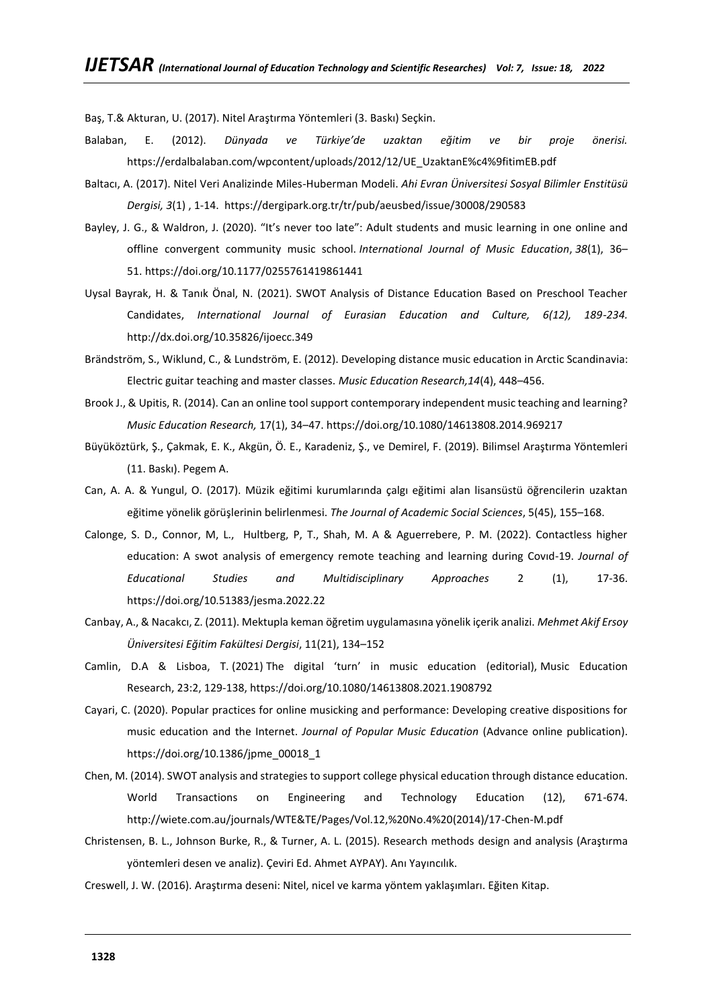Baş, T.& Akturan, U. (2017). Nitel Araştırma Yöntemleri (3. Baskı) Seçkin.

- Balaban, E. (2012). *Dünyada ve Türkiye'de uzaktan eğitim ve bir proje önerisi.* [https://erdalbalaban.com/wpcontent/uploads/2012/12/UE\\_UzaktanE%c4%9fitimEB.pdf](https://erdalbalaban.com/wpcontent/uploads/2012/12/UE_UzaktanE%c4%9fitimEB.pdf)
- Baltacı, A. (2017). Nitel Veri Analizinde Miles-Huberman Modeli. *Ahi Evran Üniversitesi Sosyal Bilimler Enstitüsü Dergisi, 3*(1) , 1-14.<https://dergipark.org.tr/tr/pub/aeusbed/issue/30008/290583>
- Bayley, J. G., & Waldron, J. (2020). "It's never too late": Adult students and music learning in one online and offline convergent community music school. *International Journal of Music Education*, *38*(1), 36– 51. <https://doi.org/10.1177/0255761419861441>
- Uysal Bayrak, H. & Tanık Önal, N. (2021). SWOT Analysis of Distance Education Based on Preschool Teacher Candidates, *International Journal of Eurasian Education and Culture, 6(12), 189-234.*  <http://dx.doi.org/10.35826/ijoecc.349>
- Brändström, S., Wiklund, C., & Lundström, E. (2012). Developing distance music education in Arctic Scandinavia: Electric guitar teaching and master classes. *Music Education Research,14*(4), 448–456.
- Brook J., & Upitis, R. (2014). Can an online tool support contemporary independent music teaching and learning? *Music Education Research,* 17(1), 34–47.<https://doi.org/10.1080/14613808.2014.969217>
- Büyüköztürk, Ş., Çakmak, E. K., Akgün, Ö. E., Karadeniz, Ş., ve Demirel, F. (2019). Bilimsel Araştırma Yöntemleri (11. Baskı). Pegem A.
- Can, A. A. & Yungul, O. (2017). Müzik eğitimi kurumlarında çalgı eğitimi alan lisansüstü öğrencilerin uzaktan eğitime yönelik görüşlerinin belirlenmesi. *The Journal of Academic Social Sciences*, 5(45), 155–168.
- Calonge, S. D., Connor, M, L., Hultberg, P, T., Shah, M. A & Aguerrebere, P. M. (2022). Contactless higher education: A swot analysis of emergency remote teaching and learning during Covıd-19. *Journal of Educational Studies and Multidisciplinary Approaches* 2 (1), 17-36. <https://doi.org/10.51383/jesma.2022.22>
- Canbay, A., & Nacakcı, Z. (2011). Mektupla keman öğretim uygulamasına yönelik içerik analizi. *Mehmet Akif Ersoy Üniversitesi Eğitim Fakültesi Dergisi*, 11(21), 134–152
- Camlin, D.A & Lisboa, T. (2021) The digital 'turn' in music education (editorial), Music Education Research, 23:2, 129-138, <https://doi.org/10.1080/14613808.2021.1908792>
- Cayari, C. (2020). Popular practices for online musicking and performance: Developing creative dispositions for music education and the Internet. *Journal of Popular Music Education* (Advance online publication). [https://doi.org/10.1386/jpme\\_00018\\_1](https://doi.org/10.1386/jpme_00018_1)
- Chen, M. (2014). SWOT analysis and strategies to support college physical education through distance education. World Transactions on Engineering and Technology Education (12), 671-674. [http://wiete.com.au/journals/WTE&TE/Pages/Vol.12,%20No.4%20\(2014\)/17-Chen-M.pdf](http://wiete.com.au/journals/WTE&TE/Pages/Vol.12,%20No.4%20(2014)/17-Chen-M.pdf)
- Christensen, B. L., Johnson Burke, R., & Turner, A. L. (2015). Research methods design and analysis (Araştırma yöntemleri desen ve analiz). Çeviri Ed. Ahmet AYPAY). Anı Yayıncılık.
- Creswell, J. W. (2016). Araştırma deseni: Nitel, nicel ve karma yöntem yaklaşımları. Eğiten Kitap.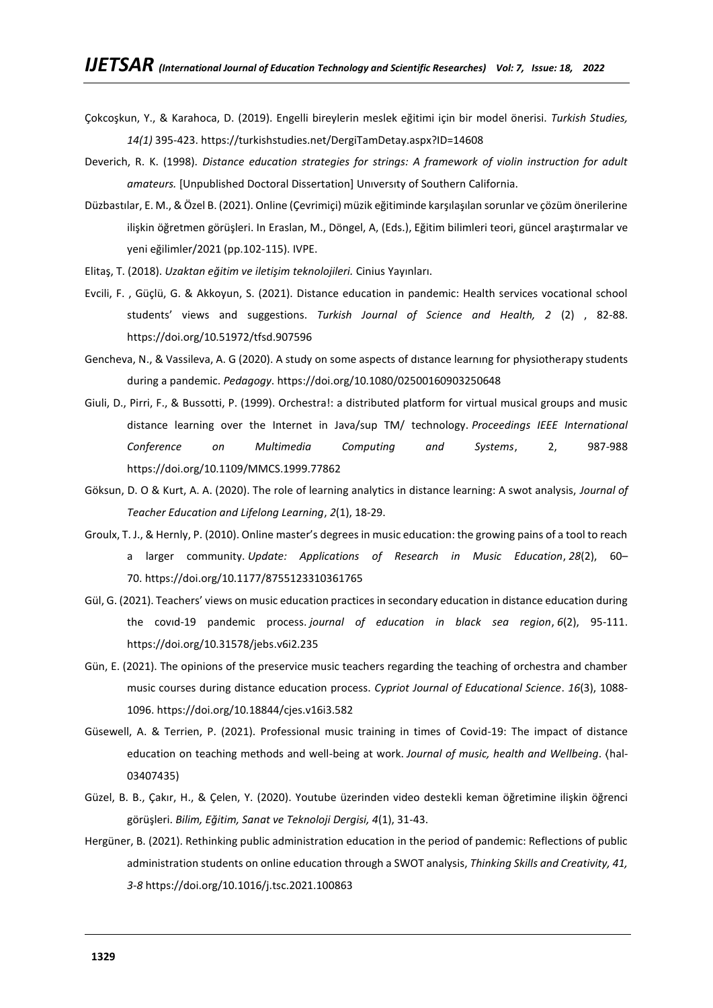- Çokcoşkun, Y., & Karahoca, D. (2019). Engelli bireylerin meslek eğitimi için bir model önerisi. *Turkish Studies, 14(1)* 395-423.<https://turkishstudies.net/DergiTamDetay.aspx?ID=14608>
- Deverich, R. K. (1998). *Distance education strategies for strings: A framework of violin instruction for adult amateurs.* [Unpublished Doctoral Dissertation] Unıversıty of Southern California.
- Düzbastılar, E. M., & Özel B. (2021). Online (Çevrimiçi) müzik eğitiminde karşılaşılan sorunlar ve çözüm önerilerine ilişkin öğretmen görüşleri. In Eraslan, M., Döngel, A, (Eds.), Eğitim bilimleri teori, güncel araştırmalar ve yeni eğilimler/2021 (pp.102-115). IVPE.
- Elitaş, T. (2018). *Uzaktan eğitim ve iletişim teknolojileri.* Cinius Yayınları.
- Evcili, F. , Güçlü, G. & Akkoyun, S. (2021). Distance education in pandemic: Health services vocational school students' views and suggestions. *Turkish Journal of Science and Health, 2* (2) , 82-88. <https://doi.org/10.51972/tfsd.907596>
- Gencheva, N., & Vassileva, A. G (2020). A study on some aspects of dıstance learnıng for physiotherapy students during a pandemic. *Pedagogy*[. https://doi.org/10.1080/02500160903250648](https://doi.org/10.1080/02500160903250648)
- Giuli, D., Pirri, F., & Bussotti, P. (1999). Orchestra!: a distributed platform for virtual musical groups and music distance learning over the Internet in Java/sup TM/ technology. *Proceedings IEEE International Conference on Multimedia Computing and Systems*, 2, 987-988 <https://doi.org/10.1109/MMCS.1999.77862>
- Göksun, D. O & Kurt, A. A. (2020). The role of learning analytics in distance learning: A swot analysis, *Journal of Teacher Education and Lifelong Learning*, *2*(1), 18-29.
- Groulx, T. J., & Hernly, P. (2010). Online master's degrees in music education: the growing pains of a tool to reach a larger community. *Update: Applications of Research in Music Education*, *28*(2), 60– 70. <https://doi.org/10.1177/8755123310361765>
- Gül, G. (2021). Teachers' views on music education practices in secondary education in distance education during the covıd-19 pandemic process. *journal of education in black sea region*, *6*(2), 95-111. <https://doi.org/10.31578/jebs.v6i2.235>
- Gün, E. (2021). The opinions of the preservice music teachers regarding the teaching of orchestra and chamber music courses during distance education process. *Cypriot Journal of Educational Science*. *16*(3), 1088- 1096.<https://doi.org/10.18844/cjes.v16i3.582>
- Güsewell, A. & Terrien, P. (2021). Professional music training in times of Covid-19: The impact of distance education on teaching methods and well-being at work. *Journal of music, health and Wellbeing*. ⟨hal-03407435)
- Güzel, B. B., Çakır, H., & Çelen, Y. (2020). Youtube üzerinden video destekli keman öğretimine ilişkin öğrenci görüşleri. *Bilim, Eğitim, Sanat ve Teknoloji Dergisi, 4*(1), 31-43.
- Hergüner, B. (2021). Rethinking public administration education in the period of pandemic: Reflections of public administration students on online education through a SWOT analysis, *Thinking Skills and Creativity, 41, 3-8* <https://doi.org/10.1016/j.tsc.2021.100863>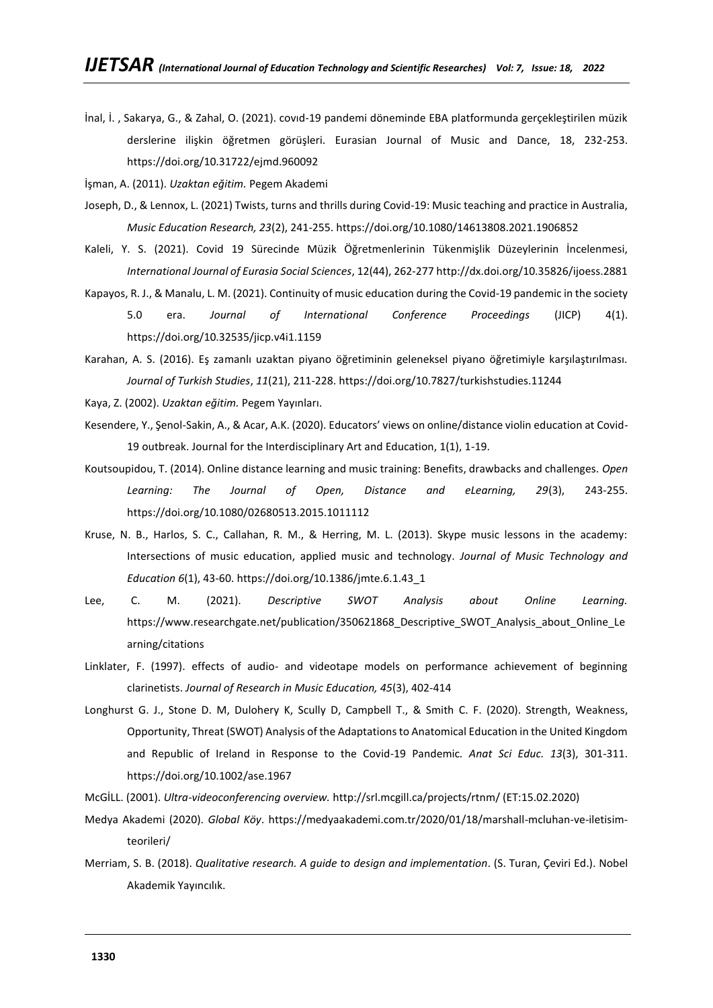İnal, İ. , Sakarya, G., & Zahal, O. (2021). covıd-19 pandemi döneminde EBA platformunda gerçekleştirilen müzik derslerine ilişkin öğretmen görüşleri. Eurasian Journal of Music and Dance, 18, 232-253. <https://doi.org/10.31722/ejmd.960092>

İşman, A. (2011). *Uzaktan eğitim.* Pegem Akademi

- Joseph, D., & Lennox, L. (2021) Twists, turns and thrills during Covid-19: Music teaching and practice in Australia, *Music Education Research, 23*(2), 241-255. <https://doi.org/10.1080/14613808.2021.1906852>
- Kaleli, Y. S. (2021). Covid 19 Sürecinde Müzik Öğretmenlerinin Tükenmişlik Düzeylerinin İncelenmesi, *International Journal of Eurasia Social Sciences*, 12(44), 262-27[7 http://dx.doi.org/10.35826/ijoess.2881](http://dx.doi.org/10.35826/ijoess.2881)
- Kapayos, R. J., & Manalu, L. M. (2021). Continuity of music education during the Covid-19 pandemic in the society 5.0 era. *Journal of International Conference Proceedings* (JICP) 4(1). <https://doi.org/10.32535/jicp.v4i1.1159>
- Karahan, A. S. (2016). Eş zamanlı uzaktan piyano öğretiminin geleneksel piyano öğretimiyle karşılaştırılması. *Journal of Turkish Studies*, *11*(21), 211-228.<https://doi.org/10.7827/turkishstudies.11244>
- Kaya, Z. (2002). *Uzaktan eğitim.* Pegem Yayınları.
- Kesendere, Y., Şenol-Sakin, A., & Acar, A.K. (2020). Educators' views on online/distance violin education at Covid-19 outbreak. Journal for the Interdisciplinary Art and Education, 1(1), 1-19.
- Koutsoupidou, T. (2014). Online distance learning and music training: Benefits, drawbacks and challenges. *Open Learning: The Journal of Open, Distance and eLearning, 29*(3), 243-255. <https://doi.org/10.1080/02680513.2015.1011112>
- Kruse, N. B., Harlos, S. C., Callahan, R. M., & Herring, M. L. (2013). Skype music lessons in the academy: Intersections of music education, applied music and technology. *Journal of Music Technology and Education 6*(1), 43-60. [https://doi.org/10.1386/jmte.6.1.43\\_1](https://doi.org/10.1386/jmte.6.1.43_1)
- Lee, C. M. (2021). *Descriptive SWOT Analysis about Online Learning.* https://www.researchgate.net/publication/350621868 Descriptive SWOT Analysis about Online Le [arning/citations](https://www.researchgate.net/publication/350621868_Descriptive_SWOT_Analysis_about_Online_Learning/citations)
- Linklater, F. (1997). effects of audio- and videotape models on performance achievement of beginning clarinetists. *Journal of Research in Music Education, 45*(3), 402-414
- Longhurst G. J., Stone D. M, Dulohery K, Scully D, Campbell T., & Smith C. F. (2020). Strength, Weakness, Opportunity, Threat (SWOT) Analysis of the Adaptations to Anatomical Education in the United Kingdom and Republic of Ireland in Response to the Covid-19 Pandemic*. Anat Sci Educ. 13*(3), 301-311. <https://doi.org/10.1002/ase.1967>
- McGİLL. (2001). *Ultra-videoconferencing overview.* http://srl.mcgill.ca/projects/rtnm/ (ET:15.02.2020)
- Medya Akademi (2020). *Global Köy*. [https://medyaakademi.com.tr/2020/01/18/marshall-mcluhan-ve-iletisim](https://medyaakademi.com.tr/2020/01/18/marshall-mcluhan-ve-iletisim-teorileri/)[teorileri/](https://medyaakademi.com.tr/2020/01/18/marshall-mcluhan-ve-iletisim-teorileri/)
- Merriam, S. B. (2018). *Qualitative research. A guide to design and implementation*. (S. Turan, Çeviri Ed.). Nobel Akademik Yayıncılık.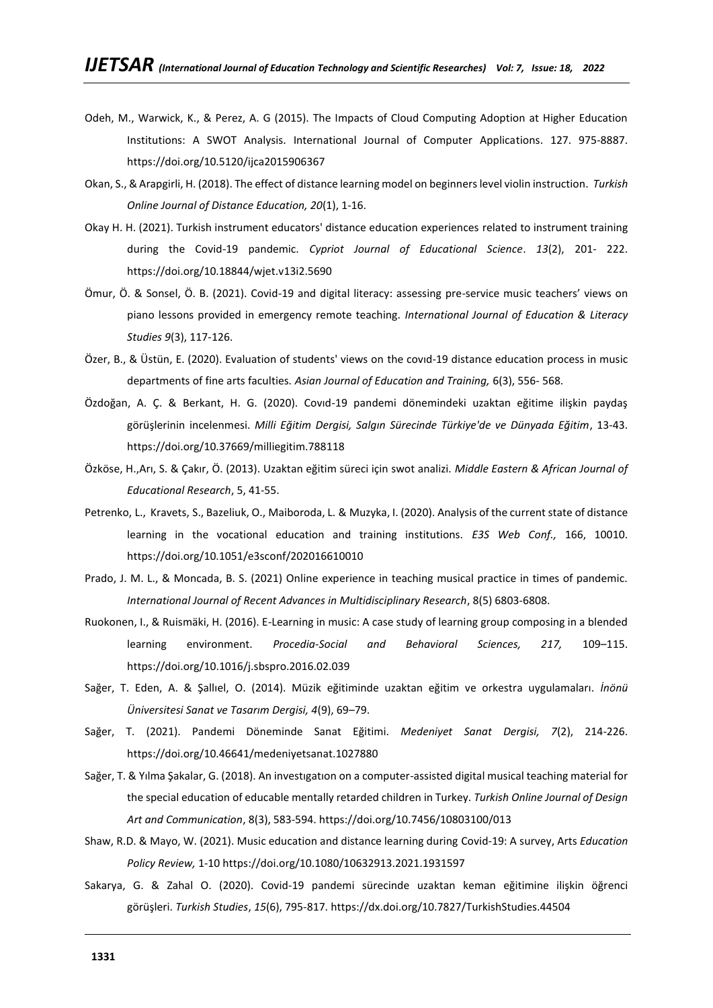- Odeh, M., Warwick, K., & Perez, A. G (2015). The Impacts of Cloud Computing Adoption at Higher Education Institutions: A SWOT Analysis. International Journal of Computer Applications. 127. 975-8887. <https://doi.org/10.5120/ijca2015906367>
- Okan, S., & Arapgirli, H. (2018). The effect of distance learning model on beginners level violin instruction. *Turkish Online Journal of Distance Education, 20*(1), 1-16.
- Okay H. H. (2021). Turkish instrument educators' distance education experiences related to instrument training during the Covid-19 pandemic. *Cypriot Journal of Educational Science*. *13*(2), 201- 222. <https://doi.org/10.18844/wjet.v13i2.5690>
- Ömur, Ö. & Sonsel, Ö. B. (2021). Covid-19 and digital literacy: assessing pre-service music teachers' views on piano lessons provided in emergency remote teaching. *International Journal of Education & Literacy Studies 9*(3), 117-126.
- Özer, B., & Üstün, E. (2020). Evaluation of students' views on the covıd-19 distance education process in music departments of fine arts faculties*. Asian Journal of Education and Training,* 6(3), 556- 568.
- Özdoğan, A. Ç. & Berkant, H. G. (2020). Covıd-19 pandemi dönemindeki uzaktan eğitime ilişkin paydaş görüşlerinin incelenmesi. *Milli Eğitim Dergisi, Salgın Sürecinde Türkiye'de ve Dünyada Eğitim*, 13-43. <https://doi.org/10.37669/milliegitim.788118>
- Özköse, H.,Arı, S. & Çakır, Ö. (2013). Uzaktan eğitim süreci için swot analizi*. Middle Eastern & African Journal of Educational Research*, 5, 41-55.
- Petrenko, L., Kravets, S., Bazeliuk, O., Maiboroda, L. & Muzyka, I. (2020). Analysis of the current state of distance learning in the vocational education and training institutions. *E3S Web Conf.,* 166, 10010. <https://doi.org/10.1051/e3sconf/202016610010>
- Prado, J. M. L., & Moncada, B. S. (2021) Online experience in teaching musical practice in times of pandemic. *International Journal of Recent Advances in Multidisciplinary Research*, 8(5) 6803-6808.
- Ruokonen, I., & Ruismäki, H. (2016). E-Learning in music: A case study of learning group composing in a blended learning environment. *Procedia-Social and Behavioral Sciences, 217,* 109–115. <https://doi.org/10.1016/j.sbspro.2016.02.039>
- Sağer, T. Eden, A. & Şallıel, O. (2014). Müzik eğitiminde uzaktan eğitim ve orkestra uygulamaları. *İnönü Üniversitesi Sanat ve Tasarım Dergisi, 4*(9), 69–79.
- Sağer, T. (2021). Pandemi Döneminde Sanat Eğitimi. *Medeniyet Sanat Dergisi, 7*(2), 214-226. <https://doi.org/10.46641/medeniyetsanat.1027880>
- Sağer, T. & Yılma Şakalar, G. (2018). An investıgatıon on a computer-assisted digital musical teaching material for the special education of educable mentally retarded children in Turkey. *Turkish Online Journal of Design Art and Communication*, 8(3), 583-594[. https://doi.org/10.7456/10803100/013](https://doi.org/10.7456/10803100/013)
- Shaw, R.D. & Mayo, W. (2021). Music education and distance learning during Covid-19: A survey, Arts *Education Policy Review,* 1-10<https://doi.org/10.1080/10632913.2021.1931597>
- Sakarya, G. & Zahal O. (2020). Covid-19 pandemi sürecinde uzaktan keman eğitimine ilişkin öğrenci görüşleri. *Turkish Studies*, *15*(6), 795-817[. https://dx.doi.org/10.7827/TurkishStudies.44504](https://dx.doi.org/10.7827/TurkishStudies.44504)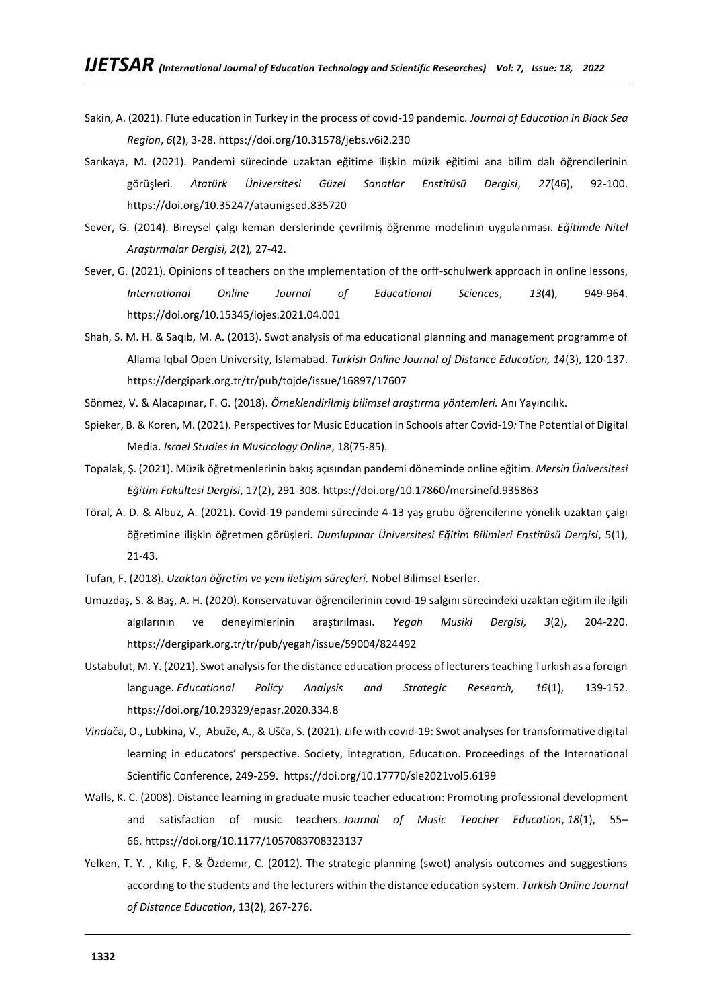- Sakin, A. (2021). Flute education in Turkey in the process of covıd-19 pandemic. *Journal of Education in Black Sea Region*, *6*(2), 3-28.<https://doi.org/10.31578/jebs.v6i2.230>
- Sarıkaya, M. (2021). Pandemi sürecinde uzaktan eğitime ilişkin müzik eğitimi ana bilim dalı öğrencilerinin görüşleri. *Atatürk Üniversitesi Güzel Sanatlar Enstitüsü Dergisi*, *27*(46), 92-100. <https://doi.org/10.35247/ataunigsed.835720>
- Sever, G. (2014). Bireysel çalgı keman derslerinde çevrilmiş öğrenme modelinin uygulanması. *Eğitimde Nitel Araştırmalar Dergisi, 2*(2)*,* 27-42.
- Sever, G. (2021). Opinions of teachers on the ımplementation of the orff-schulwerk approach in online lessons, *International Online Journal of Educational Sciences*, *13*(4), 949-964. <https://doi.org/10.15345/iojes.2021.04.001>
- Shah, S. M. H. & Saqıb, M. A. (2013). Swot analysis of ma educational planning and management programme of Allama Iqbal Open University, Islamabad. *Turkish Online Journal of Distance Education, 14*(3), 120-137. <https://dergipark.org.tr/tr/pub/tojde/issue/16897/17607>
- Sönmez, V. & Alacapınar, F. G. (2018). *Örneklendirilmiş bilimsel araştırma yöntemleri.* Anı Yayıncılık.
- Spieker, B. & Koren, M. (2021). Perspectives for Music Education in Schools after Covid-19*:* The Potential of Digital Media. *Israel Studies in Musicology Online*, 18(75-85).
- Topalak, Ş. (2021). Müzik öğretmenlerinin bakış açısından pandemi döneminde online eğitim. *Mersin Üniversitesi Eğitim Fakültesi Dergisi*, 17(2), 291-308[. https://doi.org/10.17860/mersinefd.935863](https://doi.org/10.17860/mersinefd.935863)
- Töral, A. D. & Albuz, A. (2021). Covid-19 pandemi sürecinde 4-13 yaş grubu öğrencilerine yönelik uzaktan çalgı öğretimine ilişkin öğretmen görüşleri. *Dumlupınar Üniversitesi Eğitim Bilimleri Enstitüsü Dergisi*, 5(1), 21-43.
- Tufan, F. (2018). *Uzaktan öğretim ve yeni iletişim süreçleri.* Nobel Bilimsel Eserler.
- Umuzdaş, S. & Baş, A. H. (2020). Konservatuvar öğrencilerinin covıd-19 salgını sürecindeki uzaktan eğitim ile ilgili algılarının ve deneyimlerinin araştırılması*. Yegah Musiki Dergisi, 3*(2), 204-220. <https://dergipark.org.tr/tr/pub/yegah/issue/59004/824492>
- Ustabulut, M. Y. (2021). Swot analysis for the distance education process of lecturers teaching Turkish as a foreign language. *Educational Policy Analysis and Strategic Research, 16*(1), 139-152. <https://doi.org/10.29329/epasr.2020.334.8>
- *Vinda*ča, O., Lubkina, V., Abuže, A., & Ušča, S. (2021). *L*ıfe wıth covıd-19: Swot analyses for transformative digital learning in educators' perspective. Society, İntegratıon, Educatıon. Proceedings of the International Scientific Conference, 249-259. <https://doi.org/10.17770/sie2021vol5.6199>
- Walls, K. C. (2008). Distance learning in graduate music teacher education: Promoting professional development and satisfaction of music teachers. *Journal of Music Teacher Education*, *18*(1), 55– 66. <https://doi.org/10.1177/1057083708323137>
- Yelken, T. Y. , Kılıç, F. & Özdemır, C. (2012). The strategic planning (swot) analysis outcomes and suggestions according to the students and the lecturers within the distance education system. *Turkish Online Journal of Distance Education*, 13(2), 267-276.